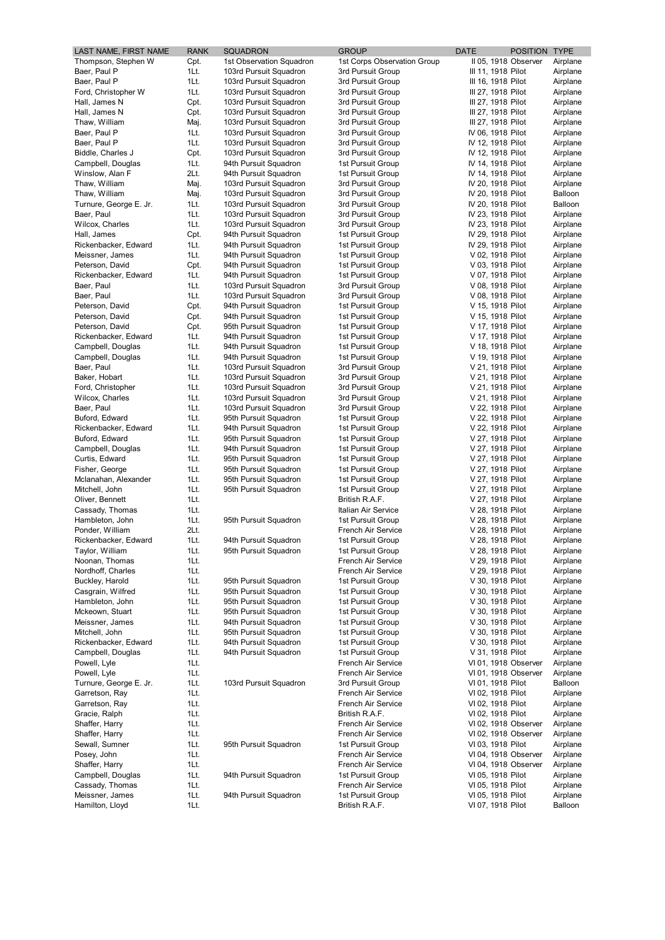| LAST NAME, FIRST NAME                  | <b>RANK</b>  | <b>SQUADRON</b>                                  | <b>GROUP</b>                             | <b>DATE</b><br>POSITION TYPE              |                      |
|----------------------------------------|--------------|--------------------------------------------------|------------------------------------------|-------------------------------------------|----------------------|
| Thompson, Stephen W                    | Cpt.         | 1st Observation Squadron                         | 1st Corps Observation Group              | II 05, 1918 Observer                      | Airplane             |
| Baer, Paul P                           | 1Lt.         | 103rd Pursuit Squadron                           | 3rd Pursuit Group                        | III 11, 1918 Pilot                        | Airplane             |
| Baer, Paul P                           | 1Lt.         | 103rd Pursuit Squadron                           | 3rd Pursuit Group                        | III 16, 1918 Pilot                        | Airplane             |
| Ford, Christopher W<br>Hall, James N   | 1Lt.<br>Cpt. | 103rd Pursuit Squadron<br>103rd Pursuit Squadron | 3rd Pursuit Group<br>3rd Pursuit Group   | III 27, 1918 Pilot<br>III 27, 1918 Pilot  | Airplane<br>Airplane |
| Hall, James N                          | Cpt.         | 103rd Pursuit Squadron                           | 3rd Pursuit Group                        | III 27, 1918 Pilot                        | Airplane             |
| Thaw, William                          | Maj.         | 103rd Pursuit Squadron                           | 3rd Pursuit Group                        | III 27, 1918 Pilot                        | Airplane             |
| Baer, Paul P                           | 1Lt.         | 103rd Pursuit Squadron                           | 3rd Pursuit Group                        | IV 06, 1918 Pilot                         | Airplane             |
| Baer, Paul P                           | 1Lt.         | 103rd Pursuit Squadron                           | 3rd Pursuit Group                        | IV 12, 1918 Pilot                         | Airplane             |
| Biddle, Charles J                      | Cpt.         | 103rd Pursuit Squadron                           | 3rd Pursuit Group                        | IV 12, 1918 Pilot                         | Airplane             |
| Campbell, Douglas                      | 1Lt.         | 94th Pursuit Squadron                            | 1st Pursuit Group                        | IV 14, 1918 Pilot                         | Airplane             |
| Winslow, Alan F<br>Thaw, William       | 2Lt.<br>Maj. | 94th Pursuit Squadron<br>103rd Pursuit Squadron  | 1st Pursuit Group<br>3rd Pursuit Group   | IV 14, 1918 Pilot<br>IV 20, 1918 Pilot    | Airplane<br>Airplane |
| Thaw, William                          | Maj.         | 103rd Pursuit Squadron                           | 3rd Pursuit Group                        | IV 20, 1918 Pilot                         | Balloon              |
| Turnure, George E. Jr.                 | 1Lt.         | 103rd Pursuit Squadron                           | 3rd Pursuit Group                        | IV 20, 1918 Pilot                         | Balloon              |
| Baer, Paul                             | 1Lt.         | 103rd Pursuit Squadron                           | 3rd Pursuit Group                        | IV 23, 1918 Pilot                         | Airplane             |
| Wilcox, Charles                        | 1Lt.         | 103rd Pursuit Squadron                           | 3rd Pursuit Group                        | IV 23, 1918 Pilot                         | Airplane             |
| Hall, James                            | Cpt.         | 94th Pursuit Squadron                            | 1st Pursuit Group                        | IV 29, 1918 Pilot                         | Airplane             |
| Rickenbacker, Edward                   | 1Lt.         | 94th Pursuit Squadron                            | 1st Pursuit Group                        | IV 29, 1918 Pilot                         | Airplane             |
| Meissner, James<br>Peterson, David     | 1Lt.<br>Cpt. | 94th Pursuit Squadron<br>94th Pursuit Squadron   | 1st Pursuit Group<br>1st Pursuit Group   | V 02, 1918 Pilot<br>V 03, 1918 Pilot      | Airplane<br>Airplane |
| Rickenbacker, Edward                   | 1Lt.         | 94th Pursuit Squadron                            | 1st Pursuit Group                        | V 07, 1918 Pilot                          | Airplane             |
| Baer, Paul                             | 1Lt.         | 103rd Pursuit Squadron                           | 3rd Pursuit Group                        | V 08, 1918 Pilot                          | Airplane             |
| Baer, Paul                             | 1Lt.         | 103rd Pursuit Squadron                           | 3rd Pursuit Group                        | V 08, 1918 Pilot                          | Airplane             |
| Peterson, David                        | Cpt.         | 94th Pursuit Squadron                            | 1st Pursuit Group                        | V 15, 1918 Pilot                          | Airplane             |
| Peterson, David                        | Cpt.         | 94th Pursuit Squadron                            | 1st Pursuit Group                        | V 15, 1918 Pilot                          | Airplane             |
| Peterson, David                        | Cpt.         | 95th Pursuit Squadron                            | 1st Pursuit Group                        | V 17, 1918 Pilot                          | Airplane             |
| Rickenbacker, Edward                   | 1Lt.         | 94th Pursuit Squadron                            | 1st Pursuit Group<br>1st Pursuit Group   | V 17, 1918 Pilot                          | Airplane             |
| Campbell, Douglas<br>Campbell, Douglas | 1Lt.<br>1Lt. | 94th Pursuit Squadron<br>94th Pursuit Squadron   | 1st Pursuit Group                        | V 18, 1918 Pilot<br>V 19, 1918 Pilot      | Airplane<br>Airplane |
| Baer, Paul                             | 1Lt.         | 103rd Pursuit Squadron                           | 3rd Pursuit Group                        | V 21, 1918 Pilot                          | Airplane             |
| Baker, Hobart                          | 1Lt.         | 103rd Pursuit Squadron                           | 3rd Pursuit Group                        | V 21, 1918 Pilot                          | Airplane             |
| Ford, Christopher                      | 1Lt.         | 103rd Pursuit Squadron                           | 3rd Pursuit Group                        | V 21, 1918 Pilot                          | Airplane             |
| Wilcox, Charles                        | 1Lt.         | 103rd Pursuit Squadron                           | 3rd Pursuit Group                        | V 21, 1918 Pilot                          | Airplane             |
| Baer, Paul                             | 1Lt.         | 103rd Pursuit Squadron                           | 3rd Pursuit Group                        | V 22, 1918 Pilot                          | Airplane             |
| Buford, Edward                         | 1Lt.         | 95th Pursuit Squadron                            | 1st Pursuit Group                        | V 22, 1918 Pilot                          | Airplane             |
| Rickenbacker, Edward<br>Buford, Edward | 1Lt.<br>1Lt. | 94th Pursuit Squadron<br>95th Pursuit Squadron   | 1st Pursuit Group<br>1st Pursuit Group   | V 22, 1918 Pilot<br>V 27, 1918 Pilot      | Airplane<br>Airplane |
| Campbell, Douglas                      | 1Lt.         | 94th Pursuit Squadron                            | 1st Pursuit Group                        | V 27, 1918 Pilot                          | Airplane             |
| Curtis, Edward                         | 1Lt.         | 95th Pursuit Squadron                            | 1st Pursuit Group                        | V 27, 1918 Pilot                          | Airplane             |
| Fisher, George                         | 1Lt.         | 95th Pursuit Squadron                            | 1st Pursuit Group                        | V 27, 1918 Pilot                          | Airplane             |
| Mclanahan, Alexander                   | 1Lt.         | 95th Pursuit Squadron                            | 1st Pursuit Group                        | V 27, 1918 Pilot                          | Airplane             |
| Mitchell, John                         | 1Lt.         | 95th Pursuit Squadron                            | 1st Pursuit Group                        | V 27, 1918 Pilot                          | Airplane             |
| Oliver, Bennett                        | 1Lt.         |                                                  | British R.A.F.                           | V 27, 1918 Pilot                          | Airplane             |
| Cassady, Thomas                        | 1Lt.<br>1Lt. |                                                  | Italian Air Service<br>1st Pursuit Group | V 28, 1918 Pilot<br>V 28, 1918 Pilot      | Airplane<br>Airplane |
| Hambleton, John<br>Ponder, William     | 2Lt.         | 95th Pursuit Squadron                            | French Air Service                       | V 28, 1918 Pilot                          | Airplane             |
| Rickenbacker, Edward                   | 1Lt.         | 94th Pursuit Squadron                            | 1st Pursuit Group                        | V 28, 1918 Pilot                          | Airplane             |
| Taylor, William                        | 1Lt.         | 95th Pursuit Squadron                            | 1st Pursuit Group                        | V 28, 1918 Pilot                          | Airplane             |
| Noonan, Thomas                         | 1Lt.         |                                                  | French Air Service                       | V 29, 1918 Pilot                          | Airplane             |
| Nordhoff, Charles                      | 1Lt.         |                                                  | French Air Service                       | V 29, 1918 Pilot                          | Airplane             |
| Buckley, Harold                        | 1Lt.         | 95th Pursuit Squadron                            | 1st Pursuit Group                        | V 30, 1918 Pilot                          | Airplane             |
| Casgrain, Wilfred<br>Hambleton, John   | 1Lt.<br>1Lt. | 95th Pursuit Squadron<br>95th Pursuit Squadron   | 1st Pursuit Group<br>1st Pursuit Group   | V 30, 1918 Pilot<br>V 30, 1918 Pilot      | Airplane<br>Airplane |
| Mckeown, Stuart                        | 1Lt.         | 95th Pursuit Squadron                            | 1st Pursuit Group                        | V 30, 1918 Pilot                          | Airplane             |
| Meissner, James                        | 1Lt.         | 94th Pursuit Squadron                            | 1st Pursuit Group                        | V 30, 1918 Pilot                          | Airplane             |
| Mitchell, John                         | 1Lt.         | 95th Pursuit Squadron                            | 1st Pursuit Group                        | V 30, 1918 Pilot                          | Airplane             |
| Rickenbacker, Edward                   | 1Lt.         | 94th Pursuit Squadron                            | 1st Pursuit Group                        | V 30, 1918 Pilot                          | Airplane             |
| Campbell, Douglas                      | 1Lt.         | 94th Pursuit Squadron                            | 1st Pursuit Group                        | V 31, 1918 Pilot                          | Airplane             |
| Powell, Lyle                           | 1Lt.         |                                                  | French Air Service                       | VI 01, 1918 Observer                      | Airplane             |
| Powell, Lyle<br>Turnure, George E. Jr. | 1Lt.<br>1Lt. | 103rd Pursuit Squadron                           | French Air Service<br>3rd Pursuit Group  | VI 01, 1918 Observer<br>VI 01, 1918 Pilot | Airplane<br>Balloon  |
| Garretson, Ray                         | 1Lt.         |                                                  | French Air Service                       | VI 02, 1918 Pilot                         | Airplane             |
| Garretson, Ray                         | 1Lt.         |                                                  | French Air Service                       | VI 02, 1918 Pilot                         | Airplane             |
| Gracie, Ralph                          | 1Lt.         |                                                  | British R.A.F.                           | VI 02, 1918 Pilot                         | Airplane             |
| Shaffer, Harry                         | 1Lt.         |                                                  | French Air Service                       | VI 02, 1918 Observer                      | Airplane             |
| Shaffer, Harry                         | 1Lt.         |                                                  | French Air Service                       | VI 02, 1918 Observer                      | Airplane             |
| Sewall, Sumner                         | 1Lt.         | 95th Pursuit Squadron                            | 1st Pursuit Group                        | VI 03, 1918 Pilot                         | Airplane             |
| Posey, John                            | 1Lt.         |                                                  | French Air Service                       | VI 04, 1918 Observer                      | Airplane             |
| Shaffer, Harry<br>Campbell, Douglas    | 1Lt.<br>1Lt. | 94th Pursuit Squadron                            | French Air Service<br>1st Pursuit Group  | VI 04, 1918 Observer<br>VI 05, 1918 Pilot | Airplane<br>Airplane |
| Cassady, Thomas                        | 1Lt.         |                                                  | French Air Service                       | VI 05, 1918 Pilot                         | Airplane             |
| Meissner, James                        | 1Lt.         | 94th Pursuit Squadron                            | 1st Pursuit Group                        | VI 05, 1918 Pilot                         | Airplane             |
| Hamilton, Lloyd                        | 1Lt.         |                                                  | British R.A.F.                           | VI 07, 1918 Pilot                         | Balloon              |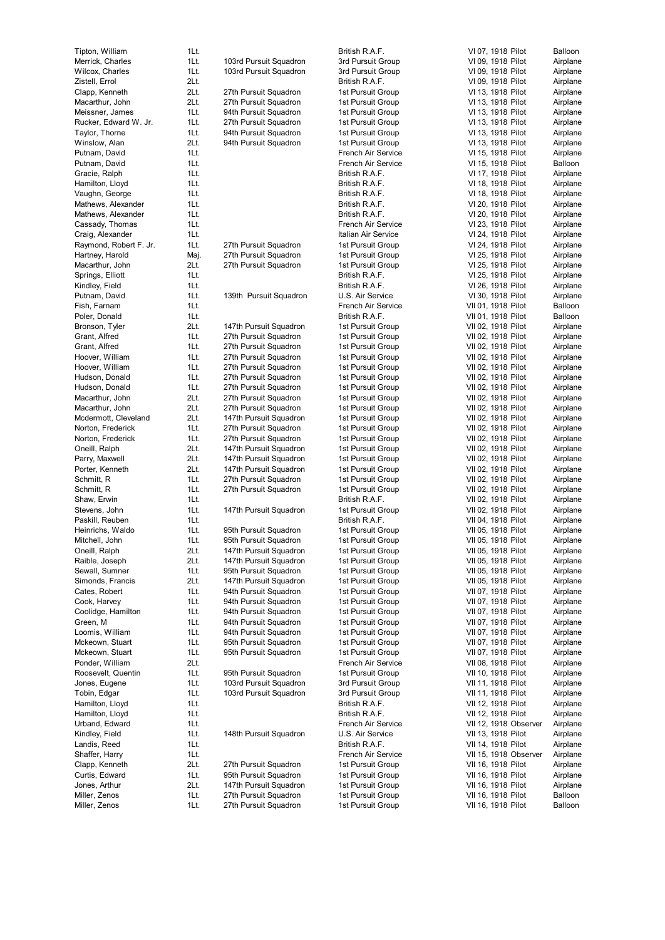| Tipton, William                           | 1Lt.         |                                                  | Britis                 |
|-------------------------------------------|--------------|--------------------------------------------------|------------------------|
| Merrick, Charles<br>Wilcox, Charles       | 1Lt.<br>1Lt. | 103rd Pursuit Squadron<br>103rd Pursuit Squadron | 3rd F<br>3rd F         |
| Zistell, Errol                            | 2Lt.         |                                                  | Britis                 |
| Clapp, Kenneth                            | 2Lt.         | 27th Pursuit Squadron                            | 1st F                  |
| Macarthur, John                           | 2Lt.         | 27th Pursuit Squadron                            | 1st F                  |
| Meissner, James                           | 1Lt.         | 94th Pursuit Squadron                            | 1st F                  |
| Rucker, Edward W. Jr.                     | 1Lt.         | 27th Pursuit Squadron                            | 1st F                  |
| Taylor, Thorne                            | 1Lt.         | 94th Pursuit Squadron                            | 1st F                  |
| Winslow, Alan<br>Putnam, David            | 2Lt.<br>1Lt. | 94th Pursuit Squadron                            | 1st F<br>Fren          |
| Putnam, David                             | 1Lt.         |                                                  | Fren                   |
| Gracie, Ralph                             | 1Lt.         |                                                  | <b>Britis</b>          |
| Hamilton, Lloyd                           | 1Lt.         |                                                  | <b>Britis</b>          |
| Vaughn, George                            | 1Lt.         |                                                  | <b>Britis</b>          |
| Mathews, Alexander                        | 1Lt.         |                                                  | <b>Britis</b>          |
| Mathews, Alexander                        | 1Lt.         |                                                  | <b>Britis</b>          |
| Cassady, Thomas                           | 1Lt.         |                                                  | Fren                   |
| Craig, Alexander                          | 1Lt.<br>1Lt. |                                                  | Italia                 |
| Raymond, Robert F. Jr.<br>Hartney, Harold | Maj.         | 27th Pursuit Squadron<br>27th Pursuit Squadron   | 1st F<br>1st F         |
| Macarthur, John                           | 2Lt.         | 27th Pursuit Squadron                            | 1st F                  |
| Springs, Elliott                          | 1Lt.         |                                                  | Britis                 |
| Kindley, Field                            | 1Lt.         |                                                  | Britis                 |
| Putnam, David                             | 1Lt.         | 139th Pursuit Squadron                           | U.S.                   |
| Fish, Farnam                              | 1Lt.         |                                                  | Fren                   |
| Poler, Donald                             | 1Lt.         |                                                  | <b>Britis</b>          |
| Bronson, Tyler<br>Grant, Alfred           | 2Lt.<br>1Lt. | 147th Pursuit Squadron<br>27th Pursuit Squadron  | 1st F<br>1st F         |
| Grant, Alfred                             | 1Lt.         | 27th Pursuit Squadron                            | 1st F                  |
| Hoover, William                           | 1Lt.         | 27th Pursuit Squadron                            | 1st F                  |
| Hoover, William                           | 1Lt.         | 27th Pursuit Squadron                            | 1st F                  |
| Hudson, Donald                            | 1Lt.         | 27th Pursuit Squadron                            | 1st F                  |
| Hudson, Donald                            | 1Lt.         | 27th Pursuit Squadron                            | 1st F                  |
| Macarthur, John                           | 2Lt.         | 27th Pursuit Squadron                            | 1st F                  |
| Macarthur, John                           | 2Lt.<br>2Lt. | 27th Pursuit Squadron                            | 1st F                  |
| Mcdermott, Cleveland<br>Norton, Frederick | 1Lt.         | 147th Pursuit Squadron<br>27th Pursuit Squadron  | 1st F<br>1st F         |
| Norton, Frederick                         | 1Lt.         | 27th Pursuit Squadron                            | 1st F                  |
| Oneill, Ralph                             | 2Lt.         | 147th Pursuit Squadron                           | 1st F                  |
| Parry, Maxwell                            | 2Lt.         | 147th Pursuit Squadron                           | 1st F                  |
| Porter, Kenneth                           | 2Lt.         | 147th Pursuit Squadron                           | 1st F                  |
| Schmitt, R                                | 1Lt.         | 27th Pursuit Squadron                            | 1st F                  |
| Schmitt, R                                | 1Lt.         | 27th Pursuit Squadron                            | 1st F                  |
| Shaw, Erwin<br>Stevens, John              | 1Lt.<br>1Lt. | 147th Pursuit Squadron                           | <b>Britis</b><br>1st F |
| Paskill, Reuben                           | 1Lt.         |                                                  | Britis                 |
| Heinrichs, Waldo                          | 1Lt.         | 95th Pursuit Squadron                            | 1st F                  |
| Mitchell, John                            | 1Lt.         | 95th Pursuit Squadron                            | 1st F                  |
| Oneill, Ralph                             | 2Lt.         | 147th Pursuit Squadron                           | 1st F                  |
| Raible, Joseph                            | 2Lt.         | 147th Pursuit Squadron                           | 1st F                  |
| Sewall, Sumner                            | 1Lt.         | 95th Pursuit Squadron                            | 1st F                  |
| Simonds, Francis<br>Cates, Robert         | 2Lt.<br>1Lt. | 147th Pursuit Squadron<br>94th Pursuit Squadron  | 1st F<br>1st F         |
| Cook, Harvey                              | 1Lt.         | 94th Pursuit Squadron                            | 1st F                  |
| Coolidge, Hamilton                        | 1Lt.         | 94th Pursuit Squadron                            | 1st F                  |
| Green, M                                  | 1Lt.         | 94th Pursuit Squadron                            | 1st F                  |
| Loomis, William                           | 1Lt.         | 94th Pursuit Squadron                            | 1st F                  |
| Mckeown, Stuart                           | 1Lt.         | 95th Pursuit Squadron                            | 1st F                  |
| Mckeown, Stuart                           | 1Lt.         | 95th Pursuit Squadron                            | 1st F                  |
| Ponder, William<br>Roosevelt, Quentin     | 2Lt.<br>1Lt. |                                                  | Fren                   |
| Jones, Eugene                             | 1Lt.         | 95th Pursuit Squadron<br>103rd Pursuit Squadron  | 1st F<br>3rd F         |
| Tobin, Edgar                              | 1Lt.         | 103rd Pursuit Squadron                           | 3rd F                  |
| Hamilton, Lloyd                           | 1Lt.         |                                                  | <b>Britis</b>          |
| Hamilton, Lloyd                           | 1Lt.         |                                                  | <b>Britis</b>          |
| Urband, Edward                            | 1Lt.         |                                                  | Fren                   |
| Kindley, Field                            | 1Lt.         | 148th Pursuit Squadron                           | U.S.                   |
| Landis, Reed                              | 1Lt.         |                                                  | <b>Britis</b>          |
| Shaffer, Harry                            | 1Lt.         |                                                  | Fren                   |
| Clapp, Kenneth<br>Curtis, Edward          | 2Lt.<br>1Lt. | 27th Pursuit Squadron<br>95th Pursuit Squadron   | 1st F<br>1st F         |
| Jones, Arthur                             | 2Lt.         | 147th Pursuit Squadron                           | 1st F                  |
| Miller, Zenos                             | 1Lt.         | 27th Pursuit Squadron                            | 1st F                  |

th Pursuit Squadron

B ritis h R. A.F. 3rd Pursuit Group 3rd Pursuit Group B ritis h R. A.F. 1st Pursuit Group 1st Pursuit Group 1st Pursuit Group 1st Pursuit Group 1st Pursuit Group 1st Pursuit Group c h Air S e r vice c h Air S e r vice B ritis h R. A.F. B ritis h R. A.F. B ritis h R. A.F. B ritis h R. A.F. B ritis h R. A.F. c h Air S e r vice alian Air Service 1st Pursuit Group 1st Pursuit Group 1st Pursuit Group B ritis h R. A.F. B ritis h R. A.F. ron U.S. Air Service c h Air S e r vice B ritis h R. A.F. 1st Pursuit Group 1st Pursuit Group 1st Pursuit Group 1st Pursuit Group 1st Pursuit Group 1st Pursuit Group 1st Pursuit Group 1st Pursuit Group 1st Pursuit Group 1st Pursuit Group 1st Pursuit Group 1st Pursuit Group 1st Pursuit Group 1st Pursuit Group 1st Pursuit Group 1st Pursuit Group 1st Pursuit Group B ritis h R. A.F. 1st Pursuit Group B ritis h R. A.F. 1st Pursuit Group 1st Pursuit Group 1st Pursuit Group 1st Pursuit Group 1st Pursuit Group 1st Pursuit Group 1st Pursuit Group 1st Pursuit Group 1st Pursuit Group 1st Pursuit Group 1st Pursuit Group 1st Pursuit Group 1st Pursuit Group c h Air S e r vice 1st Pursuit Group 3rd Pursuit Group 3rd Pursuit Group B ritis h R. A.F. B ritis h R. A.F. c h Air S e r vice ron U.S. Air Service B ritis h R. A.F. c h Air S e r vice 1st Pursuit Group 1st Pursuit Group 1st Pursuit Group 1st Pursuit Group 1st Pursuit Group

|     | VI 07,             | 1918         | Pilot             | Balloon              |
|-----|--------------------|--------------|-------------------|----------------------|
|     | VI 09,             | 1918         | Pilot             | Airplane             |
|     | VI 09,<br>VI 09,   | 1918         | Pilot             | Airplane<br>Airplane |
|     | VI 13,             | 1918<br>1918 | Pilot<br>Pilot    | Airplane             |
|     | VI 13,             | 1918         | Pilot             | Airplane             |
|     | VI 13,             | 1918         | Pilot             | Airplane             |
|     | VI 13,             | 1918         | Pilot             | Airplane             |
|     | VI 13,             | 1918         | Pilot             | Airplane             |
|     | VI 13,             | 1918         | Pilot             | Airplane             |
|     | VI 15,             | 1918         | Pilot             | Airplane             |
|     | VI 15,             | 1918         | Pilot             | Balloon              |
|     |                    | VI 17, 1918  | Pilot             | Airplane             |
|     | VI 18,             | 1918         | Pilot             | Airplane             |
|     | VI 18,<br>VI 20,   | 1918<br>1918 | Pilot<br>Pilot    | Airplane<br>Airplane |
|     | VI 20,             | 1918         | Pilot             | Airplane             |
|     |                    | VI 23, 1918  | Pilot             | Airplane             |
|     | VI 24,             | 1918         | Pilot             | Airplane             |
|     | VI 24,             | 1918         | Pilot             | Airplane             |
|     | VI 25,             | 1918         | Pilot             | Airplane             |
|     | VI 25,             | 1918         | Pilot             | Airplane             |
|     | VI 25,             | 1918         | Pilot             | Airplane             |
|     | VI 26,             | 1918         | Pilot             | Airplane             |
|     | VI 30,             | 1918         | Pilot             | Airplane             |
|     | VII 01,            | 1918         | Pilot             | Balloon              |
|     | VII 01,            | 1918<br>1918 | Pilot             | Balloon              |
|     | VII 02,<br>VII 02, | 1918         | Pilot<br>Pilot    | Airplane<br>Airplane |
|     | VII 02,            | 1918         | Pilot             | Airplane             |
|     | VII 02,            | 1918         | Pilot             | Airplane             |
|     | VII 02,            | 1918         | Pilot             | Airplane             |
|     | VII 02,            | 1918         | Pilot             | Airplane             |
|     | VII 02,            | 1918         | Pilot             | Airplane             |
|     | VII 02,            | 1918         | Pilot             | Airplane             |
|     | VII 02,            | 1918         | Pilot             | Airplane             |
|     | VII 02,            | 1918 Pilot   |                   | Airplane             |
|     | VII 02,            | 1918         | Pilot             | Airplane             |
|     | VII 02,            | 1918<br>1918 | Pilot             | Airplane<br>Airplane |
|     | VII 02,<br>VII 02, | 1918         | Pilot<br>Pilot    | Airplane             |
|     | VII 02,            | 1918         | Pilot             | Airplane             |
|     | VII 02,            | 1918 Pilot   |                   | Airplane             |
|     | VII 02,            | 1918         | Pilot             | Airplane             |
|     | VII 02,            | 1918         | Pilot             | Airplane             |
|     | VII 02,            | 1918         | Pilot             | Airplane             |
|     |                    | VII 04, 1918 | Pilot             | Airplane             |
|     | VII 05,            | 1918         | Pilot             | Airplane             |
|     | VII 05,            | 1918         | Pilot             | Airplane             |
|     | VII 05,            | 1918 Pilot   |                   | Airplane             |
|     | VII 05,            | 1918         | Pilot             | Airplane             |
|     | VII 05,            | 1918         | Pilot             | Airplane             |
|     | VII 05,<br>VII 07, | 1918<br>1918 | Pilot<br>Pilot    | Airplane<br>Airplane |
|     | VII 07,            | 1918         | Pilot             | Airplane             |
|     | VII 07,            | 1918         | Pilot             | Airplane             |
|     | VII 07,            | 1918         | Pilot             | Airplane             |
|     | VII 07,            | 1918         | Pilot             | Airplane             |
|     | VII 07,            | 1918         | Pilot             | Airplane             |
|     | VII 07,            | 1918         | Pilot             | Airplane             |
|     | VII 08,            | 1918         | Pilot             | Airplane             |
|     | VII 10,            | 1918         | Pilot             | Airplane             |
|     | VII 11,            | 1918         | Pilot             | Airplane             |
| VII | 11,                | 1918         | Pilot             | Airplane             |
|     | VII 12,            | 1918         | Pilot             | Airplane             |
| VII | 12,<br>VII 12,     | 1918<br>1918 | Pilot             | Airplane             |
| VII | 13,                | 1918         | Observer<br>Pilot | Airplane<br>Airplane |
|     | VII 14,            | 1918         | Pilot             | Airplane             |
| VII |                    | 15, 1918     | Observer          | Airplane             |
|     | VII 16,            | 1918         | Pilot             | Airplane             |
|     |                    | VII 16, 1918 | Pilot             | Airplane             |
|     | VII 16,            | 1918         | Pilot             | Airplane             |
|     | VII 16,            | 1918         | Pilot             | Balloon              |

VII 16, 191 8 Pilot

B alloon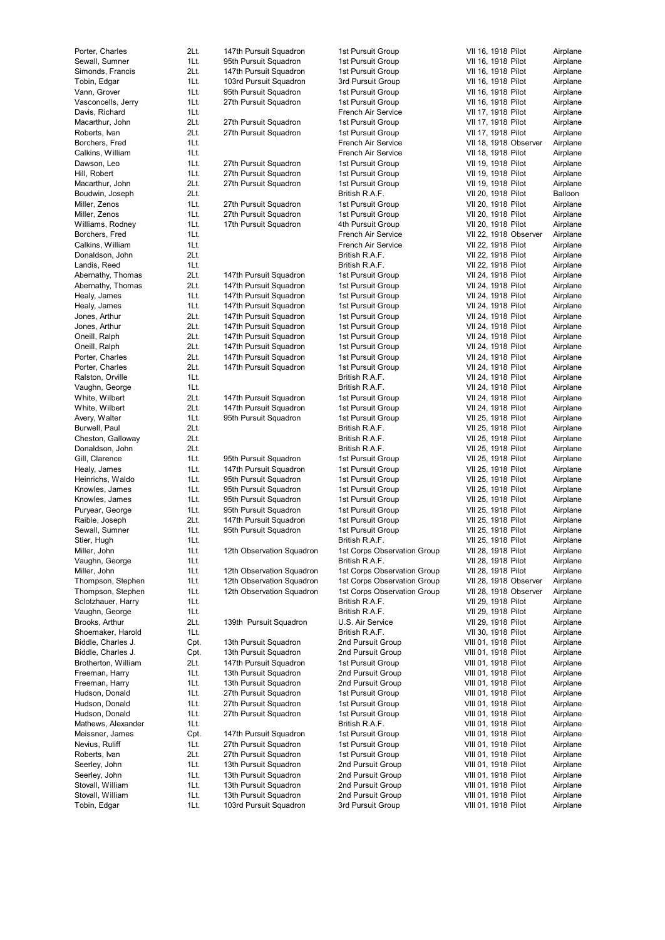| Porter, Charles                           | 2Lt.         | 147th Pursuit Squadron                                 | 1st Pursuit Group                                          | VII 16, 1918 Pilot<br>Airplane                                      |
|-------------------------------------------|--------------|--------------------------------------------------------|------------------------------------------------------------|---------------------------------------------------------------------|
| Sewall, Sumner                            | 1Lt.         | 95th Pursuit Squadron                                  | 1st Pursuit Group                                          | VII 16, 1918 Pilot<br>Airplane                                      |
| Simonds, Francis<br>Tobin, Edgar          | 2Lt.<br>1Lt. | 147th Pursuit Squadron<br>103rd Pursuit Squadron       | 1st Pursuit Group<br>3rd Pursuit Group                     | VII 16, 1918 Pilot<br>Airplane<br>VII 16, 1918 Pilot<br>Airplane    |
| Vann, Grover                              | 1Lt.         | 95th Pursuit Squadron                                  | 1st Pursuit Group                                          | VII 16, 1918 Pilot<br>Airplane                                      |
| Vasconcells, Jerry                        | 1Lt.         | 27th Pursuit Squadron                                  | 1st Pursuit Group                                          | VII 16, 1918 Pilot<br>Airplane                                      |
| Davis, Richard                            | 1Lt.         |                                                        | French Air Service                                         | VII 17, 1918 Pilot<br>Airplane                                      |
| Macarthur, John                           | 2Lt.         | 27th Pursuit Squadron                                  | 1st Pursuit Group                                          | VII 17, 1918 Pilot<br>Airplane                                      |
| Roberts, Ivan                             | 2Lt.         | 27th Pursuit Squadron                                  | 1st Pursuit Group                                          | VII 17, 1918 Pilot<br>Airplane                                      |
| Borchers, Fred                            | 1Lt.         |                                                        | French Air Service                                         | VII 18, 1918 Observer<br>Airplane                                   |
| Calkins, William<br>Dawson, Leo           | 1Lt.<br>1Lt. | 27th Pursuit Squadron                                  | French Air Service<br>1st Pursuit Group                    | VII 18, 1918 Pilot<br>Airplane<br>VII 19, 1918 Pilot<br>Airplane    |
| Hill, Robert                              | 1Lt.         | 27th Pursuit Squadron                                  | 1st Pursuit Group                                          | VII 19, 1918 Pilot<br>Airplane                                      |
| Macarthur, John                           | 2Lt.         | 27th Pursuit Squadron                                  | 1st Pursuit Group                                          | VII 19, 1918 Pilot<br>Airplane                                      |
| Boudwin, Joseph                           | 2Lt.         |                                                        | British R.A.F.                                             | VII 20, 1918 Pilot<br>Balloon                                       |
| Miller, Zenos                             | 1Lt.         | 27th Pursuit Squadron                                  | 1st Pursuit Group                                          | VII 20, 1918 Pilot<br>Airplane                                      |
| Miller, Zenos                             | 1Lt.         | 27th Pursuit Squadron                                  | 1st Pursuit Group                                          | VII 20, 1918 Pilot<br>Airplane                                      |
| Williams, Rodney                          | 1Lt.         | 17th Pursuit Squadron                                  | 4th Pursuit Group                                          | VII 20, 1918 Pilot<br>Airplane                                      |
| Borchers, Fred<br>Calkins, William        | 1Lt.<br>1Lt. |                                                        | French Air Service<br>French Air Service                   | VII 22, 1918 Observer<br>Airplane<br>VII 22, 1918 Pilot<br>Airplane |
| Donaldson, John                           | 2Lt.         |                                                        | British R.A.F.                                             | VII 22, 1918 Pilot<br>Airplane                                      |
| Landis, Reed                              | 1Lt.         |                                                        | British R.A.F.                                             | VII 22, 1918 Pilot<br>Airplane                                      |
| Abernathy, Thomas                         | 2Lt.         | 147th Pursuit Squadron                                 | 1st Pursuit Group                                          | VII 24, 1918 Pilot<br>Airplane                                      |
| Abernathy, Thomas                         | 2Lt.         | 147th Pursuit Squadron                                 | 1st Pursuit Group                                          | VII 24, 1918 Pilot<br>Airplane                                      |
| Healy, James                              | 1Lt.         | 147th Pursuit Squadron                                 | 1st Pursuit Group                                          | Airplane<br>VII 24, 1918 Pilot                                      |
| Healy, James                              | 1Lt.         | 147th Pursuit Squadron                                 | 1st Pursuit Group                                          | VII 24, 1918 Pilot<br>Airplane                                      |
| Jones, Arthur                             | 2Lt.         | 147th Pursuit Squadron                                 | 1st Pursuit Group                                          | VII 24, 1918 Pilot<br>Airplane                                      |
| Jones, Arthur<br>Oneill, Ralph            | 2Lt.<br>2Lt. | 147th Pursuit Squadron<br>147th Pursuit Squadron       | 1st Pursuit Group<br>1st Pursuit Group                     | Airplane<br>VII 24, 1918 Pilot<br>VII 24, 1918 Pilot<br>Airplane    |
| Oneill, Ralph                             | 2Lt.         | 147th Pursuit Squadron                                 | 1st Pursuit Group                                          | VII 24, 1918 Pilot<br>Airplane                                      |
| Porter, Charles                           | 2Lt.         | 147th Pursuit Squadron                                 | 1st Pursuit Group                                          | VII 24, 1918 Pilot<br>Airplane                                      |
| Porter, Charles                           | 2Lt.         | 147th Pursuit Squadron                                 | 1st Pursuit Group                                          | VII 24, 1918 Pilot<br>Airplane                                      |
| Ralston, Orville                          | 1Lt.         |                                                        | British R.A.F.                                             | VII 24, 1918 Pilot<br>Airplane                                      |
| Vaughn, George                            | 1Lt.         |                                                        | British R.A.F.                                             | VII 24, 1918 Pilot<br>Airplane                                      |
| White, Wilbert                            | 2Lt.         | 147th Pursuit Squadron                                 | 1st Pursuit Group                                          | VII 24, 1918 Pilot<br>Airplane                                      |
| White, Wilbert                            | 2Lt.<br>1Lt. | 147th Pursuit Squadron                                 | 1st Pursuit Group                                          | VII 24, 1918 Pilot<br>Airplane                                      |
| Avery, Walter<br>Burwell, Paul            | 2Lt.         | 95th Pursuit Squadron                                  | 1st Pursuit Group<br>British R.A.F.                        | VII 25, 1918 Pilot<br>Airplane<br>VII 25, 1918 Pilot<br>Airplane    |
| Cheston, Galloway                         | 2Lt.         |                                                        | British R.A.F.                                             | VII 25, 1918 Pilot<br>Airplane                                      |
| Donaldson, John                           | 2Lt.         |                                                        | British R.A.F.                                             | VII 25, 1918 Pilot<br>Airplane                                      |
| Gill, Clarence                            | 1Lt.         | 95th Pursuit Squadron                                  | 1st Pursuit Group                                          | VII 25, 1918 Pilot<br>Airplane                                      |
| Healy, James                              | 1Lt.         | 147th Pursuit Squadron                                 | 1st Pursuit Group                                          | VII 25, 1918 Pilot<br>Airplane                                      |
| Heinrichs, Waldo                          | 1Lt.         | 95th Pursuit Squadron                                  | 1st Pursuit Group                                          | VII 25, 1918 Pilot<br>Airplane                                      |
| Knowles, James<br>Knowles, James          | 1Lt.<br>1Lt. | 95th Pursuit Squadron<br>95th Pursuit Squadron         | 1st Pursuit Group<br>1st Pursuit Group                     | VII 25, 1918 Pilot<br>Airplane<br>VII 25, 1918 Pilot                |
| Puryear, George                           | 1Lt.         | 95th Pursuit Squadron                                  | 1st Pursuit Group                                          | Airplane<br>VII 25, 1918 Pilot<br>Airplane                          |
| Raible, Joseph                            | 2Lt.         | 147th Pursuit Squadron                                 | 1st Pursuit Group                                          | Airplane<br>VII 25, 1918 Pilot                                      |
| Sewall, Sumner                            | 1Lt.         | 95th Pursuit Squadron                                  | 1st Pursuit Group                                          | Airplane<br>VII 25, 1918 Pilot                                      |
| Stier, Hugh                               | 1Lt.         |                                                        | British R.A.F.                                             | VII 25, 1918 Pilot<br>Airplane                                      |
| Miller, John                              | 1Lt.         | 12th Observation Squadron                              | 1st Corps Observation Group                                | VII 28, 1918 Pilot<br>Airplane                                      |
| Vaughn, George                            | 1Lt.         |                                                        | British R.A.F.                                             | VII 28, 1918 Pilot<br>Airplane                                      |
| Miller, John<br>Thompson, Stephen         | 1Lt.<br>1Lt. | 12th Observation Squadron<br>12th Observation Squadron | 1st Corps Observation Group<br>1st Corps Observation Group | Airplane<br>VII 28, 1918 Pilot<br>Airplane<br>VII 28, 1918 Observer |
| Thompson, Stephen                         | 1Lt.         | 12th Observation Squadron                              | 1st Corps Observation Group                                | VII 28, 1918 Observer<br>Airplane                                   |
| Sclotzhauer, Harry                        | 1Lt.         |                                                        | British R.A.F.                                             | VII 29, 1918 Pilot<br>Airplane                                      |
| Vaughn, George                            | 1Lt.         |                                                        | British R.A.F.                                             | VII 29, 1918 Pilot<br>Airplane                                      |
| Brooks, Arthur                            | 2Lt.         | 139th Pursuit Squadron                                 | U.S. Air Service                                           | VII 29, 1918 Pilot<br>Airplane                                      |
| Shoemaker, Harold                         | 1Lt.         |                                                        | British R.A.F.                                             | VII 30, 1918 Pilot<br>Airplane                                      |
| Biddle, Charles J.                        | Cpt.         | 13th Pursuit Squadron                                  | 2nd Pursuit Group                                          | VIII 01, 1918 Pilot<br>Airplane                                     |
| Biddle, Charles J.<br>Brotherton, William | Cpt.<br>2Lt. | 13th Pursuit Squadron<br>147th Pursuit Squadron        | 2nd Pursuit Group                                          | VIII 01, 1918 Pilot<br>Airplane                                     |
| Freeman, Harry                            | 1Lt.         | 13th Pursuit Squadron                                  | 1st Pursuit Group<br>2nd Pursuit Group                     | Airplane<br>VIII 01, 1918 Pilot<br>VIII 01, 1918 Pilot<br>Airplane  |
| Freeman, Harry                            | 1Lt.         | 13th Pursuit Squadron                                  | 2nd Pursuit Group                                          | Airplane<br>VIII 01, 1918 Pilot                                     |
| Hudson, Donald                            | 1Lt.         | 27th Pursuit Squadron                                  | 1st Pursuit Group                                          | VIII 01, 1918 Pilot<br>Airplane                                     |
| Hudson, Donald                            | 1Lt.         | 27th Pursuit Squadron                                  | 1st Pursuit Group                                          | VIII 01, 1918 Pilot<br>Airplane                                     |
| Hudson, Donald                            | 1Lt.         | 27th Pursuit Squadron                                  | 1st Pursuit Group                                          | VIII 01, 1918 Pilot<br>Airplane                                     |
| Mathews, Alexander                        | 1Lt.         |                                                        | British R.A.F.                                             | VIII 01, 1918 Pilot<br>Airplane                                     |
| Meissner, James                           | Cpt.         | 147th Pursuit Squadron                                 | 1st Pursuit Group                                          | VIII 01, 1918 Pilot<br>Airplane                                     |
| Nevius, Ruliff<br>Roberts, Ivan           | 1Lt.<br>2Lt. | 27th Pursuit Squadron<br>27th Pursuit Squadron         | 1st Pursuit Group<br>1st Pursuit Group                     | VIII 01, 1918 Pilot<br>Airplane<br>Airplane<br>VIII 01, 1918 Pilot  |
| Seerley, John                             | 1Lt.         | 13th Pursuit Squadron                                  | 2nd Pursuit Group                                          | VIII 01, 1918 Pilot<br>Airplane                                     |
| Seerley, John                             | 1Lt.         | 13th Pursuit Squadron                                  | 2nd Pursuit Group                                          | Airplane<br>VIII 01, 1918 Pilot                                     |
| Stovall, William                          | 1Lt.         | 13th Pursuit Squadron                                  | 2nd Pursuit Group                                          | VIII 01, 1918 Pilot<br>Airplane                                     |
| Stovall, William                          | 1Lt.         | 13th Pursuit Squadron                                  | 2nd Pursuit Group                                          | VIII 01, 1918 Pilot<br>Airplane                                     |

| st Pursuit Group                     | VII 16, 1918 Pilot                         | Airplane             |
|--------------------------------------|--------------------------------------------|----------------------|
| st Pursuit Group                     | VII 16, 1918 Pilot                         | Airplane             |
| st Pursuit Group                     | VII 16, 1918 Pilot                         | Airplane             |
| d Pursuit Group                      | VII 16, 1918 Pilot                         | Airplane             |
| st Pursuit Group                     | VII 16, 1918 Pilot                         | Airplane             |
| st Pursuit Group                     | VII 16, 1918 Pilot                         | Airplane             |
| ench Air Service                     | VII 17, 1918 Pilot                         | Airplane             |
| st Pursuit Group                     | VII 17, 1918 Pilot                         | Airplane             |
| st Pursuit Group                     | VII 17, 1918 Pilot                         | Airplane             |
| ench Air Service                     | VII 18, 1918 Observer                      | Airplane             |
| ench Air Service                     | VII 18, 1918 Pilot                         | Airplane             |
| st Pursuit Group                     | VII 19, 1918 Pilot                         | Airplane             |
| st Pursuit Group                     | VII 19, 1918 Pilot                         | Airplane             |
| st Pursuit Group                     | VII 19, 1918 Pilot                         | Airplane             |
| ritish R.A.F.                        | VII 20, 1918 Pilot                         | Balloon              |
| st Pursuit Group                     | VII 20, 1918 Pilot                         | Airplane             |
| st Pursuit Group<br>h Pursuit Group  | VII 20, 1918 Pilot<br>VII 20, 1918 Pilot   | Airplane<br>Airplane |
| ench Air Service                     | VII 22, 1918 Observer                      | Airplane             |
| ench Air Service                     | VII 22, 1918 Pilot                         | Airplane             |
| itish R.A.F.                         | VII 22, 1918 Pilot                         | Airplane             |
| itish R.A.F.                         | VII 22, 1918 Pilot                         | Airplane             |
| st Pursuit Group                     | VII 24, 1918 Pilot                         | Airplane             |
| st Pursuit Group                     | VII 24, 1918 Pilot                         | Airplane             |
| st Pursuit Group                     | VII 24, 1918 Pilot                         | Airplane             |
| st Pursuit Group                     | VII 24, 1918 Pilot                         | Airplane             |
| st Pursuit Group                     | VII 24, 1918 Pilot                         | Airplane             |
| st Pursuit Group                     | VII 24, 1918 Pilot                         | Airplane             |
| st Pursuit Group                     | VII 24, 1918 Pilot                         | Airplane             |
| st Pursuit Group                     | VII 24, 1918 Pilot                         | Airplane             |
| st Pursuit Group                     | VII 24, 1918 Pilot                         | Airplane             |
| st Pursuit Group                     | VII 24, 1918 Pilot                         | Airplane             |
| ritish R.A.F.                        | VII 24, 1918 Pilot                         | Airplane             |
| ritish R.A.F.                        | VII 24, 1918 Pilot                         | Airplane             |
| st Pursuit Group                     | VII 24, 1918 Pilot                         | Airplane             |
| st Pursuit Group                     | VII 24, 1918 Pilot                         | Airplane             |
| st Pursuit Group                     | VII 25, 1918 Pilot                         | Airplane             |
| itish R.A.F.                         | VII 25, 1918 Pilot                         | Airplane             |
| ritish R.A.F.                        | VII 25, 1918 Pilot                         | Airplane             |
| ritish R.A.F.                        | VII 25, 1918 Pilot                         | Airplane             |
| st Pursuit Group                     | VII 25, 1918 Pilot                         | Airplane             |
| st Pursuit Group                     | VII 25, 1918 Pilot                         | Airplane             |
| st Pursuit Group                     | VII 25, 1918 Pilot                         | Airplane             |
| st Pursuit Group                     | VII 25, 1918 Pilot                         | Airplane             |
| st Pursuit Group                     | VII 25, 1918 Pilot                         | Airplane             |
| st Pursuit Group                     | VII 25, 1918 Pilot                         | Airplane             |
| st Pursuit Group                     | VII 25, 1918 Pilot                         | Airplane             |
| st Pursuit Group                     | VII 25, 1918 Pilot                         | Airplane             |
| ritish R.A.F.                        | VII 25, 1918 Pilot                         | Airplane             |
| st Corps Observation Group           | VII 28, 1918 Pilot                         | Airplane             |
| itish R.A.F.                         | VII 28, 1918 Pilot                         | Airplane             |
| st Corps Observation Group           | VII 28, 1918 Pilot                         | Airplane             |
| st Corps Observation Group           | VII 28, 1918 Observer                      | Airplane             |
| st Corps Observation Group           | VII 28, 1918 Observer                      | Airplane             |
| ritish R.A.F.                        | VII 29, 1918 Pilot                         | Airplane             |
| ritish R.A.F.                        | VII 29, 1918 Pilot                         | Airplane             |
| .S. Air Service                      | VII 29, 1918 Pilot                         | Airplane             |
| ritish R.A.F.                        | VII 30, 1918 Pilot                         | Airplane             |
| nd Pursuit Group                     | VIII 01, 1918 Pilot                        | Airplane             |
| nd Pursuit Group                     | VIII 01, 1918 Pilot<br>VIII 01, 1918 Pilot | Airplane             |
| st Pursuit Group                     | VIII 01, 1918 Pilot                        | Airplane             |
| nd Pursuit Group<br>nd Pursuit Group | VIII 01, 1918 Pilot                        | Airplane             |
| st Pursuit Group                     | VIII 01, 1918 Pilot                        | Airplane<br>Airplane |
| st Pursuit Group                     | VIII 01, 1918 Pilot                        |                      |
| st Pursuit Group                     | VIII 01, 1918 Pilot                        | Airplane<br>Airplane |
| ritish R.A.F.                        | VIII 01, 1918 Pilot                        | Airplane             |
| st Pursuit Group                     | VIII 01, 1918 Pilot                        | Airplane             |
| st Pursuit Group                     | VIII 01, 1918 Pilot                        | Airplane             |
| st Pursuit Group                     | VIII 01, 1918 Pilot                        | Airplane             |
| nd Pursuit Group                     | VIII 01, 1918 Pilot                        | Airplane             |
| nd Pursuit Group                     | VIII 01, 1918 Pilot                        | Airplane             |
| nd Pursuit Group                     | VIII 01, 1918 Pilot                        | Airplane             |
| nd Pursuit Group                     | VIII 01, 1918 Pilot                        | Airplane             |
|                                      |                                            |                      |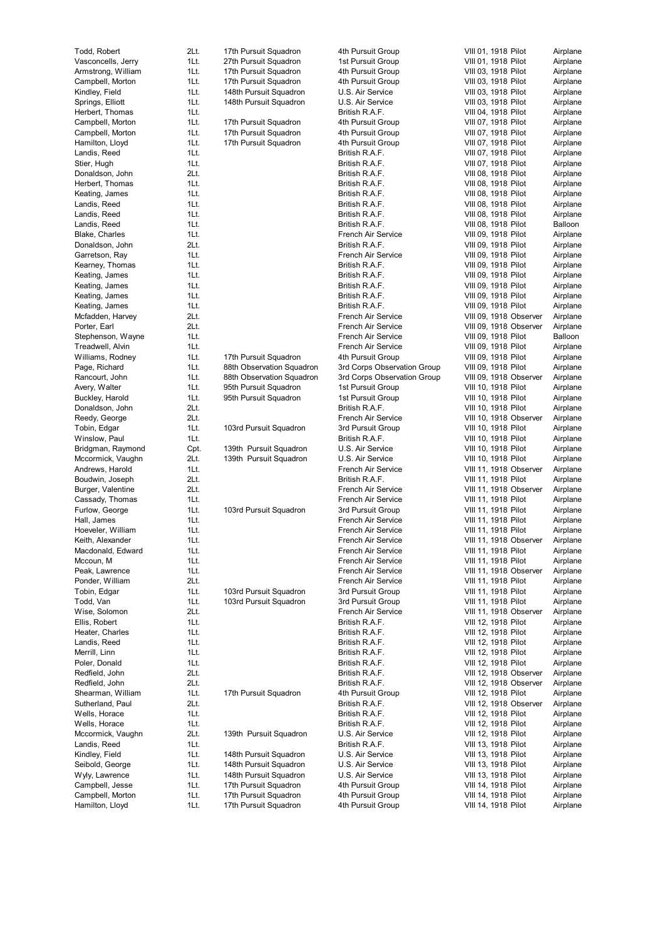| Todd, Robert       | 2Lt.   | 17th Pursuit Squadron     | 4th Pursuit Group           | VIII 01, 1918 Pilot<br>Airplane       |
|--------------------|--------|---------------------------|-----------------------------|---------------------------------------|
| Vasconcells, Jerry | 1Lt.   | 27th Pursuit Squadron     | 1st Pursuit Group           | VIII 01, 1918 Pilot<br>Airplane       |
| Armstrong, William | 1Lt.   | 17th Pursuit Squadron     | 4th Pursuit Group           | VIII 03, 1918 Pilot<br>Airplane       |
| Campbell, Morton   | 1Lt.   | 17th Pursuit Squadron     | 4th Pursuit Group           | VIII 03, 1918 Pilot<br>Airplane       |
| Kindley, Field     | 1Lt.   | 148th Pursuit Squadron    | U.S. Air Service            | VIII 03, 1918 Pilot<br>Airplane       |
| Springs, Elliott   | 1Lt.   | 148th Pursuit Squadron    | U.S. Air Service            | VIII 03, 1918 Pilot<br>Airplane       |
| Herbert, Thomas    | 1Lt.   |                           | British R.A.F.              | VIII 04, 1918 Pilot<br>Airplane       |
| Campbell, Morton   | 1Lt.   | 17th Pursuit Squadron     | 4th Pursuit Group           | VIII 07, 1918 Pilot<br>Airplane       |
| Campbell, Morton   | 1Lt.   | 17th Pursuit Squadron     | 4th Pursuit Group           | VIII 07, 1918 Pilot<br>Airplane       |
| Hamilton, Lloyd    | 1Lt.   | 17th Pursuit Squadron     | 4th Pursuit Group           | VIII 07, 1918 Pilot<br>Airplane       |
|                    |        |                           |                             | VIII 07, 1918 Pilot                   |
| Landis, Reed       | 1Lt.   |                           | British R.A.F.              | Airplane                              |
| Stier, Hugh        | 1Lt.   |                           | British R.A.F.              | VIII 07, 1918 Pilot<br>Airplane       |
| Donaldson, John    | 2Lt.   |                           | British R.A.F.              | VIII 08, 1918 Pilot<br>Airplane       |
| Herbert, Thomas    | 1Lt.   |                           | British R.A.F.              | VIII 08, 1918 Pilot<br>Airplane       |
| Keating, James     | 1Lt.   |                           | British R.A.F.              | VIII 08, 1918 Pilot<br>Airplane       |
| Landis, Reed       | 1Lt.   |                           | British R.A.F.              | VIII 08, 1918 Pilot<br>Airplane       |
| Landis, Reed       | 1Lt.   |                           | British R.A.F.              | VIII 08, 1918 Pilot<br>Airplane       |
| Landis, Reed       | 1Lt.   |                           | British R.A.F.              | VIII 08, 1918 Pilot<br>Balloon        |
| Blake, Charles     | 1Lt.   |                           | French Air Service          | VIII 09, 1918 Pilot<br>Airplane       |
| Donaldson, John    | 2Lt.   |                           | British R.A.F.              | VIII 09, 1918 Pilot<br>Airplane       |
| Garretson, Ray     | 1Lt.   |                           | French Air Service          | VIII 09, 1918 Pilot<br>Airplane       |
|                    | 1Lt.   |                           |                             | Airplane                              |
| Kearney, Thomas    |        |                           | British R.A.F.              | VIII 09, 1918 Pilot                   |
| Keating, James     | 1Lt.   |                           | British R.A.F.              | VIII 09, 1918 Pilot<br>Airplane       |
| Keating, James     | 1Lt.   |                           | British R.A.F.              | VIII 09, 1918 Pilot<br>Airplane       |
| Keating, James     | 1Lt.   |                           | British R.A.F.              | VIII 09, 1918 Pilot<br>Airplane       |
| Keating, James     | 1Lt.   |                           | British R.A.F.              | VIII 09, 1918 Pilot<br>Airplane       |
| Mcfadden, Harvey   | 2Lt.   |                           | French Air Service          | VIII 09, 1918 Observer<br>Airplane    |
| Porter, Earl       | 2Lt.   |                           | French Air Service          | VIII 09, 1918 Observer<br>Airplane    |
| Stephenson, Wayne  | 1Lt.   |                           | French Air Service          | VIII 09, 1918 Pilot<br>Balloon        |
| Treadwell, Alvin   | 1Lt.   |                           | French Air Service          | VIII 09, 1918 Pilot<br>Airplane       |
| Williams, Rodney   | 1Lt.   | 17th Pursuit Squadron     | 4th Pursuit Group           | VIII 09, 1918 Pilot<br>Airplane       |
| Page, Richard      | 1Lt.   | 88th Observation Squadron | 3rd Corps Observation Group | VIII 09, 1918 Pilot<br>Airplane       |
|                    |        |                           |                             |                                       |
| Rancourt, John     | 1Lt.   | 88th Observation Squadron | 3rd Corps Observation Group | VIII 09, 1918 Observer<br>Airplane    |
| Avery, Walter      | 1Lt.   | 95th Pursuit Squadron     | 1st Pursuit Group           | VIII 10, 1918 Pilot<br>Airplane       |
| Buckley, Harold    | 1Lt.   | 95th Pursuit Squadron     | 1st Pursuit Group           | Airplane<br>VIII 10, 1918 Pilot       |
| Donaldson, John    | 2Lt.   |                           | British R.A.F.              | VIII 10, 1918 Pilot<br>Airplane       |
| Reedy, George      | 2Lt.   |                           | French Air Service          | VIII 10, 1918 Observer<br>Airplane    |
| Tobin, Edgar       | 1Lt.   | 103rd Pursuit Squadron    | 3rd Pursuit Group           | VIII 10, 1918 Pilot<br>Airplane       |
| Winslow, Paul      | 1Lt.   |                           | British R.A.F.              | VIII 10, 1918 Pilot<br>Airplane       |
| Bridgman, Raymond  | Cpt.   | 139th Pursuit Squadron    | U.S. Air Service            | VIII 10, 1918 Pilot<br>Airplane       |
| Mccormick, Vaughn  | 2Lt.   | 139th Pursuit Squadron    | U.S. Air Service            | Airplane<br>VIII 10, 1918 Pilot       |
| Andrews, Harold    | 1Lt.   |                           | French Air Service          | Airplane                              |
|                    | 2Lt.   |                           | British R.A.F.              | VIII 11, 1918 Observer                |
| Boudwin, Joseph    |        |                           |                             | VIII 11, 1918 Pilot<br>Airplane       |
| Burger, Valentine  | 2Lt.   |                           | French Air Service          | VIII 11, 1918 Observer<br>Airplane    |
| Cassady, Thomas    | 1Lt.   |                           | French Air Service          | VIII 11, 1918 Pilot<br>Airplane       |
| Furlow, George     | 1Lt.   | 103rd Pursuit Squadron    | 3rd Pursuit Group           | VIII 11, 1918 Pilot<br>Airplane       |
| Hall, James        | 1Lt.   |                           | French Air Service          | VIII 11, 1918 Pilot<br>Airplane       |
| Hoeveler, William  | 1Lt.   |                           | French Air Service          | VIII 11, 1918 Pilot<br>Airplane       |
| Keith, Alexander   | 1Lt.   |                           | French Air Service          | VIII 11, 1918 Observer<br>Airplane    |
| Macdonald, Edward  | 1Lt.   |                           | French Air Service          | Airplane<br>VIII 11, 1918 Pilot       |
| Mccoun, M          | 1Lt.   |                           | French Air Service          | VIII 11, 1918 Pilot<br>Airplane       |
| Peak, Lawrence     | 1Lt.   |                           | French Air Service          | VIII 11, 1918 Observer<br>Airplane    |
| Ponder, William    | 2Lt.   |                           | French Air Service          | VIII 11, 1918 Pilot<br>Airplane       |
| Tobin, Edgar       | 1Lt.   | 103rd Pursuit Squadron    | 3rd Pursuit Group           | VIII 11, 1918 Pilot<br>Airplane       |
|                    |        |                           |                             |                                       |
| Todd, Van          | 1Lt.   | 103rd Pursuit Squadron    | 3rd Pursuit Group           | VIII 11, 1918 Pilot<br>Airplane       |
| Wise, Solomon      | 2Lt.   |                           | French Air Service          | VIII 11, 1918 Observer<br>Airplane    |
| Ellis, Robert      | 1Lt.   |                           | British R.A.F.              | VIII 12, 1918 Pilot<br>Airplane       |
| Heater, Charles    | 1Lt.   |                           | British R.A.F.              | VIII 12, 1918 Pilot<br>Airplane       |
| Landis, Reed       | 1Lt.   |                           | British R.A.F.              | VIII 12, 1918 Pilot<br>Airplane       |
| Merrill, Linn      | 1Lt.   |                           | British R.A.F.              | Airplane<br>VIII 12, 1918 Pilot       |
| Poler, Donald      | 1Lt.   |                           | British R.A.F.              | VIII 12, 1918 Pilot<br>Airplane       |
| Redfield, John     | 2Lt.   |                           | British R.A.F.              | VIII 12, 1918 Observer<br>Airplane    |
| Redfield, John     | 2Lt.   |                           | British R.A.F.              | VIII 12, 1918 Observer<br>Airplane    |
| Shearman, William  | 1Lt.   | 17th Pursuit Squadron     | 4th Pursuit Group           | VIII 12, 1918 Pilot<br>Airplane       |
|                    | 2Lt.   |                           |                             |                                       |
| Sutherland, Paul   |        |                           | British R.A.F.              | VIII 12, 1918 Observer<br>Airplane    |
| Wells, Horace      | 1Lt.   |                           | British R.A.F.              | VIII 12, 1918 Pilot<br>Airplane       |
| Wells, Horace      | 1Lt.   |                           | British R.A.F.              | VIII 12, 1918 Pilot<br>Airplane       |
| Mccormick, Vaughn  | 2Lt.   | 139th Pursuit Squadron    | U.S. Air Service            | VIII 12, 1918 Pilot<br>Airplane       |
| Landis, Reed       | 1Lt.   |                           | British R.A.F.              | VIII 13, 1918 Pilot<br>Airplane       |
| Kindley, Field     | 1Lt.   | 148th Pursuit Squadron    | U.S. Air Service            | VIII 13, 1918 Pilot<br>Airplane       |
| Seibold, George    | 1Lt.   | 148th Pursuit Squadron    | U.S. Air Service            | VIII 13, 1918 Pilot<br>Airplane       |
| Wyly, Lawrence     | 1Lt.   | 148th Pursuit Squadron    | U.S. Air Service            | VIII 13, 1918 Pilot<br>Airplane       |
| Campbell, Jesse    | 1Lt.   | 17th Pursuit Squadron     | 4th Pursuit Group           | VIII 14, 1918 Pilot<br>Airplane       |
| Compholl Morton    | $11 +$ | 17th Dureuit Caugdron     | Ath Durouit Croup           | VIII 14 1018 Dilot<br><b>Airplano</b> |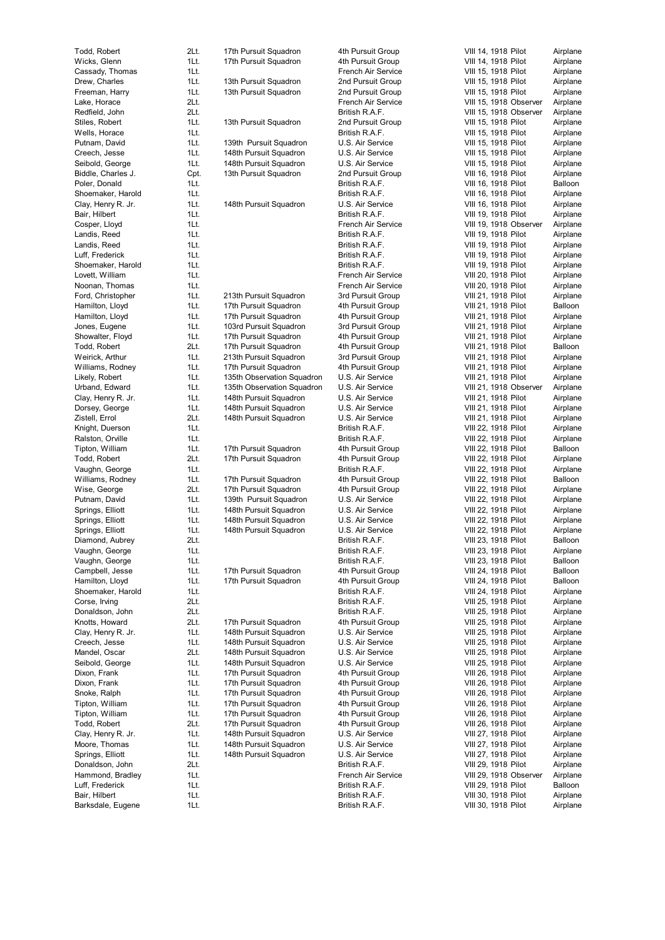Todd, Robe Wicks, Glenn 1Lt. 17 Cassady, Thom D r ew, Cha Free man, H Lake, Hora Red field, John 2Lt. Stiles, Robe Wells, Hora Putnam, Da vid 1Lt. 139 Creech, Jesse 1Lt. 148 S eibold, Geo Biddle, Charles J. Poler, Donald 1Lt. Shoemaker, Har Clay, Henry R. B air, Hilbe Cosper, Llo Landis, Reed 1Lt. Landis, Reed 1Lt. **Luff**, Frederick Shoemaker, Harold 1Lt. Lo vett, Willi Noonan, Tho m Ford, Christopher 1Lt. 213 Hamilton, Llo Hamilton, Llo Jone s, Eugene 1Lt. 103 Showalter, Flo Todd, Robe Weirick, Ar Williams, Rodney **1Lt.** 17 Lik ely, Robe rt 1Lt. 135 Urband, Edwa Clay, Henry R. Dorsey, Geo Zistell, Err ol 2Lt. 148 K night, Due r Ralston, Orville 1Lt. Tip ton, Willi Todd, Robe rt 2Lt. 17 Vaughn, Geo rge 1Lt. Williams, Rodney 1Lt. 17 Wis e, Geo Putnam, Da vid 1Lt. 139 S p ring s, Elli Springs, Elli Springs, Elli Dia mond, Aub r Vaughn, Geo Vaughn, Geo rge 1Lt. Campbell, Jesse 1Lt. 17 Hamilton, Llo yd 1Lt. 17 Shoemaker, Harold 1Lt. Corse, Irving 2Lt. Donald son, John 2Lt. Knotts, Howa Clay, Henry R. Creech, Jesse 1Lt. 148 Mandel, Oscar S eibold, Geo rge 1Lt. 148 Dixon, Frank 1Lt. Dixon, Frank 1Lt. Snoke, Ralph 1Lt. 17 Tip ton, Willi am 1Lt. 17 Tip ton, Willi am 1Lt. 17 Todd, Robe Clay, Henry R. Moore, Thom as 1Lt. 148 S p ring s, Elli Donald son, John 2Lt. H ammond, B Luff, Frede rick 1Lt. B air, Hilbe Barksdale, Eugene 1Lt.

| ert<br>'nn             | 2Lt.<br>1Lt. | 17th Pursuit Squadron<br>17th Pursuit Squadron   | 4th F<br>4th F                 |
|------------------------|--------------|--------------------------------------------------|--------------------------------|
| homas                  | 1Lt.         |                                                  | Fren                           |
| rles                   | 1Lt.         | 13th Pursuit Squadron                            | 2nd                            |
| Harry                  | 1Lt.         | 13th Pursuit Squadron                            | 2nd                            |
| ce                     | 2Lt.         |                                                  | Fren                           |
| ohn                    | 2Lt.         |                                                  | <b>Britis</b>                  |
| ert                    | 1Lt.         | 13th Pursuit Squadron                            | 2nd                            |
| асе                    | 1Lt.         |                                                  | <b>Britis</b>                  |
| avid<br>sse            | 1Lt.<br>1Lt. | 139th Pursuit Squadron<br>148th Pursuit Squadron | U.S.<br>U.S.                   |
| eorge                  | 1Lt.         | 148th Pursuit Squadron                           | U.S.                           |
| arles J.               | Cpt.         | 13th Pursuit Squadron                            | 2nd                            |
| ble                    | 1Lt.         |                                                  | <b>Britis</b>                  |
| r, Harold              | 1Lt.         |                                                  | <b>Britis</b>                  |
| γR. Jr.                | 1Lt.         | 148th Pursuit Squadron                           | U.S.                           |
| t                      | 1Lt.         |                                                  | <b>Britis</b>                  |
| byd                    | 1Lt.         |                                                  | Fren                           |
| ed                     | 1Lt.         |                                                  | <b>Britis</b>                  |
| ed<br>rick             | 1Lt.<br>1Lt. |                                                  | <b>Britis</b><br><b>Britis</b> |
| r, Harold              | 1Lt.         |                                                  | <b>Britis</b>                  |
| liam                   | 1Lt.         |                                                  | Fren                           |
| nomas                  | 1Lt.         |                                                  | Fren                           |
| itopher                | 1Lt.         | 213th Pursuit Squadron                           | 3rd F                          |
| .loyd                  | 1Lt.         | 17th Pursuit Squadron                            | 4th F                          |
| .loyd                  | 1Lt.         | 17th Pursuit Squadron                            | 4th F                          |
| ene                    | 1Lt.         | 103rd Pursuit Squadron                           | 3rd F                          |
| Floyd                  | 1Lt.         | 17th Pursuit Squadron                            | 4th F                          |
| ert                    | 2Lt.<br>1Lt. | 17th Pursuit Squadron                            | 4th F                          |
| thur<br><b>Rodney</b>  | 1Lt.         | 213th Pursuit Squadron<br>17th Pursuit Squadron  | 3rd F<br>4th F                 |
| ert                    | 1Lt.         | 135th Observation Squadron                       | U.S.                           |
| lward                  | 1Lt.         | 135th Observation Squadron                       | U.S.                           |
| y R. Jr.               | 1Lt.         | 148th Pursuit Squadron                           | U.S.                           |
| orge:                  | 1Lt.         | 148th Pursuit Squadron                           | U.S.                           |
| JІ                     | 2Lt.         | 148th Pursuit Squadron                           | U.S.                           |
| erson                  | 1Lt.         |                                                  | <b>Britis</b>                  |
| rville                 | 1Lt.         |                                                  | <b>Britis</b>                  |
| liam                   | 1Lt.         | 17th Pursuit Squadron                            | 4th F                          |
| ert                    | 2Lt.         | 17th Pursuit Squadron                            | 4th F                          |
| eorge<br><b>Rodney</b> | 1Lt.<br>1Lt. | 17th Pursuit Squadron                            | <b>Britis</b><br>4th F         |
| rge                    | 2Lt.         | 17th Pursuit Squadron                            | 4th F                          |
| avid                   | 1Lt.         | 139th Pursuit Squadron                           | U.S.                           |
| liott                  | 1Lt.         | 148th Pursuit Squadron                           | U.S.                           |
| liott                  | 1Lt.         | 148th Pursuit Squadron                           | U.S.                           |
| liott                  | 1Lt.         | 148th Pursuit Squadron                           | U.S.                           |
| Aubrey                 | 2Lt.         |                                                  | <b>Britis</b>                  |
| eorge                  | 1Lt.         |                                                  | <b>Britis</b>                  |
| eorge                  | 1Lt.         |                                                  | <b>Britis</b>                  |
| Jesse                  | 1Lt.         | 17th Pursuit Squadron                            | 4th F                          |
| .loyd                  | 1Lt.         | 17th Pursuit Squadron                            | 4th F                          |
| r, Harold              | 1Lt.<br>2Lt. |                                                  | <b>Britis</b><br><b>Britis</b> |
| ıg<br>, John           | 2Lt.         |                                                  | <b>Britis</b>                  |
| ward                   | 2Lt.         | 17th Pursuit Squadron                            | 4th F                          |
| y R. Jr.               | 1Lt.         | 148th Pursuit Squadron                           | U.S.                           |
| sse                    | 1Lt.         | 148th Pursuit Squadron                           | U.S.                           |
| scar                   | 2Lt.         | 148th Pursuit Squadron                           | U.S.                           |
| eorge                  | 1Lt.         | 148th Pursuit Squadron                           | U.S.                           |
| ۱k                     | 1Lt.         | 17th Pursuit Squadron                            | 4th F                          |
| ۱k                     | 1Lt.         | 17th Pursuit Squadron                            | 4th F                          |
| ph                     | 1Lt.         | 17th Pursuit Squadron                            | 4th F                          |
| liam                   | 1Lt.         | 17th Pursuit Squadron                            | 4th F                          |
| liam                   | 1Lt.         | 17th Pursuit Squadron                            | 4th F                          |
| ert<br>y R. Jr.        | 2Lt.<br>1Lt. | 17th Pursuit Squadron                            | 4th F                          |
| omas                   | 1Lt.         | 148th Pursuit Squadron<br>148th Pursuit Squadron | U.S.<br>U.S.                   |
| liott                  | 1Lt.         | 148th Pursuit Squadron                           | U.S.                           |
| , John                 | 2Lt.         |                                                  | <b>Britis</b>                  |
| Bradley                | 1Lt.         |                                                  | Fren                           |
| rick                   | 1Lt.         |                                                  | <b>Britis</b>                  |
| t                      | 1Lt.         |                                                  | <b>Britis</b>                  |
|                        |              |                                                  |                                |

4th Pursuit Group 4th Pursuit Group c h Air S e r vice ron 2nd Pursuit Group ron 2nd Pursuit Group c h Air S e r vice B ritis h R. A.F. ron 2nd Pursuit Group B ritis h R. A.F. ron U.S. Air Service ron U.S. Air Service ron U.S. Air Service ron 2nd Pursuit Group B ritis h R. A.F. B ritis h R. A.F. ron U.S. Air Service B ritis h R. A.F. c h Air S e r vice B ritis h R. A.F. B ritis h R. A.F. B ritis h R. A.F. B ritis h R. A.F. c h Air S e r vice c h Air S e r vice 3rd Pursuit Group 4th Pursuit Group 4th Pursuit Group 3rd Pursuit Group 4th Pursuit Group 4th Pursuit Group 3rd Pursuit Group 4th Pursuit Group ron U.S. Air Service ron U.S. Air Service ron U.S. Air Service ron U.S. Air Service ron U.S. Air Service B ritis h R. A.F. B ritis h R. A.F. 4th Pursuit Group 4th Pursuit Group B ritis h R. A.F. 4th Pursuit Group 4th Pursuit Group ron U.S. Air Service ron U.S. Air Service ron U.S. Air Service ron U.S. Air Service B ritis h R. A.F. B ritis h R. A.F. B ritis h R. A.F. 4th Pursuit Group 4th Pursuit Group B ritis h R. A.F. B ritis h R. A.F. B ritis h R. A.F. 4th Pursuit Group ron U.S. Air Service ron U.S. Air Service ron U.S. Air Service ron U.S. Air Service 4th Pursuit Group 4th Pursuit Group 4th Pursuit Group 4th Pursuit Group 4th Pursuit Group 4th Pursuit Group ron U.S. Air Service ron U.S. Air Service ron U.S. Air Service B ritis h R. A.F. c h Air S e r vice B ritis h R. A.F. B ritis h R. A.F. B ritis h R. A.F.

|      | VIII 14,        | 1918                | Pilot    | Airplane |
|------|-----------------|---------------------|----------|----------|
|      | VIII 14,        | 1918                | Pilot    | Airplane |
| VIII | 15,             | 1918                | Pilot    | Airplane |
| VIII | 15,             | 1918                | Pilot    | Airplane |
|      |                 | 1918                |          |          |
| VIII | 15,             |                     | Pilot    | Airplane |
| VIII | 15,             | 1918                | Observer | Airplane |
| VIII | 15,             | 1918                | Observer | Airplane |
| VIII | 15,             | 1918                | Pilot    | Airplane |
| VIII | 15,             | 1918                | Pilot    | Airplane |
| VIII | 15,             | 1918                | Pilot    | Airplane |
| VIII | 15,             | 1918                | Pilot    | Airplane |
| VIII | 15,             | 1918                | Pilot    | Airplane |
|      |                 |                     |          |          |
| VIII | 16,             | 1918                | Pilot    | Airplane |
| VIII | 16,             | 1918                | Pilot    | Balloon  |
| VIII | 16,             | 1918                | Pilot    | Airplane |
| VIII | 16,             | 1918                | Pilot    | Airplane |
| VIII | 19,             | 1918                | Pilot    | Airplane |
| VIII |                 | 19, 1918            | Observer | Airplane |
| VIII |                 | 19, 1918            | Pilot    | Airplane |
|      |                 |                     |          |          |
| VIII |                 | 19, 1918            | Pilot    | Airplane |
| VIII |                 | 19, 1918            | Pilot    | Airplane |
| VIII |                 | 19, 1918            | Pilot    | Airplane |
|      |                 | VIII 20, 1918       | Pilot    | Airplane |
|      |                 | VIII 20, 1918       | Pilot    | Airplane |
|      | VIII 21,        | 1918                | Pilot    | Airplane |
|      |                 | VIII 21, 1918       | Pilot    | Balloon  |
|      |                 |                     |          | Airplane |
|      | VIII 21,        | 1918                | Pilot    |          |
|      | VIII 21,        | 1918                | Pilot    | Airplane |
|      | VIII 21,        | 1918                | Pilot    | Airplane |
|      | VIII 21,        | 1918                | Pilot    | Balloon  |
|      | VIII 21,        | 1918                | Pilot    | Airplane |
|      | VIII 21,        | 1918                | Pilot    | Airplane |
|      | VIII 21,        | 1918                | Pilot    | Airplane |
|      | VIII 21,        |                     |          |          |
|      |                 | 1918                | Observer | Airplane |
|      | VIII 21,        | 1918                | Pilot    | Airplane |
|      | VIII 21,        | 1918                | Pilot    | Airplane |
|      | VIII 21,        | 1918                | Pilot    | Airplane |
|      | VIII 22,        | 1918                | Pilot    | Airplane |
|      | VIII 22,        | 1918                | Pilot    | Airplane |
|      | VIII 22,        | 1918                | Pilot    | Balloon  |
|      |                 |                     |          |          |
|      | VIII 22,        | 1918                | Pilot    | Airplane |
|      | VIII 22,        | 1918                | Pilot    | Airplane |
|      | VIII 22,        | 1918                | Pilot    | Balloon  |
|      | VIII 22,        | 1918                | Pilot    | Airplane |
|      |                 | VIII 22, 1918       | Pilot    | Airplane |
|      |                 | VIII 22, 1918       | Pilot    | Airplane |
|      |                 | VIII 22, 1918       | Pilot    | Airplane |
|      |                 | VIII 22, 1918       |          |          |
|      |                 |                     | Pilot    | Airplane |
|      |                 | VIII 23, 1918       | Pilot    | Balloon  |
|      | VIII 23,        | 1918 Pilot          |          | Airplane |
|      | <b>VIII 23,</b> | 1918                | Pilot    | Balloon  |
|      | VIII 24,        | 1918                | Pilot    | Balloon  |
|      |                 | VIII 24, 1918       | Pilot    | Balloon  |
|      | VIII 24,        | 1918                | Pilot    | Airplane |
|      | VIII 25,        | 1918                | Pilot    |          |
|      |                 |                     |          | Airplane |
|      | VIII 25,        | 1918                | Pilot    | Airplane |
|      | VIII 25,        | 1918                | Pilot    | Airplane |
|      | VIII 25,        | 1918 Pilot          |          | Airplane |
|      | VIII 25,        | 1918                | Pilot    | Airplane |
|      | VIII 25,        | 1918 Pilot          |          | Airplane |
|      | VIII 25,        | 1918                | Pilot    | Airplane |
|      |                 |                     |          |          |
|      | VIII 26,        | 1918                | Pilot    | Airplane |
|      | VIII 26,        | 1918                | Pilot    | Airplane |
|      | VIII 26,        | 1918                | Pilot    | Airplane |
|      | VIII 26,        | 1918                | Pilot    | Airplane |
|      | VIII 26,        | 1918 Pilot          |          | Airplane |
|      | VIII 26,        | 1918                | Pilot    | Airplane |
|      |                 | VIII 27, 1918 Pilot |          | Airplane |
|      |                 | VIII 27, 1918       |          |          |
|      |                 |                     | Pilot    | Airplane |
|      |                 | VIII 27, 1918 Pilot |          | Airplane |
|      |                 | VIII 29, 1918 Pilot |          | Airplane |
|      |                 | VIII 29, 1918       | Observer | Airplane |
|      |                 | VIII 29, 1918       | Pilot    | Balloon  |
|      |                 | VIII 30, 1918       | Pilot    | Airplane |
|      |                 | VIII 30, 1918 Pilot |          | Airplane |
|      |                 |                     |          |          |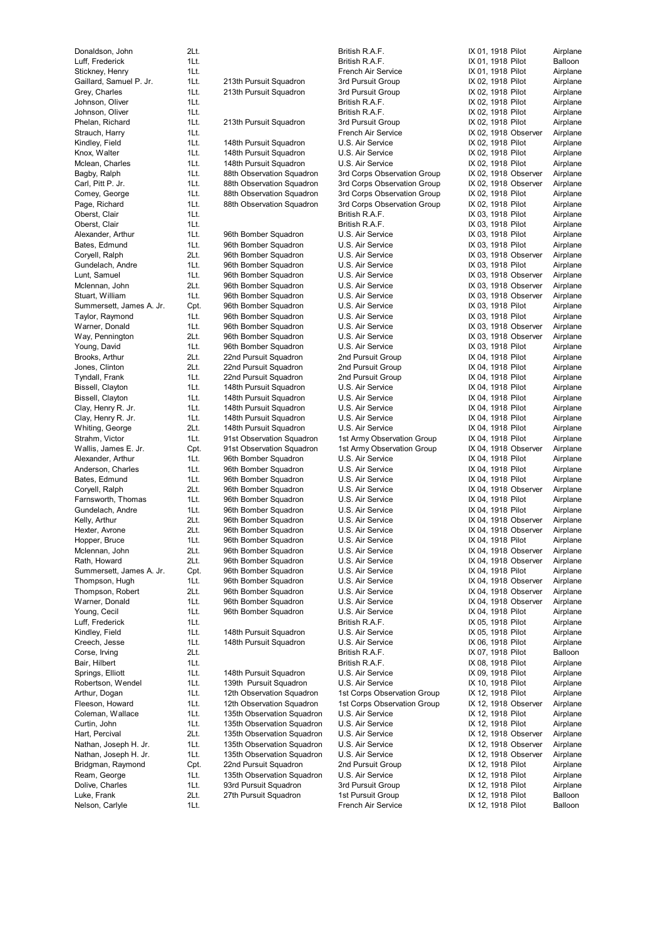| DUIMUSUH, JUHI           |
|--------------------------|
| Luff, Frederick          |
| Stickney, Henry          |
| Gaillard, Samuel P. Jr.  |
| Grey, Charles            |
| Johnson, Oliver          |
| Johnson, Oliver          |
|                          |
| Phelan, Richard          |
| Strauch, Harry           |
| Kindley, Field           |
| Knox, Walter             |
| Mclean, Charles          |
|                          |
| Bagby, Ralph             |
| Carl, Pitt P. Jr.        |
| Comey, George            |
| Page, Richard            |
| Oberst, Clair            |
| Oberst, Clair            |
|                          |
| Alexander, Arthur        |
| Bates, Edmund            |
| Coryell, Ralph           |
| Gundelach, Andre         |
| Lunt, Samuel             |
|                          |
| Mclennan, John           |
| Stuart, William          |
| Summersett, James A. Jr. |
| Taylor, Raymond          |
| Warner, Donald           |
| Way, Pennington          |
|                          |
| Young, David             |
| Brooks, Arthur           |
| Jones, Clinton           |
| Tyndall, Frank           |
| Bissell, Clayton         |
| Bissell, Clayton         |
|                          |
| Clay, Henry R. Jr.       |
| Clay, Henry R. Jr.       |
| Whiting, George          |
| Strahm, Victor           |
| Wallis, James E. Jr.     |
| Alexander, Arthur        |
|                          |
| Anderson, Charles        |
| Bates, Edmund            |
| Coryell, Ralph           |
| Farnsworth, Thomas       |
| Gundelach, Andre         |
|                          |
| Kelly, Arthur            |
| Hexter, Avrone           |
| Hopper, Bruce            |
| Mclennan, John           |
| Rath, Howard             |
| Summersett, James A. Jr. |
| Thompson, Hugh           |
|                          |
| Thompson, Robert         |
| Warner, Donald           |
| Young, Cecil             |
| Luff, Frederick          |
| Kindley, Field           |
| Creech, Jesse            |
|                          |
|                          |
| Corse, Irving            |
| Bair, Hilbert            |
| Springs, Elliott         |
|                          |
| Robertson, Wendel        |
| Arthur, Dogan            |
| Fleeson, Howard          |
| Coleman, Wallace         |
| Curtin, John             |
| Hart, Percival           |
|                          |
| Nathan, Joseph H. Jr.    |
| Nathan, Joseph H. Jr.    |
| Bridgman, Raymond        |
| Ream, George             |
| Dolive, Charles          |
| Luke, Frank              |
| Nelson, Carlyle          |

| Donaldson, John                    | 2Lt.         |                                                 | British R.A.F.                        | IX 01, 1918 Pilot                            | Airplane             |
|------------------------------------|--------------|-------------------------------------------------|---------------------------------------|----------------------------------------------|----------------------|
| Luff, Frederick                    | 1Lt.         |                                                 | British R.A.F.                        | IX 01, 1918 Pilot                            | Balloon              |
| Stickney, Henry                    | 1Lt.         |                                                 | French Air Service                    | IX 01, 1918 Pilot                            | Airplane             |
| Gaillard, Samuel P. Jr.            | 1Lt.         | 213th Pursuit Squadron                          | 3rd Pursuit Group                     | IX 02, 1918 Pilot                            | Airplane             |
| Grey, Charles                      | 1Lt.         | 213th Pursuit Squadron                          | 3rd Pursuit Group                     | IX 02, 1918 Pilot                            | Airplane             |
| Johnson, Oliver                    | 1Lt.         |                                                 | British R.A.F.<br>British R.A.F.      | IX 02, 1918 Pilot<br>IX 02, 1918 Pilot       | Airplane             |
| Johnson, Oliver<br>Phelan, Richard | 1Lt.<br>1Lt. | 213th Pursuit Squadron                          | 3rd Pursuit Group                     | IX 02, 1918 Pilot                            | Airplane<br>Airplane |
| Strauch, Harry                     | 1Lt.         |                                                 | French Air Service                    | IX 02, 1918 Observer                         | Airplane             |
| Kindley, Field                     | 1Lt.         | 148th Pursuit Squadron                          | U.S. Air Service                      | IX 02, 1918 Pilot                            | Airplane             |
| Knox, Walter                       | 1Lt.         | 148th Pursuit Squadron                          | U.S. Air Service                      | IX 02, 1918 Pilot                            | Airplane             |
| Mclean, Charles                    | 1Lt.         | 148th Pursuit Squadron                          | U.S. Air Service                      | IX 02, 1918 Pilot                            | Airplane             |
| Bagby, Ralph                       | 1Lt.         | 88th Observation Squadron                       | 3rd Corps Observation Group           | IX 02, 1918 Observer                         | Airplane             |
| Carl, Pitt P. Jr.                  | 1Lt.         | 88th Observation Squadron                       | 3rd Corps Observation Group           | IX 02, 1918 Observer                         | Airplane             |
| Comey, George                      | 1Lt.         | 88th Observation Squadron                       | 3rd Corps Observation Group           | IX 02, 1918 Pilot                            | Airplane             |
| Page, Richard                      | 1Lt.         | 88th Observation Squadron                       | 3rd Corps Observation Group           | IX 02, 1918 Pilot                            | Airplane             |
| Oberst, Clair                      | 1Lt.         |                                                 | British R.A.F.                        | IX 03, 1918 Pilot                            | Airplane             |
| Oberst, Clair                      | 1Lt.         |                                                 | British R.A.F.                        | IX 03, 1918 Pilot                            | Airplane             |
| Alexander, Arthur<br>Bates, Edmund | 1Lt.<br>1Lt. | 96th Bomber Squadron<br>96th Bomber Squadron    | U.S. Air Service<br>U.S. Air Service  | IX 03, 1918 Pilot<br>IX 03, 1918 Pilot       | Airplane<br>Airplane |
| Coryell, Ralph                     | 2Lt.         | 96th Bomber Squadron                            | U.S. Air Service                      | IX 03, 1918 Observer                         | Airplane             |
| Gundelach, Andre                   | 1Lt.         | 96th Bomber Squadron                            | U.S. Air Service                      | IX 03, 1918 Pilot                            | Airplane             |
| Lunt, Samuel                       | 1Lt.         | 96th Bomber Squadron                            | U.S. Air Service                      | IX 03, 1918 Observer                         | Airplane             |
| Mclennan, John                     | 2Lt.         | 96th Bomber Squadron                            | U.S. Air Service                      | IX 03, 1918 Observer                         | Airplane             |
| Stuart, William                    | 1Lt.         | 96th Bomber Squadron                            | U.S. Air Service                      | IX 03, 1918 Observer                         | Airplane             |
| Summersett, James A. Jr.           | Cpt.         | 96th Bomber Squadron                            | U.S. Air Service                      | IX 03, 1918 Pilot                            | Airplane             |
| Taylor, Raymond                    | 1Lt.         | 96th Bomber Squadron                            | U.S. Air Service                      | IX 03, 1918 Pilot                            | Airplane             |
| Warner, Donald                     | 1Lt.         | 96th Bomber Squadron                            | U.S. Air Service                      | IX 03, 1918 Observer                         | Airplane             |
| Way, Pennington                    | 2Lt.         | 96th Bomber Squadron                            | U.S. Air Service                      | IX 03, 1918 Observer                         | Airplane             |
| Young, David                       | 1Lt.         | 96th Bomber Squadron                            | U.S. Air Service                      | IX 03, 1918 Pilot                            | Airplane             |
| Brooks, Arthur                     | 2Lt.         | 22nd Pursuit Squadron                           | 2nd Pursuit Group                     | IX 04, 1918 Pilot                            | Airplane             |
| Jones, Clinton                     | 2Lt.         | 22nd Pursuit Squadron                           | 2nd Pursuit Group                     | IX 04, 1918 Pilot                            | Airplane             |
| Tyndall, Frank<br>Bissell, Clayton | 1Lt.<br>1Lt. | 22nd Pursuit Squadron<br>148th Pursuit Squadron | 2nd Pursuit Group<br>U.S. Air Service | IX 04, 1918 Pilot<br>IX 04, 1918 Pilot       | Airplane<br>Airplane |
| Bissell, Clayton                   | 1Lt.         | 148th Pursuit Squadron                          | U.S. Air Service                      | IX 04, 1918 Pilot                            | Airplane             |
| Clay, Henry R. Jr.                 | 1Lt.         | 148th Pursuit Squadron                          | U.S. Air Service                      | IX 04, 1918 Pilot                            | Airplane             |
| Clay, Henry R. Jr.                 | 1Lt.         | 148th Pursuit Squadron                          | U.S. Air Service                      | IX 04, 1918 Pilot                            | Airplane             |
| Whiting, George                    | 2Lt.         | 148th Pursuit Squadron                          | U.S. Air Service                      | IX 04, 1918 Pilot                            | Airplane             |
| Strahm, Victor                     | 1Lt.         | 91st Observation Squadron                       | 1st Army Observation Group            | IX 04, 1918 Pilot                            | Airplane             |
| Wallis, James E. Jr.               | Cpt.         | 91st Observation Squadron                       | 1st Army Observation Group            | IX 04, 1918 Observer                         | Airplane             |
| Alexander, Arthur                  | 1Lt.         | 96th Bomber Squadron                            | U.S. Air Service                      | IX 04, 1918 Pilot                            | Airplane             |
| Anderson, Charles                  | 1Lt.         | 96th Bomber Squadron                            | U.S. Air Service                      | IX 04, 1918 Pilot                            | Airplane             |
| Bates, Edmund                      | 1Lt.         | 96th Bomber Squadron                            | U.S. Air Service                      | IX 04, 1918 Pilot                            | Airplane             |
| Coryell, Ralph                     | 2Lt.         | 96th Bomber Squadron                            | U.S. Air Service                      | IX 04, 1918 Observer                         | Airplane             |
| Farnsworth, Thomas                 | 1Lt.         | 96th Bomber Squadron                            | U.S. Air Service                      | IX 04, 1918 Pilot                            | Airplane             |
| Gundelach, Andre                   | 1Lt.         | 96th Bomber Squadron                            | U.S. Air Service                      | IX 04, 1918 Pilot                            | Airplane             |
| Kelly, Arthur<br>Hexter, Avrone    | 2Lt.<br>2Lt. | 96th Bomber Squadron<br>96th Bomber Squadron    | U.S. Air Service<br>U.S. Air Service  | IX 04, 1918 Observer<br>IX 04, 1918 Observer | Airplane<br>Airplane |
| Hopper, Bruce                      | 1Lt.         | 96th Bomber Squadron                            | U.S. Air Service                      | IX 04, 1918 Pilot                            | Airplane             |
| Mclennan, John                     | 2Lt.         | 96th Bomber Squadron                            | U.S. Air Service                      | IX 04, 1918 Observer                         | Airplane             |
| Rath, Howard                       | 2Lt.         | 96th Bomber Squadron                            | U.S. Air Service                      | IX 04, 1918 Observer                         | Airplane             |
| Summersett, James A. Jr.           | Cpt.         | 96th Bomber Squadron                            | U.S. Air Service                      | IX 04, 1918 Pilot                            | Airplane             |
| Thompson, Hugh                     | 1Lt.         | 96th Bomber Squadron                            | U.S. Air Service                      | IX 04, 1918 Observer                         | Airplane             |
| Thompson, Robert                   | 2Lt.         | 96th Bomber Squadron                            | U.S. Air Service                      | IX 04, 1918 Observer                         | Airplane             |
| Warner, Donald                     | 1Lt.         | 96th Bomber Squadron                            | U.S. Air Service                      | IX 04, 1918 Observer                         | Airplane             |
| Young, Cecil                       | 1Lt.         | 96th Bomber Squadron                            | U.S. Air Service                      | IX 04, 1918 Pilot                            | Airplane             |
| Luff, Frederick                    | 1Lt.         |                                                 | British R.A.F.                        | IX 05, 1918 Pilot                            | Airplane             |
| Kindley, Field                     | 1Lt.         | 148th Pursuit Squadron                          | U.S. Air Service                      | IX 05, 1918 Pilot                            | Airplane             |
| Creech, Jesse                      | 1Lt.         | 148th Pursuit Squadron                          | U.S. Air Service                      | IX 06, 1918 Pilot                            | Airplane             |
| Corse, Irving<br>Bair, Hilbert     | 2Lt.<br>1Lt. |                                                 | British R.A.F.<br>British R.A.F.      | IX 07, 1918 Pilot<br>IX 08, 1918 Pilot       | Balloon<br>Airplane  |
| Springs, Elliott                   | 1Lt.         | 148th Pursuit Squadron                          | U.S. Air Service                      | IX 09, 1918 Pilot                            | Airplane             |
| Robertson, Wendel                  | 1Lt.         | 139th Pursuit Squadron                          | U.S. Air Service                      | IX 10, 1918 Pilot                            | Airplane             |
| Arthur, Dogan                      | 1Lt.         | 12th Observation Squadron                       | 1st Corps Observation Group           | IX 12, 1918 Pilot                            | Airplane             |
| Fleeson, Howard                    | 1Lt.         | 12th Observation Squadron                       | 1st Corps Observation Group           | IX 12, 1918 Observer                         | Airplane             |
| Coleman, Wallace                   | 1Lt.         | 135th Observation Squadron                      | U.S. Air Service                      | IX 12, 1918 Pilot                            | Airplane             |
| Curtin, John                       | 1Lt.         | 135th Observation Squadron                      | U.S. Air Service                      | IX 12, 1918 Pilot                            | Airplane             |
| Hart, Percival                     | 2Lt.         | 135th Observation Squadron                      | U.S. Air Service                      | IX 12, 1918 Observer                         | Airplane             |
| Nathan, Joseph H. Jr.              | 1Lt.         | 135th Observation Squadron                      | U.S. Air Service                      | IX 12, 1918 Observer                         | Airplane             |
| Nathan, Joseph H. Jr.              | 1Lt.         | 135th Observation Squadron                      | U.S. Air Service                      | IX 12, 1918 Observer                         | Airplane             |
| Bridgman, Raymond                  | Cpt.         | 22nd Pursuit Squadron                           | 2nd Pursuit Group                     | IX 12, 1918 Pilot                            | Airplane             |
| Ream, George                       | 1Lt.         | 135th Observation Squadron                      | U.S. Air Service                      | IX 12, 1918 Pilot                            | Airplane             |
| Dolive, Charles                    | 1Lt.         | 93rd Pursuit Squadron                           | 3rd Pursuit Group                     | IX 12, 1918 Pilot                            | Airplane             |

|                                                                                                                                                                                                                                                                                                                                       | 01, 1918 Pilot                   |                   | Airp         |
|---------------------------------------------------------------------------------------------------------------------------------------------------------------------------------------------------------------------------------------------------------------------------------------------------------------------------------------|----------------------------------|-------------------|--------------|
|                                                                                                                                                                                                                                                                                                                                       | 01, 1918 Pilot                   |                   | Ball         |
|                                                                                                                                                                                                                                                                                                                                       | 01, 1918 Pilot                   |                   | Airp         |
|                                                                                                                                                                                                                                                                                                                                       | 02, 1918 Pilot                   |                   | Airp         |
|                                                                                                                                                                                                                                                                                                                                       | 02, 1918 Pilot<br>02, 1918 Pilot |                   | Airp<br>Airp |
|                                                                                                                                                                                                                                                                                                                                       | 02, 1918 Pilot                   |                   | Airp         |
|                                                                                                                                                                                                                                                                                                                                       | 02, 1918 Pilot                   |                   | Airp         |
|                                                                                                                                                                                                                                                                                                                                       |                                  | 02, 1918 Observer | Airp         |
|                                                                                                                                                                                                                                                                                                                                       | 02, 1918 Pilot                   |                   | Airp         |
|                                                                                                                                                                                                                                                                                                                                       | 02, 1918 Pilot                   |                   | Airp         |
|                                                                                                                                                                                                                                                                                                                                       | 02, 1918 Pilot                   |                   | Airp         |
|                                                                                                                                                                                                                                                                                                                                       |                                  | 02, 1918 Observer | Airp         |
|                                                                                                                                                                                                                                                                                                                                       |                                  | 02, 1918 Observer | Airp         |
|                                                                                                                                                                                                                                                                                                                                       | 02, 1918 Pilot                   |                   | Airp         |
|                                                                                                                                                                                                                                                                                                                                       | 02, 1918 Pilot<br>03, 1918 Pilot |                   | Airp         |
|                                                                                                                                                                                                                                                                                                                                       | 03, 1918 Pilot                   |                   | Airp<br>Airp |
|                                                                                                                                                                                                                                                                                                                                       | 03, 1918 Pilot                   |                   | Airp         |
|                                                                                                                                                                                                                                                                                                                                       | 03, 1918 Pilot                   |                   | Airp         |
|                                                                                                                                                                                                                                                                                                                                       |                                  | 03, 1918 Observer | Airp         |
|                                                                                                                                                                                                                                                                                                                                       | 03, 1918 Pilot                   |                   | Airp         |
|                                                                                                                                                                                                                                                                                                                                       |                                  | 03, 1918 Observer | Airp         |
|                                                                                                                                                                                                                                                                                                                                       |                                  | 03, 1918 Observer | Airp         |
|                                                                                                                                                                                                                                                                                                                                       |                                  | 03, 1918 Observer | Airp         |
|                                                                                                                                                                                                                                                                                                                                       | 03, 1918 Pilot                   |                   | Airp         |
|                                                                                                                                                                                                                                                                                                                                       | 03, 1918 Pilot                   |                   | Airp         |
|                                                                                                                                                                                                                                                                                                                                       |                                  | 03, 1918 Observer | Airp         |
|                                                                                                                                                                                                                                                                                                                                       | 03, 1918 Pilot                   | 03, 1918 Observer | Airp<br>Airp |
|                                                                                                                                                                                                                                                                                                                                       | 04, 1918 Pilot                   |                   | Airp         |
|                                                                                                                                                                                                                                                                                                                                       | 04, 1918 Pilot                   |                   | Airp         |
|                                                                                                                                                                                                                                                                                                                                       | 04, 1918 Pilot                   |                   | Airp         |
|                                                                                                                                                                                                                                                                                                                                       | 04, 1918 Pilot                   |                   | Airp         |
|                                                                                                                                                                                                                                                                                                                                       | 04, 1918 Pilot                   |                   | Airp         |
| 04,                                                                                                                                                                                                                                                                                                                                   | 1918 Pilot                       |                   | Airp         |
| 04,                                                                                                                                                                                                                                                                                                                                   | 1918 Pilot                       |                   | Airp         |
| 04,                                                                                                                                                                                                                                                                                                                                   | 1918 Pilot                       |                   | Airp         |
| 04,                                                                                                                                                                                                                                                                                                                                   | 1918 Pilot                       | 04, 1918 Observer | Airp<br>Airp |
|                                                                                                                                                                                                                                                                                                                                       | 04, 1918 Pilot                   |                   | Airp         |
|                                                                                                                                                                                                                                                                                                                                       | 04, 1918 Pilot                   |                   | Airp         |
|                                                                                                                                                                                                                                                                                                                                       | 04, 1918 Pilot                   |                   | Airp         |
|                                                                                                                                                                                                                                                                                                                                       |                                  | 04, 1918 Observer | Airp         |
|                                                                                                                                                                                                                                                                                                                                       | 04, 1918 Pilot                   |                   | Airp         |
|                                                                                                                                                                                                                                                                                                                                       | 04, 1918 Pilot                   |                   | Airp         |
|                                                                                                                                                                                                                                                                                                                                       |                                  | 04, 1918 Observer | Airp         |
|                                                                                                                                                                                                                                                                                                                                       |                                  | 04, 1918 Observer | Airp         |
| 04,                                                                                                                                                                                                                                                                                                                                   | 1918 Pilot                       |                   | Airp         |
| 04,<br>$\ddot{\phantom{0}}$                                                                                                                                                                                                                                                                                                           |                                  | 1918 Observer     | Airp         |
|                                                                                                                                                                                                                                                                                                                                       | 04, 1918 Pilot                   | 04, 1918 Observer | Airp<br>Airp |
| $\begin{bmatrix} 1 & 0 & 0 \\ 0 & 0 & 0 \\ 0 & 0 & 0 \\ 0 & 0 & 0 \\ 0 & 0 & 0 \\ 0 & 0 & 0 \\ 0 & 0 & 0 \\ 0 & 0 & 0 & 0 \\ 0 & 0 & 0 & 0 \\ 0 & 0 & 0 & 0 \\ 0 & 0 & 0 & 0 & 0 \\ 0 & 0 & 0 & 0 & 0 \\ 0 & 0 & 0 & 0 & 0 \\ 0 & 0 & 0 & 0 & 0 & 0 \\ 0 & 0 & 0 & 0 & 0 & 0 \\ 0 & 0 & 0 & 0 & 0 & 0 \\ 0 & 0 & 0 & 0 & 0 & $<br>04, |                                  | 1918 Observer     | Airp         |
|                                                                                                                                                                                                                                                                                                                                       |                                  | 04, 1918 Observer | Airp         |
| 04,                                                                                                                                                                                                                                                                                                                                   |                                  | 1918 Observer     | Airp         |
|                                                                                                                                                                                                                                                                                                                                       | 04, 1918 Pilot                   |                   | Airp         |
| $\begin{array}{c} \begin{array}{c} \begin{array}{c} \end{array}\\ \begin{array}{c} \end{array} \end{array} \end{array}$<br>05,                                                                                                                                                                                                        | 1918 Pilot                       |                   | Airp         |
|                                                                                                                                                                                                                                                                                                                                       | 05, 1918 Pilot                   |                   | Airp         |
| 06,                                                                                                                                                                                                                                                                                                                                   | 1918 Pilot                       |                   | Airp         |
| 07,                                                                                                                                                                                                                                                                                                                                   | 1918 Pilot                       |                   | Ball         |
| 08,                                                                                                                                                                                                                                                                                                                                   | 1918 Pilot                       |                   | Airp         |
| 09,<br>10,                                                                                                                                                                                                                                                                                                                            | 1918 Pilot<br>1918 Pilot         |                   | Airp<br>Airp |
| 12,                                                                                                                                                                                                                                                                                                                                   | 1918 Pilot                       |                   | Airp         |
| 12,                                                                                                                                                                                                                                                                                                                                   |                                  | 1918 Observer     | Airp         |
| 12,                                                                                                                                                                                                                                                                                                                                   | 1918 Pilot                       |                   | Airp         |
| 12,                                                                                                                                                                                                                                                                                                                                   | 1918 Pilot                       |                   | Airp         |
| 12,                                                                                                                                                                                                                                                                                                                                   |                                  | 1918 Observer     | Airp         |
|                                                                                                                                                                                                                                                                                                                                       |                                  | 12, 1918 Observer | Airp         |
| 12,                                                                                                                                                                                                                                                                                                                                   |                                  | 1918 Observer     | Airp         |
|                                                                                                                                                                                                                                                                                                                                       | 12, 1918 Pilot                   |                   | Airp         |
|                                                                                                                                                                                                                                                                                                                                       | 12, 1918 Pilot                   |                   | Airp         |
|                                                                                                                                                                                                                                                                                                                                       | 12, 1918 Pilot<br>12, 1918 Pilot |                   | Airp         |
|                                                                                                                                                                                                                                                                                                                                       |                                  |                   | Ball         |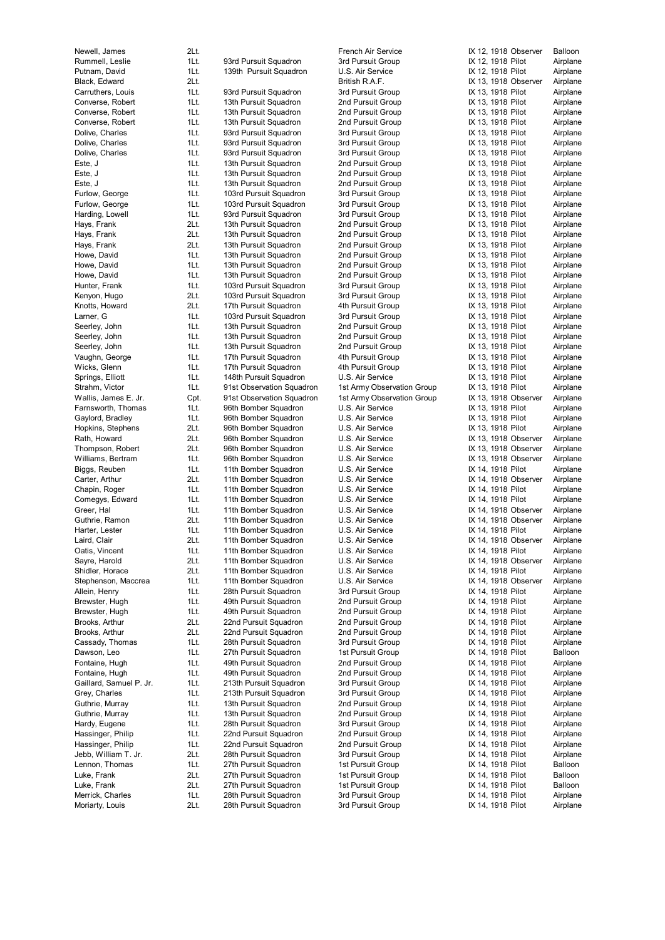Moriarty, Louis 2Lt. 28th Pursuit Squadron 3rd Pursuit Group IX 14, 1918 Pilot Airplane

Newell, James 2Lt. French Air Service IX 12, 1918 Observer Balloon Rummell, Leslie 1Lt. 93rd Pursuit Squadron 3rd Pursuit Group 1X 12, 1918 Pilot Airplane Putnam, David **1Lt.** 139th Pursuit Squadron U.S. Air Service **IX 12, 1918 Pilot** Airplane Black, Edward 2Lt. 2015. 2017 2018 2017 12: British R.A.F. 2008 2017 12: IX 13, 1918 Observer Airplane Carruthers, Louis 1Lt. 93rd Pursuit Squadron 3rd Pursuit Group IX 13, 1918 Pilot Airplane Converse, Robert 1Lt. 13th Pursuit Squadron 2nd Pursuit Group IX 13, 1918 Pilot Airplane Converse, Robert 1Lt. 13th Pursuit Squadron 2nd Pursuit Group IX 13, 1918 Pilot Airplane Converse, Robert 1Lt. 13th Pursuit Squadron 2nd Pursuit Group IX 13, 1918 Pilot Airplane Dolive, Charles **1Lt.** 93rd Pursuit Squadron 3rd Pursuit Group IX 13, 1918 Pilot Airplane Dolive, Charles **1Lt.** 93rd Pursuit Squadron 3rd Pursuit Group IX 13, 1918 Pilot Airplane Dolive, Charles **1Lt.** 93rd Pursuit Squadron 3rd Pursuit Group IX 13, 1918 Pilot Airplane Este, J 1Lt. 13th Pursuit Squadron 2nd Pursuit Group IX 13, 1918 Pilot Airplane Este, J 1Lt. 13th Pursuit Squadron 2nd Pursuit Group IX 13, 1918 Pilot Airplane Este, J 1Lt. 13th Pursuit Squadron 2nd Pursuit Group IX 13, 1918 Pilot Airplane Furlow, George **1Lt.** 103rd Pursuit Squadron 3rd Pursuit Group IX 13, 1918 Pilot Airplane Furlow, George **1Lt.** 103rd Pursuit Squadron 3rd Pursuit Group 1X 13, 1918 Pilot Airplane Harding, Lowell 1Lt. 93rd Pursuit Squadron 3rd Pursuit Group IX 13, 1918 Pilot Airplane Hays, Frank 2Lt. 13th Pursuit Squadron 2nd Pursuit Group IX 13, 1918 Pilot Airplane 13th Pursuit Squadron Hays, Frank 2Lt. 13th Pursuit Squadron 2nd Pursuit Group IX 13, 1918 Pilot Airplane Howe, David **1Lt.** 13th Pursuit Squadron 2nd Pursuit Group IX 13, 1918 Pilot Airplane Howe, David **1Lt.** 13th Pursuit Squadron 2nd Pursuit Group IX 13, 1918 Pilot Airplane Howe, David **1Lt.** 13th Pursuit Squadron 2nd Pursuit Group 1X 13, 1918 Pilot Airplane Hunter, Frank 1Lt. 103rd Pursuit Squadron 3rd Pursuit Group IX 13, 1918 Pilot Airplane Kenyon, Hugo 2011 103rd Pursuit Squadron 3rd Pursuit Group IX 13, 1918 Pilot Knotts, Howard 2Lt. 17th Pursuit Squadron 4th Pursuit Group IX 13, 1918 Pilot Airplane Larner, G **12 11 11 103rd Pursuit Squadron** 3rd Pursuit Group 13 13, 1918 Pilot Airplane Seerley, John 1Lt. 13th Pursuit Squadron 2nd Pursuit Group IX 13, 1918 Pilot Airplane Seerley, John 1Lt. 13th Pursuit Squadron 2nd Pursuit Group IX 13, 1918 Pilot Airplane Seerley, John 1Lt. 13th Pursuit Squadron 2nd Pursuit Group IX 13, 1918 Pilot Airplane Vaughn, George 1Lt. 17th Pursuit Squadron 4th Pursuit Group IX 13, 1918 Pilot Airplane Wicks, Glenn 1Lt. 17th Pursuit Squadron 4th Pursuit Group IX 13, 1918 Pilot Airplane Springs, Elliott **11Lt.** 148th Pursuit Squadron U.S. Air Service **IX 13, 1918 Pilot** Airplane Strahm, Victor **1Lt.** 91st Observation Squadron 1st Army Observation Group IX 13, 1918 Pilot Airplane Wallis, James E. Jr. Cpt. 91st Observation Squadron 1st Army Observation Group IX 13, 1918 Observer Airplane Farnsworth, Thomas 1Lt. 96th Bomber Squadron U.S. Air Service IX 13, 1918 Pilot Airplane Gaylord, Bradley **1Lt.** 96th Bomber Squadron U.S. Air Service **IX 13, 1918 Pilot** Airplane Hopkins, Stephens 2Lt. 96th Bomber Squadron U.S. Air Service IX 13, 1918 Pilot Airplane Rath, Howard 2Lt. 96th Bomber Squadron U.S. Air Service IX 13, 1918 Observer Airplane Thompson, Robert 2Lt. 96th Bomber Squadron U.S. Air Service IX 13, 1918 Observer Airplane Williams, Bertram 1Lt. 96th Bomber Squadron U.S. Air Service IX 13, 1918 Observer Airplane Biggs, Reuben 1Lt. 11th Bomber Squadron U.S. Air Service 12 14, 1918 Pilot Airplane<br>Carter, Arthur 2Lt. 11th Bomber Squadron U.S. Air Service 1X 14, 1918 Observer Airplane Carter, Arthur 2Lt. 11th Bomber Squadron U.S. Air Service IX 14, 1918 Observer Airplane Chapin, Roger 1Lt. 11th Bomber Squadron U.S. Air Service IX 14, 1918 Pilot Airplane Comegys, Edward 11t. 11th Bomber Squadron U.S. Air Service 1X 14, 1918 Pilot Airplane Greer, Hal 11. 11th Bomber Squadron U.S. Air Service IX 14, 1918 Observer Airplane Guthrie, Ramon 2Lt. 11th Bomber Squadron U.S. Air Service IX 14, 1918 Observer Airplane Harter, Lester 11th 11th Harter, Sammer Squadron U.S. Air Service 1998 12: 14, 1918 Pilot Airplane<br>11th Bomber Squadron U.S. Air Service 1X 14, 1918 Observer Airplane Laird, Clair **2Lt.** 11th Bomber Squadron U.S. Air Service **IX 14, 1918** Observer Oatis, Vincent 1Lt. 11th Bomber Squadron U.S. Air Service IX 14, 1918 Pilot Airplane Sayre, Harold 2Lt. 11th Bomber Squadron U.S. Air Service IX 14, 1918 Observer Airplane Shidler, Horace 2Lt. 11th Bomber Squadron U.S. Air Service IX 14, 1918 Pilot Airplane Stephenson, Maccrea 1Lt. 11th Bomber Squadron U.S. Air Service IX 14, 1918 Observer Airplane Allein, Henry 1Lt. 28th Pursuit Squadron 3rd Pursuit Group IX 14, 1918 Pilot Airplane Brewster, Hugh 1Lt. 49th Pursuit Squadron 2nd Pursuit Group IX 14, 1918 Pilot Airplane Brewster, Hugh 14, 1918 Pilot 11 and 1Lt. 49th Pursuit Squadron 2nd Pursuit Group 1X 14, 1918 Pilot Brooks, Arthur **2Lt.** 22nd Pursuit Squadron 2nd Pursuit Group IX 14, 1918 Pilot Airplane Brooks, Arthur 2Lt. 22nd Pursuit Squadron 2nd Pursuit Group IX 14, 1918 Pilot Airplane Cassady, Thomas 1Lt. 28th Pursuit Squadron 3rd Pursuit Group IX 14, 1918 Pilot Airplane Dawson, Leo 11t. 27th Pursuit Squadron 1st Pursuit Group 1st Pursuit Group 1X 14, 1918 Pilot Balloon Fontaine, Hugh 1Lt. 49th Pursuit Squadron 2nd Pursuit Group IX 14, 1918 Pilot Airplane Fontaine, Hugh 11t. 49th Pursuit Squadron 2nd Pursuit Group 11 14, 1918 Pilot Airplane<br>Gaillard. Samuel P. Jr. 11t. 213th Pursuit Squadron 3rd Pursuit Group 1X 14, 1918 Pilot Airplane Gaillard, Samuel P. Jr. 1Lt. 213th Pursuit Squadron 3rd Pursuit Group IX 14, 1918 Pilot Airplane Grey, Charles **1Lt.** 213th Pursuit Squadron 3rd Pursuit Group IX 14, 1918 Pilot Airplane Guthrie, Murray **1Lt.** 13th Pursuit Squadron 2nd Pursuit Group IX 14, 1918 Pilot Airplane Guthrie, Murray **1Lt.** 13th Pursuit Squadron 2nd Pursuit Group IX 14, 1918 Pilot Airplane Hardy, Eugene 1Lt. 28th Pursuit Squadron 3rd Pursuit Group IX 14, 1918 Pilot Airplane Hassinger, Philip 1Lt. 22nd Pursuit Squadron 2nd Pursuit Group IX 14, 1918 Pilot Hassinger, Philip 1Lt. 22nd Pursuit Squadron 2nd Pursuit Group 1X 14, 1918 Pilot Airplane Jebb, William T. Jr. 2Lt. 28th Pursuit Squadron 3rd Pursuit Group IX 14, 1918 Pilot Airplane Lennon, Thomas 1Lt. 27th Pursuit Squadron 1st Pursuit Group 1X 14, 1918 Pilot Balloon Luke, Frank 2Lt. 27th Pursuit Squadron 1st Pursuit Group IX 14, 1918 Pilot Balloon Luke, Frank 21t. 21th Pursuit Squadron 1st Pursuit Group 1st Pursuit Group IX 14, 1918 Pilot Merrick, Charles **1Lt.** 28th Pursuit Squadron 3rd Pursuit Group IX 14, 1918 Pilot Airplane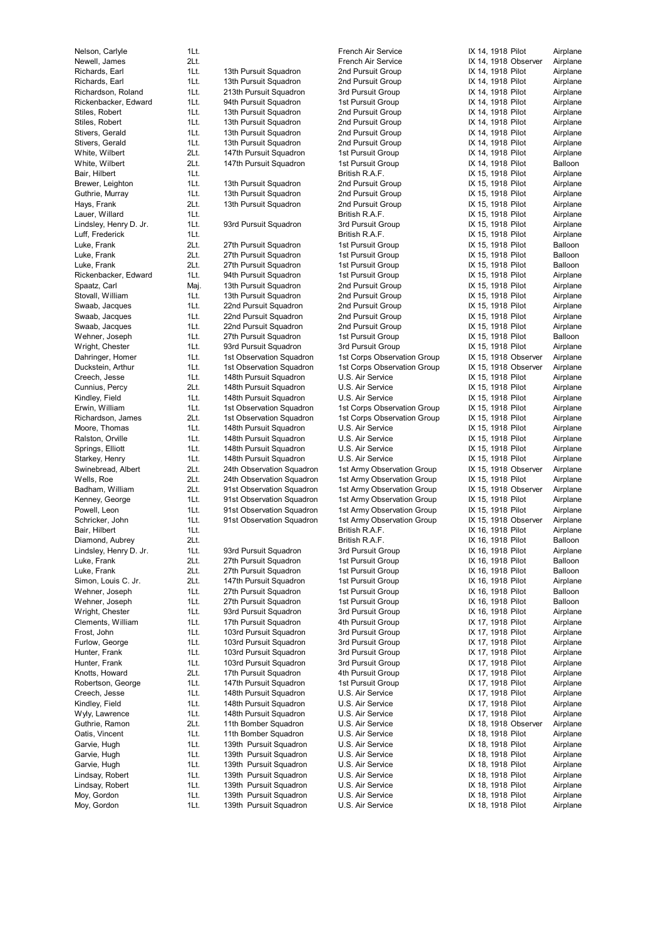Moy, Gordon 1Lt. 139th Pursuit Squadron U.S. Air Service 1X 18, 1918 Pilot Airplane

Nelson, Carlyle 1Lt. 1Lt. French Air Service 1Lt. French Air Service 1. Handle 12, 14, 1918 Pilot Airplane Newell, James 2Lt. French Air Service IX 14, 1918 Observer Airplane Richards, Earl 11t. 13th Pursuit Squadron 2nd Pursuit Group 1X 14, 1918 Pilot Airplane Richards, Earl **1Lt.** 13th Pursuit Squadron 2nd Pursuit Group IX 14, 1918 Pilot Airplane Richardson, Roland 1Lt. 213th Pursuit Squadron 3rd Pursuit Group IX 14, 1918 Pilot Airplane Rickenbacker, Edward 1Lt. 94th Pursuit Squadron 1st Pursuit Group 15t Pursuit Airplane Stiles, Robert **1Lt.** 13th Pursuit Squadron 2nd Pursuit Group IX 14, 1918 Pilot Airplane Stiles, Robert 1Lt. 13th Pursuit Squadron 2nd Pursuit Group IX 14, 1918 Pilot Airplane Stivers, Gerald 1Lt. 13th Pursuit Squadron 2nd Pursuit Group IX Stivers, Gerald **1Lt.** 13th Pursuit Squadron 2nd Pursuit Group IX 14, 1918 Pilot Airplane White, Wilbert **2Lt.** 147th Pursuit Squadron 1st Pursuit Group 15t Pursuit Airplane White, Wilbert 2Lt. 147th Pursuit Squadron 1st Pursuit Group IX 14, 1918 Pilot Balloon<br>Rair Hilbert 11 11 Balloon Bair British R A F IX 15, 1918 Pilot Airplane Bair, Hilbert 1Lt. 1990 1990 1990 British R.A.F. 1998 15, 1918 Pilot Airplane Brewer, Leighton 1Lt. 13th Pursuit Squadron 2nd Pursuit Group IX 15, 1918 Pilot Airplane Guthrie, Murray **1Lt.** 13th Pursuit Squadron 2nd Pursuit Group IX 15, 1918 Pilot Airplane Hays, Frank 2Lt. 13th Pursuit Squadron 2nd Pursuit Group IX 15, 1918 Pilot Airplane Lauer, Willard 1Lt. British R.A.F. IX 15, 1918 Pilot Airplane Lindsley, Henry D. Jr. 1Lt. 93rd Pursuit Squadron 3rd Pursuit Group 1X 15, 1918 Pilot Airplane<br>11. 1Lt. 1U. British R.A.F. 1X 15, 1918 Pilot Airplane Luff, Frederick 1Lt. British R.A.F. IX 15, 1918 Pilot Airplane Luke, Frank 2Lt. 27th Pursuit Squadron 1st Pursuit Group IX 15, 1918 Pilot Balloon Luke, Frank 2Lt. 27th Pursuit Squadron 1st Pursuit Group IX 15, 1918 Pilot Balloon Luke, Frank 2Lt. 27th Pursuit Squadron 1st Pursuit Group 15t Pursuit Group IX 15, 1918 Pilot Balloon Rickenbacker, Edward 1Lt. 94th Pursuit Squadron 1st Pursuit Group 15t 15, 1918 Pilot Airplane Spaatz, Carl Maj. 13th Pursuit Squadron 2nd Pursuit Group IX 15, 1918 Pilot Airplane 13th Pursuit Squadron Swaab, Jacques 1Lt. 22nd Pursuit Squadron 2nd Pursuit Group IX 15, 1918 Pilot Airplane Swaab, Jacques 1Lt. 22nd Pursuit Squadron 2nd Pursuit Group IX 15, 1918 Pilot Airplane Swaab, Jacques 1Lt. 22nd Pursuit Squadron 2nd Pursuit Group IX 15, 1918 Pilot Airplane Wehner, Joseph 1Lt. 27th Pursuit Squadron 1st Pursuit Group IX 15, 1918 Pilot Balloon Wright, Chester **1Lt.** 93rd Pursuit Squadron 3rd Pursuit Group IX 15, 1918 Pilot Airplane<br>Dahringer, Homer 1Lt. 1st Observation Squadron 1st Corps Observation Group IX 15, 1918 Observer Airplane Dahringer, Homer 1Lt. 1st Observation Squadron 1st Corps Observation Group Duckstein, Arthur 1Lt. 1st Observation Squadron 1st Corps Observation Group IX 15, 1918 Observer Airplane Creech, Jesse 1Lt. 148th Pursuit Squadron U.S. Air Service IX 15, 1918 Pilot Airplane Cunnius, Percy 2Lt. 148th Pursuit Squadron U.S. Air Service IX 15, 1918 Pilot Airplane Kindley, Field **1Lt.** 148th Pursuit Squadron U.S. Air Service **IX 15, 1918 Pilot** Airplane Erwin, William 11 1Lt. 1st Observation Squadron 1st Corps Observation Group 1X 15, 1918 Pilot Airplane<br>Richardson, James 21. 1st Observation Squadron 1st Corps Observation Group 1X 15, 1918 Pilot Airplane Richardson, James 2Lt. 1st Observation Squadron 1st Corps Observation Group IX 15, 1918 Pilot Airplane Moore, Thomas **1Lt.** 148th Pursuit Squadron U.S. Air Service **IX 15, 1918 Pilot** Airplane Ralston, Orville **1Lt.** 148th Pursuit Squadron U.S. Air Service IX 15, 1918 Pilot Airplane Springs, Elliott **1Rt.** 148th Pursuit Squadron U.S. Air Service **IX 15, 1918 Pilot Airplane**<br>
Starkey, Henry **11t.** 148th Pursuit Squadron U.S. Air Service IX 15, 1918 Pilot Airplane Starkey, Henry 11 and 11t. 148th Pursuit Squadron U.S. Air Service 15, 1918 IX Swinebread, Albert 2Lt. 24th Observation Squadron 1st Army Observation Group IX 15, 1918 Observer Airplane<br>1991 Wells, Roe 1998 12 Wellane 2016 24th Observation Squadron 1st Army Observation Group IX 15, 1918 Pilot Airplan Badham, William 2Lt. 91st Observation Squadron 1st Army Observation Group IX 15, 1918 Observer Airplane Kenney, George 1Lt. 91st Observation Squadron 1st Army Observation Group IX 15, 1918 Pilot Airplane Powell, Leon 1Lt. 91st Observation Squadron 1st Army Observation Group IX 15, 1918 Pilot Airplane Schricker, John 1Lt. 91st Observation Squadron 1st Army Observation Group IX 15, 1918 Observer Airplane Bair, Hilbert 1Lt. 1990 1990 1990 British R.A.F. 1998 18, 1918 Pilot Airplane Diamond, Aubrey 2Lt. British R.A.F. IX 16, 1918 Pilot Balloon Lindsley, Henry D. Jr. 1Lt. 93rd Pursuit Squadron 3rd Pursuit Group IX 16, 1918 Pilot Airplane Luke, Frank 2Lt. 27th Pursuit Squadron 1st Pursuit Group 1X 16, 1918 Pilot Balloon Luke, Frank 2Lt. 27th Pursuit Squadron 1st Pursuit Group IX 16, 1918 Pilot Balloon 2Lt. 147th Pursuit Squadron 1st Pursuit Group 15t 16, 1918 Pilot Airplane Wehner, Joseph 1Lt. 27th Pursuit Squadron 1st Pursuit Group 1X 16, 1918 Pilot Balloon<br>1991 - 1st Pursuit Group 1st Pursuit Group 1st Pursuit Group 1X 16, 1918 Pilot Balloon Wehner, Joseph 1Lt. 27th Pursuit Squadron 1st Pursuit Group 11 Norther, 1918 Pilot Balloon<br>11 Mright, Chester 11st. 93rd Pursuit Squadron 3rd Pursuit Group 1X 16, 1918 Pilot Airplane Wright, Chester 1Lt. 93rd Pursuit Squadron 3rd Pursuit Group IX Clements, William 1Lt. 17th Pursuit Squadron 4th Pursuit Group IX 17, 1918 Pilot Airplane Frost, John 1Lt. 103rd Pursuit Squadron 3rd Pursuit Group IX 17, 1918 Pilot Airplane Furlow, George **1Lt.** 103rd Pursuit Squadron 3rd Pursuit Group IX 17, 1918 Pilot Airplane Hunter, Frank 1Lt. 103rd Pursuit Squadron 3rd Pursuit Group IX 17, 1918 Pilot Airplane Hunter, Frank 1Lt. 103rd Pursuit Squadron 3rd Pursuit Group 1X 17, 1918 Pilot Airplane<br>17th Pursuit Squadron 4th Pursuit Group 1X 17, 1918 Pilot Airplane Knotts, Howard 2Lt. 17th Pursuit Squadron 4th Pursuit Group 1X Robertson, George 1Lt. 147th Pursuit Squadron 1st Pursuit Group 15t 71, 1918 Pilot Airplane Creech, Jesse 1Lt. 148th Pursuit Squadron U.S. Air Service IX 17, 1918 Pilot Airplane Kindley, Field **1Lt.** 148th Pursuit Squadron U.S. Air Service **IX 17, 1918 Pilot** Airplane Wyly, Lawrence **1Lt.** 148th Pursuit Squadron U.S. Air Service **IX 17, 1918 Pilot** Airplane Guthrie, Ramon 2Lt. 11th Bomber Squadron U.S. Air Service IX 18, 1918 Observer Airplane Oatis, Vincent 1Lt. 11th Bomber Squadron U.S. Air Service IX 18, 1918 Pilot Airplane Garvie, Hugh 11t. 139th Pursuit Squadron U.S. Air Service IX 18, 1918 Pilot Airplane Garvie, Hugh 1Lt. 139th Pursuit Squadron U.S. Air Service IX 18, 1918 Pilot Airplane Garvie, Hugh 1Lt. 139th Pursuit Squadron U.S. Air Service IX 18, 1918 Pilot Airplane Lindsay, Robert 1Lt. 139th Pursuit Squadron U.S. Air Service 1X 18, 1918 Pilot Airplane Lindsay, Robert 1Lt. 139th Pursuit Squadron U.S. Air Service IX 18, 1918 Pilot Airplane Moy, Gordon 11Lt. 139th Pursuit Squadron U.S. Air Service IX 18, 1918 Pilot Airplane

**Mells, Army Observation Group 18th Army Observation Group 15, 1918 Pilot Army Observation Group 15, 1918 Pilot** 

| 14, | 1918                             | PIIOI         | All        |
|-----|----------------------------------|---------------|------------|
|     |                                  | 1918 Observer | Ail        |
| 14, | 1918 Pilot                       |               | Aiı        |
|     |                                  |               |            |
| 14, | 1918 Pilot                       |               | Aiı        |
| 14, | 1918 Pilot                       |               | Aiı        |
| 14, | 1918                             | Pilot         | Aiı        |
|     |                                  |               |            |
| 14, | 1918 Pilot                       |               | Ail        |
| 14, | 1918                             | Pilot         | Aiı        |
| 14, | 1918 Pilot                       |               | Aiı        |
|     |                                  |               |            |
| 14, | 1918                             | Pilot         | Aiı        |
| 14, | 1918                             | Pilot         | Ail        |
| 14, | 1918                             | Pilot         | Вε         |
|     |                                  |               |            |
| 15, | 1918                             | Pilot         | Aiı        |
| 15, | 1918                             | Pilot         | Aiı        |
| 15, | 1918                             | Pilot         | Aiı        |
|     |                                  |               |            |
| 15, | 1918                             | Pilot         | Ail        |
| 15, | 1918                             | Pilot         | Aiı        |
| 15, | 1918                             | Pilot         | Aiı        |
|     |                                  |               |            |
| 15, | 1918 Pilot                       |               | Aiı        |
| 15, | 1918                             | Pilot         | Βа         |
| 15, | 1918 Pilot                       |               | Βa         |
| 15, |                                  |               |            |
|     | 1918                             | Pilot         | Βа         |
| 15, | 1918                             | Pilot         | Ai         |
| 15, | 1918                             | Pilot         | Aiı        |
| 15, | 1918                             | Pilot         | Aiı        |
|     |                                  |               |            |
| 15, | 1918                             | Pilot         | Aiı        |
| 15, | 1918 Pilot                       |               | Aiı        |
| 15, | 1918 Pilot                       |               | Aiı        |
|     |                                  |               |            |
| 15, | 1918                             | Pilot         | Βa         |
| 15, | 1918 Pilot                       |               | Ail        |
| 15, |                                  | 1918 Observer | Aiı        |
|     |                                  |               |            |
| 15, |                                  | 1918 Observer | Ail        |
| 15, | 1918                             | Pilot         | Aiı        |
| 15, | 1918 Pilot                       |               | Aiı        |
|     |                                  |               |            |
| 15, | 1918                             | Pilot         | Aiı        |
| 15, | 1918                             | Pilot         | Ail        |
| 15, | 1918                             | Pilot         | Aiı        |
|     |                                  |               |            |
| 15, | 1918                             | Pilot         | Aiı        |
| 15, | 1918                             | Pilot         | Aiı        |
| 15, | 1918                             | Pilot         | Aiı        |
|     |                                  |               |            |
| 15, | 1918                             | Pilot         | Aiı        |
| 15, | 1918                             | Observer      | Aiı        |
| 15, | 1918                             | Pilot         | Aiı        |
|     |                                  |               |            |
| 15, |                                  | 1918 Observer | Ail        |
| 15, | 1918                             | Pilot         | Aiı        |
| 15, | 1918 Pilot                       |               | Aiı        |
|     |                                  |               |            |
|     |                                  |               |            |
| 15, | 1918                             | Observer      | Ail        |
| 16, | 1918 Pilot                       |               | Aiı        |
|     |                                  |               | Bε         |
| 16, | 1918 Pilot                       |               |            |
| 16, |                                  | 1918 Pilot    | Ai         |
| 16, | 1918 Pilot                       |               | Вε         |
|     | 16, 1918 Pilot                   |               | Bε         |
|     |                                  |               |            |
| 16, | 1918 Pilot                       |               | Aiı        |
| 16, | 1918 Pilot                       |               | Βа         |
| 16, | 1918 Pilot                       |               | Βа         |
|     |                                  |               |            |
| 16, | 1918 Pilot                       |               | Aiı        |
| 17, | 1918 Pilot                       |               | Aiı        |
| 17, | 1918 Pilot                       |               | Aiı        |
|     |                                  |               |            |
| 17, | 1918 Pilot                       |               | Ail        |
| 17, | 1918                             | Pilot         | Aiı        |
| 17, | 1918 Pilot                       |               | Aiı        |
| 17, | 1918 Pilot                       |               | Aiı        |
|     |                                  |               |            |
| 17, | 1918 Pilot                       |               | Aiı        |
| 17  | 1918 Pilot                       |               | Aiı        |
| 17, | 1918 Pilot                       |               | Aiı        |
|     |                                  |               |            |
| 17, | 1918 Pilot                       |               | Aiı        |
| 18, |                                  | 1918 Observer | Ail        |
| 18, | 1918 Pilot                       |               | Aiı        |
|     |                                  |               |            |
|     | 18, 1918 Pilot                   |               | Aiı        |
| 18, | 1918 Pilot                       |               | Ail        |
| 18, | 1918 Pilot                       |               | Aiı        |
|     |                                  |               |            |
| 18, | 1918 Pilot                       |               | Ail        |
|     | 18, 1918 Pilot<br>18, 1918 Pilot |               | Aiı<br>Aiı |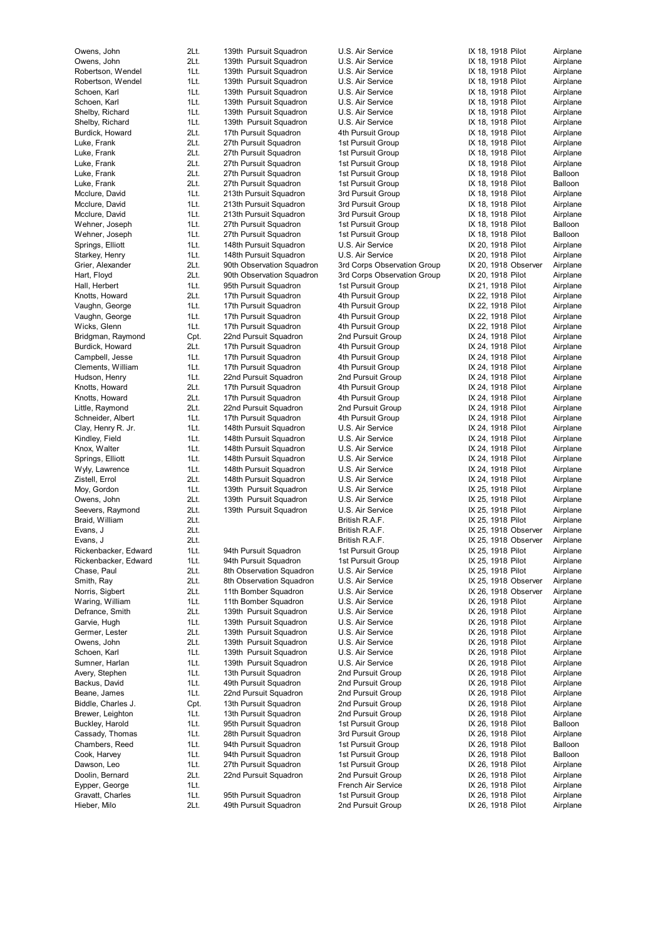Hieber, Milo 2Lt. 49th Pursuit Squadron 2nd Pursuit Group IX 26, 1918 Pilot Airplane

Owens, John 2Lt. 139th Pursuit Squadron U.S. Air Service IX 18, 1918 Pilot Airplane Owens, John 2Lt. 139th Pursuit Squadron U.S. Air Service 1X 18, 1918 Pilot Airplane<br>Robertson, Wendel 1Lt. 139th Pursuit Squadron U.S. Air Service 1X 18, 1918 Pilot Airplane 1Lt. 139th Pursuit Squadron U.S. Air Service IX 18, 1918 Pilot Robertson, Wendel 1Lt. 139th Pursuit Squadron U.S. Air Service IX 18, 1918 Pilot Airplane Schoen, Karl **189th Pursuit Squadron** U.S. Air Service **IX 18, 1918 Pilot** Airplane Schoen, Karl **189th Pursuit Squadron** U.S. Air Service **IX 18, 1918 Pilot** Airplane Shelby, Richard 1Lt. 139th Pursuit Squadron U.S. Air Service IX 18, 1918 Pilot Airplane Shelby, Richard 1Lt. 139th Pursuit Squadron U.S. Air Service IX 18, 1918 Pilot Airplane Burdick, Howard 2Lt. 17th Pursuit Squadron 4th Pursuit Group IX 18, 1918 Pilot Airplane Luke, Frank 2Lt. 27th Pursuit Squadron 1st Pursuit Group 15t Pursuit Group 1X 18, 1918 Pilot Airplane Luke, Frank 2Lt. 27th Pursuit Squadron 1st Pursuit Group IX 18, 1918 Pilot Airplane Luke, Frank 2Lt. 27th Pursuit Squadron 1st Pursuit Group IX 18, 1918 Pilot Airplane 2Lt. 27th Pursuit Squadron Luke, Frank 2Lt. 27th Pursuit Squadron 1st Pursuit Group 1st Pursuit Group 1X 18, 1918 Pilot Balloon Mcclure, David **1Lt.** 213th Pursuit Squadron 3rd Pursuit Group IX 18, 1918 Pilot Airplane Mcclure, David **1Lt.** 213th Pursuit Squadron 3rd Pursuit Group 1X 18, 1918 Pilot Airplane Mcclure, David 11 11 213th Pursuit Squadron 3rd Pursuit Group IX 18, 1918 Pilot Airplane Wehner, Joseph 1Lt. 27th Pursuit Squadron 1st Pursuit Group 1X 18, 1918 Pilot Balloon<br>1991 - 11t. 27th Pursuit Squadron 1st Pursuit Group 1X 18, 1918 Pilot Balloon Wehner, Joseph 1Lt. 27th Pursuit Squadron Springs, Elliott **11.** 148th Pursuit Squadron U.S. Air Service **IX 20, 1918 Pilot** Airplane Starkey, Henry **1Lt.** 148th Pursuit Squadron U.S. Air Service IX 20, 1918 Pilot Airplane Grier, Alexander 2Lt. 90th Observation Squadron 3rd Corps Observation Group IX 20, 1918 Observer Airplane Hart, Floyd 2Lt. 90th Observation Squadron 3rd Corps Observation Group IX 20, 1918 Pilot Airplane Hall, Herbert 1Lt. 95th Pursuit Squadron 1st Pursuit Group IX 21, 1918 Pilot Airplane<br>1911 17th Pursuit Squadron 4th Pursuit Group IX 22, 1918 Pilot Airplane Knotts, Howard 2Lt. 2018 2018 17th Pursuit Squadron 4th Pursuit Group IX 22, 1918 Pilot Vaughn, George **1Lt.** 17th Pursuit Squadron 4th Pursuit Group IX 22, 1918 Pilot Airplane Vaughn, George **1Lt.** 17th Pursuit Squadron 4th Pursuit Group IX 22, 1918 Pilot Airplane Wicks, Glenn 1Lt. 17th Pursuit Squadron 4th Pursuit Group IX 22, 1918 Pilot Airplane Bridgman, Raymond Cpt. 22nd Pursuit Squadron 2nd Pursuit Group IX 24, 1918 Pilot Airplane Burdick, Howard 2Lt. 17th Pursuit Squadron 4th Pursuit Group IX 24, 1918 Pilot Airplane<br>Campbell, Jesse 1Lt. 17th Pursuit Squadron 4th Pursuit Group IX 24, 1918 Pilot Airplane Campbell, Jesse 1Lt. 17th Pursuit Squadron 4th Pursuit Group IX 24, 1918 Pilot Airplane Clements, William 1Lt. 17th Pursuit Squadron 4th Pursuit Group IX 24, 1918 Pilot Airplane Hudson, Henry **1Lt.** 22nd Pursuit Squadron 2nd Pursuit Group IX 24, 1918 Pilot Airplane Knotts, Howard **2Lt.** 17th Pursuit Squadron 4th Pursuit Group IX 24, 1918 Pilot Airplane Knotts, Howard 2Lt. 17th Pursuit Squadron 4th Pursuit Group IX 24, 1918 Pilot Airplane Little, Raymond 2Lt. 22nd Pursuit Squadron 2nd Pursuit Group IX 24, 1918 Pilot Airplane<br>
2nd Pursuit Squadron 4th Pursuit Group 4th Pursuit Group IX 24, 1918 Pilot Airplane 1Lt. 17th Pursuit Squadron 4th Pursuit Group IX 24, 1918 Pilot Airplane Clay, Henry R. Jr. 11Lt. 148th Pursuit Squadron U.S. Air Service IX 24, 1918 Pilot Airplane Kindley, Field 1Lt. 148th Pursuit Squadron U.S. Air Service IX 24, 1918 Pilot Airplane Knox, Walter **1Lt.** 148th Pursuit Squadron U.S. Air Service **IX 24, 1918 Pilot** Airplane Springs, Elliott 11Lt. 148th Pursuit Squadron U.S. Air Service IX 24, 1918 Pilot Airplane Wyly, Lawrence 1Lt. 148th Pursuit Squadron U.S. Air Service IX 24, 1918 Pilot Airplane 2Lt. 148th Pursuit Squadron Moy, Gordon 1Lt. 139th Pursuit Squadron U.S. Air Service 1X 25, 1918 Pilot Airplane Owens, John 2Lt. 139th Pursuit Squadron U.S. Air Service IX 25, 1918 Pilot Airplane Seevers, Raymond 2Lt. 139th Pursuit Squadron U.S. Air Service IX 25, 1918 Pilot Airplane Braid, William 2Lt. British R.A.F. IX 25, 1918 Pilot Airplane Evans, J<br>Evans, J. S. 2018 (2011) 2011 - Evans, 2018 Observer Airplane<br>British R.A.F. 25. 1918 Observer Airplane Evans, J. C. 2006. I. 2006. I. British R.A.F. I. A. British R.A.F. I. S. 25, 1918 Observer Rickenbacker, Edward 1Lt. 94th Pursuit Squadron 1st Pursuit Group 15t 25, 1918 Pilot Airplane Rickenbacker, Edward 1Lt. 94th Pursuit Squadron 1st Pursuit Group IX 25, 1918 Pilot Airplane Chase, Paul 2Lt. 8th Observation Squadron U.S. Air Service IX 25, 1918 Pilot Airplane Smith, Ray **2Lt.** 8th Observation Squadron U.S. Air Service **IX 25, 1918 Observer** Airplane Norris, Sigbert 2Lt. 11th Bomber Squadron U.S. Air Service IX 26, 1918 Observer Airplane Waring, William 1Lt. 11th Bomber Squadron U.S. Air Service IX 26, 1918 Pilot Airplane Defrance, Smith 2Lt. 139th Pursuit Squadron U.S. Air Service IX 26, 1918 Pilot Airplane Garvie, Hugh 1Lt. 139th Pursuit Squadron U.S. Air Service IX 26, 1918 Pilot Airplane Germer, Lester **2Lt.** 139th Pursuit Squadron U.S. Air Service IX 26, 1918 Pilot Airplane Owens, John 2Lt. 139th Pursuit Squadron U.S. Air Service IX 26, 1918 Pilot Airplane Schoen, Karl **11. 139th Pursuit Squadron** U.S. Air Service **IX 26, 1918 Pilot** Airplane Sumner, Harlan **1Lt.** 139th Pursuit Squadron U.S. Air Service **IX 26, 1918 Pilot** Airplane Avery, Stephen **1Lt.** 13th Pursuit Squadron 2nd Pursuit Group IX 26, 1918 Pilot Airplane Backus, David **1Lt.** 49th Pursuit Squadron 2nd Pursuit Group IX 26, 1918 Pilot Airplane Beane, James 1Lt. 22nd Pursuit Squadron 2nd Pursuit Group IX 26, 1918 Pilot Airplane Biddle, Charles J. Cpt. 13th Pursuit Squadron 2nd Pursuit Group IX 26, 1918 Pilot Airplane Brewer, Leighton 1Lt. 13th Pursuit Squadron 2nd Pursuit Group IX 26, 1918 Pilot Airplane Buckley, Harold 1Lt. 95th Pursuit Squadron 1st Pursuit Group IX 26, 1918 Pilot Balloon Cassady, Thomas 1Lt. 28th Pursuit Squadron 3rd Pursuit Group IX 26, 1918 Pilot Airplane Chambers, Reed 1Lt. 94th Pursuit Squadron 1st Pursuit Group 1st Pursuit Group IX 26, 1918 Pilot Balloon Cook, Harvey **1Lt.** 94th Pursuit Squadron 1st Pursuit Group IX 26, 1918 Pilot Balloon Dawson, Leo 1Lt. 27th Pursuit Squadron 1st Pursuit Group IX 26, 1918 Pilot Airplane Doolin, Bernard 2Lt. 22nd Pursuit Squadron 2nd Pursuit Group IX 26, 1918 Pilot Airplane Eypper, George **1Lt.** 11. 1. 1. 1. French Air Service **IX 26, 1918 Pilot** Airplane

Gravatt, Charles **1Lt.** 95th Pursuit Squadron 1st Pursuit Group IX 26, 1918 Pilot Airplane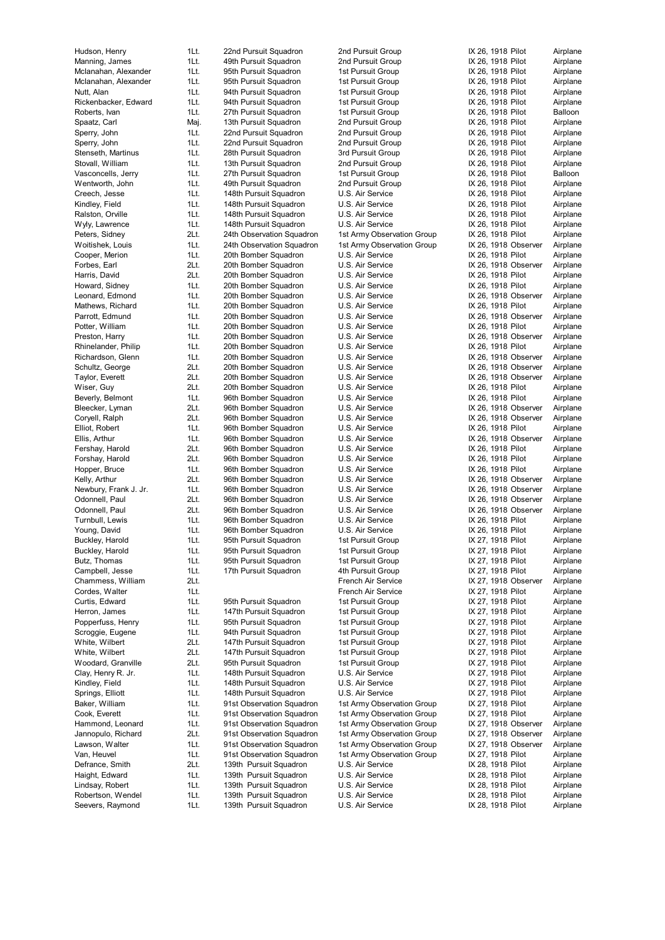Seevers, Raymond 1Lt. 139th Pursuit Squadron U.S. Air Service IX 28, 1918 Pilot Airplane

Hudson, Henry 1Lt. 22nd Pursuit Squadron 2nd Pursuit Group IX 26, 1918 Pilot Airplane Manning, James 1Lt. 49th Pursuit Squadron 2nd Pursuit Group IX 26, 1918 Pilot Airplane Mclanahan, Alexander 1Lt. 95th Pursuit Squadron 1st Pursuit Group IX 26, 1918 Pilot Mclanahan, Alexander 1Lt. 95th Pursuit Squadron 1st Pursuit Group 15t Pursuit Airplane Nutt, Alan 11. 11. 94th Pursuit Squadron 1st Pursuit Group 19th 26, 1918 Pilot Airplane<br>11. 94th Pursuit Squadron 1st Pursuit Group 1. X 26, 1918 Pilot Airplane Rickenbacker, Edward 1Lt. 94th Pursuit Squadron 1st Pursuit Group 1X 26, 1918 Pilot Roberts, Ivan 1Lt. 27th Pursuit Squadron 1st Pursuit Group IX 26, 1918 Pilot Balloon Spaatz, Carl Maj. 13th Pursuit Squadron 2nd Pursuit Group IX 26, 1918 Pilot Airplane Sperry, John 1Lt. 22nd Pursuit Squadron 2nd Pursuit Group IX 26, 1918 Pilot Airport Airport Airport Airport Air Sperry, John 1Lt. 22nd Pursuit Squadron 2nd Pursuit Group IX 26, 1918 Pilot Airplane Stenseth, Martinus 1Lt. 28th Pursuit Squadron 3rd Pursuit Group IX 26, 1918 Pilot Airplane Stovall, William 1Lt. 13th Pursuit Squadron 2nd Pursuit Group IX 26, 1918 Pilot Airplane<br>Vasconcells Jerry 11t 27th Pursuit Squadron 1st Pursuit Group IX 26, 1918 Pilot Balloon Vasconcells, Jerry 1Lt. 27th Pursuit Squadron Wentworth, John 1Lt. 49th Pursuit Squadron 2nd Pursuit Group IX 26, 1918 Pilot Airplane Creech, Jesse 1Lt. 148th Pursuit Squadron U.S. Air Service IX 26, 1918 Pilot Airplane Kindley, Field **1Lt.** 148th Pursuit Squadron U.S. Air Service IX 26, 1918 Pilot Airplane Ralston, Orville **1Lt.** 148th Pursuit Squadron U.S. Air Service **IX 26, 1918 Pilot** Airplane Wyly, Lawrence a 11t. 148th Pursuit Squadron U.S. Air Service 11 March 1896, 1918 Pilot Airplane<br>1991 - Peters, Sidney 1996 2016 24th Observation Squadron 1st Army Observation Group 1X 26, 1918 Pilot Airplane Woitishek, Louis 1Lt. 24th Observation Squadron 1st Army Observation Group IX 26, 1918 Observer Airplane Cooper, Merion **1Lt.** 20th Bomber Squadron U.S. Air Service **IX 26, 1918 Pilot** Airplane Forbes, Earl **20th Bomber Squadron** U.S. Air Service **IX 26, 1918 Observer** Airplane Harris, David **20t.** 20th Bomber Squadron U.S. Air Service **IX 26, 1918 Pilot** Airplane Howard, Sidney 1Lt. 20th Bomber Squadron U.S. Air Service IX 26, 1918 Pilot Airplane<br>I eonard Fdmond 11 20th Bomber Squadron U.S. Air Service IX 26, 1918 Observer Airplane Leonard, Edmond 11 20th Bomber Squadron U.S. Air Service Mathews, Richard 1Lt. 20th Bomber Squadron U.S. Air Service IX 26, 1918 Pilot Airplane Parrott, Edmund 1Lt. 20th Bomber Squadron U.S. Air Service IX 26, 1918 Observer Airplane Potter, William 1Lt. 20th Bomber Squadron U.S. Air Service IX 26, 1918 Pilot Airplane Preston, Harry **1Lt.** 20th Bomber Squadron U.S. Air Service **IX 26, 1918 Observer** Airplane Rhinelander, Philip 1Lt. 20th Bomber Squadron U.S. Air Service IX 26, 1918 Pilot Airplane<br>11Lt. 20th Bomber Squadron U.S. Air Service IX 26, 1918 Observer Airplane Richardson, Glenn 1Lt. 20th Bomber Squadron U.S. Air Service IX 26, 1918 Observer Airplane<br>1991 - Schultz, George 2Lt. 20th Bomber Squadron U.S. Air Service IX 26, 1918 Observer Airplane Schultz, George 2Lt. 20th Bomber Squadron U.S. Air Service IX 26, 1918 Observer Airplane Taylor, Everett **2Lt.** 20th Bomber Squadron U.S. Air Service **IX 26, 1918 Observer** Airplane Wiser, Guy **2Lt.** 20th Bomber Squadron U.S. Air Service **IX 26, 1918 Pilot** Airplane Beverly, Belmont 1Lt. 96th Bomber Squadron U.S. Air Service IX 26, 1918 Pilot Airplane Bleecker, Lyman 2Lt. 96th Bomber Squadron U.S. Air Service IX 26, 1918 Observer Airplane<br>Corvell Ralph 2Lt. 96th Bomber Squadron U.S. Air Service IX 26, 1918 Observer Airplane 2Lt. 96th Bomber Squadron U.S. Air Service IV. 26, 1918 Observer Airplane Elliot, Robert 1Lt. 96th Bomber Squadron U.S. Air Service IX 26, 1918 Pilot Airplane Ellis, Arthur **1Lt.** 96th Bomber Squadron U.S. Air Service **IX 26, 1918 Observer** Airplane Fershay, Harold 2Lt. 96th Bomber Squadron U.S. Air Service IX 26, 1918 Pilot Airplane Forshay, Harold 2Lt. 96th Bomber Squadron U.S. Air Service IX 26, 1918 Pilot Airplane Hopper, Bruce 1Lt. 96th Bomber Squadron U.S. Air Service IX 26, 1918 Pilot Airplane 2Lt. 96th Bomber Squadron Newbury, Frank J. Jr. 1Lt. 96th Bomber Squadron U.S. Air Service IX 26, 1918 Observer Airplane Odonnell, Paul 2Lt. 96th Bomber Squadron U.S. Air Service IX 26, 1918 Observer Airplane Odonnell, Paul 2Lt. 96th Bomber Squadron U.S. Air Service IX 26, 1918 Observer Airplane Turnbull, Lewis 1Lt. 96th Bomber Squadron U.S. Air Service IX 26, 1918 Pilot Airplane Young, David 1Lt. 96th Bomber Squadron U.S. Air Service IX 26, 1918 Pilot Airplane Buckley, Harold 1Lt. 95th Pursuit Squadron 1st Pursuit Group Buckley, Harold **1Lt.** 95th Pursuit Squadron 1st Pursuit Group 1st Pursuit Group IX 27, 1918 Pilot Airplane Butz, Thomas 1Lt. 95th Pursuit Squadron 1st Pursuit Group IX 27, 1918 Pilot Airplane Campbell, Jesse 1Lt. 17th Pursuit Squadron 4th Pursuit Group IX 27, 1918 Pilot Airplane Chammess, William 2Lt. French Air Service IX 27, 1918 Observer Airplane Cordes, Walter **11t.** 11t. 35th Pursuit Squadron French Air Service 11 and X 27, 1918 Pilot Airplane<br>11t. 95th Pursuit Squadron 11st Pursuit Group 11 Airplane Airplane Curtis, Edward 1Lt. 95th Pursuit Squadron 1st Pursuit Group IX 27, 1918 Pilot Airplane Herron, James 1Lt. 147th Pursuit Squadron 1st Pursuit Group 15t Pursuit Group 1X 27, 1918 Pilot Airplane Popperfuss, Henry 1Lt. 95th Pursuit Squadron 1st Pursuit Group IX 27, 1918 Pilot Airplane Scroggie, Eugene 1Lt. 94th Pursuit Squadron 1st Pursuit Group IX 27, 1918 Pilot Airplane White, Wilbert 2Lt. 147th Pursuit Squadron 1st Pursuit Group IX 27, 1918 Pilot Airplane White, Wilbert **2Lt.** 147th Pursuit Squadron 1st Pursuit Group IX 27, 1918 Pilot Airplane Woodard, Granville 2Lt. 95th Pursuit Squadron 1st Pursuit Group 18t 27, 1918 Pilot Airplane Clay, Henry R. Jr. 11Lt. 148th Pursuit Squadron U.S. Air Service IX 27, 1918 Pilot Airplane Kindley, Field **1Lt.** 148th Pursuit Squadron U.S. Air Service IX 27, 1918 Pilot Airplane Springs, Elliott **11.** 148th Pursuit Squadron U.S. Air Service **IX 27, 1918 Pilot** Airplane Baker, William 1Lt. 91st Observation Squadron 1st Army Observation Group IX 27, 1918 Pilot Airplane Cook, Everett **1Lt.** 91st Observation Squadron 1st Army Observation Group IX 27, 1918 Pilot Airplane<br>1915 Hammond, Leonard 1Lt. 91st Observation Squadron 1st Army Observation Group IX 27, 1918 Observer Airplane Hammond, Leonard 1Lt. 91st Observation Squadron 1st Army Observation Group IX 27, 1918 Observer Airplane<br>1915 Jannopulo, Richard 2Lt. 91st Observation Squadron 1st Army Observation Group IX 27, 1918 Observer Airplane Jannopulo, Richard 2Lt. 91st Observation Squadron 1st Army Observation Group Lawson, Walter **1Lt.** 91st Observation Squadron 1st Army Observation Group IX 27, 1918 Observer Airplane Van, Heuvel **1Lt.** 91st Observation Squadron 1st Army Observation Group IX 27, 1918 Pilot Airplane Defrance, Smith 2Lt. 139th Pursuit Squadron U.S. Air Service IX 28, 1918 Pilot Airplane Haight, Edward 11t. 139th Pursuit Squadron U.S. Air Service 11 IX 28, 1918 Pilot Airplane<br>11 139th Pursuit Squadron U.S. Air Service 11 IX 28, 1918 Pilot Airplane Lindsay, Robert 1Lt. 139th Pursuit Squadron U.S. Air Service IX 28, 1918 Pilot Airplanes Robertson, Wendel 1Lt. 139th Pursuit Squadron U.S. Air Service IX 28, 1918 Pilot Airplane

1st Army Observation Group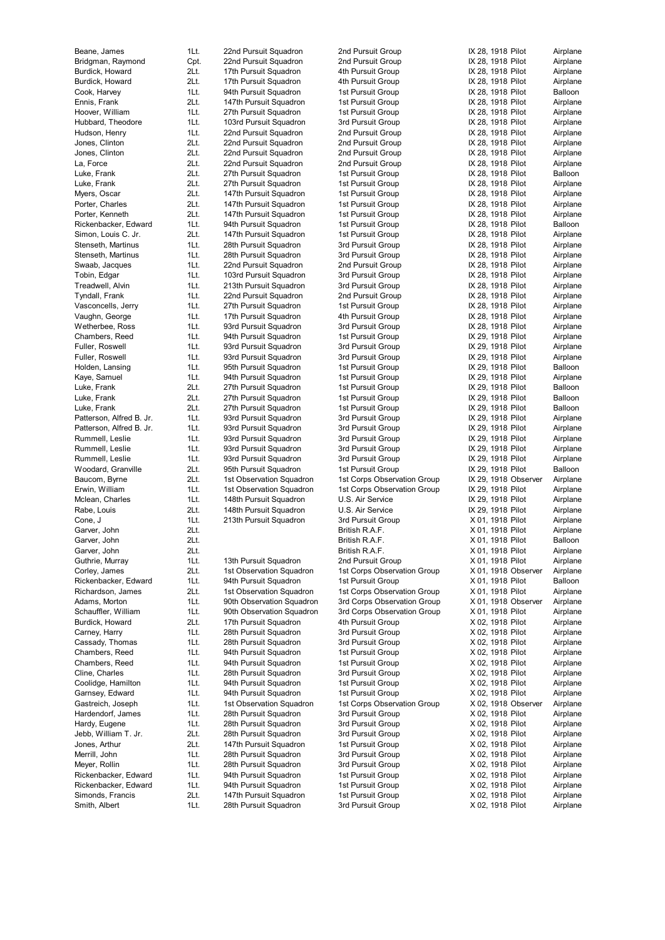Jebb, William T. Jr. 2Lt. 28th Pursuit Squadron 3rd Pursuit Group Simonds, Francis 2Lt. 147th Pursuit Squadron 1st Pursuit Group X 02, 1918 Pilot Airplane Smith, Albert 1Lt. 28th Pursuit Squadron 3rd Pursuit Group X 02, 1918 Pilot Airplane

Beane, James 1Lt. 22nd Pursuit Squadron 2nd Pursuit Group IX 28, 1918 Pilot Airplane Bridgman, Raymond Cpt. 22nd Pursuit Squadron 2nd Pursuit Group IX 28, 1918 Pilot Airplane<br>Burdick, Howard 2Lt. 17th Pursuit Squadron 4th Pursuit Group IX 28, 1918 Pilot Airplane Burdick, Howard 2Lt. 17th Pursuit Squadron 4th Pursuit Group IX 28, 1918 Pilot Burdick, Howard 2Lt. 17th Pursuit Squadron 4th Pursuit Group IX 28, 1918 Pilot Airplane Cook, Harvey 1Lt. 94th Pursuit Squadron 1st Pursuit Group IX 28, 1918 Pilot Balloon Ennis, Frank 2Lt. 147th Pursuit Squadron 1st Pursuit Group IX 28, 1918 Pilot Airplane Hoover, William 1Lt. 27th Pursuit Squadron 1st Pursuit Group 1st Pursuit Airplane Hubbard, Theodore 1Lt. 103rd Pursuit Squadron 3rd Pursuit Group IX 28, 1918 Pilot Airplane<br>11t. 22nd Pursuit Squadron 2nd Pursuit Group IX 28, 1918 Pilot Airplane Hudson, Henry **1Lt.** 22nd Pursuit Squadron 2nd Pursuit Group IX 28, 1918 Pilot Airplane 2nd Pursuit Airplane Airplane Jones, Clinton **2001** 2016. 22nd Pursuit Squadron 2nd Pursuit Group IX 28, 1918 Pilot Airplane Jones, Clinton 2011 2015 22nd Pursuit Squadron 2nd Pursuit Group 1X 28, 1918 Pilot Airplane La, Force 2Lt. 22nd Pursuit Squadron 2nd Pursuit Group IX 28, 1918 Pilot Airplane<br>2011 27th Pursuit Squadron 1st Pursuit Group IX 28, 1918 Pilot Balloon 27th Pursuit Squadron Luke, Frank 2Lt. 27th Pursuit Squadron 1st Pursuit Group 15t Pursuit Group IX 28, 1918 Pilot Airplane Myers, Oscar **2Lt.** 147th Pursuit Squadron 1st Pursuit Group IX 28, 1918 Pilot Airplane Porter, Charles 2Lt. 147th Pursuit Squadron 1st Pursuit Group 1st Pursuit Group IX 28, 1918 Pilot Airplane Porter, Kenneth 2Lt. 147th Pursuit Squadron 1st Pursuit Group IX 28, 1918 Pilot Airplane Rickenbacker, Edward 1Lt. 94th Pursuit Squadron 1st Pursuit Group 1X 28, 1918 Pilot Balloon<br>1917 Simon, Louis C. Jr. 2Lt. 147th Pursuit Squadron 1st Pursuit Group 1X 28, 1918 Pilot Airplane 147th Pursuit Squadron Stenseth, Martinus 1Lt. 28th Pursuit Squadron 3rd Pursuit Group IX 28, 1918 Pilot Airplane Stenseth, Martinus 1Lt. 28th Pursuit Squadron 3rd Pursuit Group IX 28, 1918 Pilot Airplane Swaab, Jacques 1Lt. 22nd Pursuit Squadron 2nd Pursuit Group IX 28, 1918 Pilot Airplane Tobin, Edgar **1Lt.** 103rd Pursuit Squadron 3rd Pursuit Group IX 28, 1918 Pilot Airplane Treadwell, Alvin 1Lt. 213th Pursuit Squadron 3rd Pursuit Group IX 28, 1918 Pilot Airplane Tyndall, Frank 1Lt. 22nd Pursuit Squadron 2nd Pursuit Group IX 28, 1918 Pilot Vasconcells, Jerry 1Lt. 27th Pursuit Squadron 1st Pursuit Group IX 28, 1918 Pilot Airplane Vaughn, George **1Lt.** 17th Pursuit Squadron 4th Pursuit Group IX 28, 1918 Pilot Airplane Wetherbee, Ross **1Lt.** 93rd Pursuit Squadron 3rd Pursuit Group IX 28, 1918 Pilot Airplane Chambers, Reed 1Lt. 94th Pursuit Squadron 1st Pursuit Group 1st Pursuit Airplane Fuller, Roswell **1Lt.** 93rd Pursuit Squadron 3rd Pursuit Group IX 29, 1918 Pilot Airplane<br>11Lt. 93rd Pursuit Squadron 3rd Pursuit Group IX 29, 1918 Pilot Airplane Fuller, Fuller, 83rd Pursuit Squadron 3rd Pursuit Group 3rd Pursuit Squadron 3rd Pursuit Group 11. IX 29, 1918 Pilot Airplane Holden, Lansing 1Lt. 95th Pursuit Squadron 1st Pursuit Group Kaye, Samuel 1Lt. 94th Pursuit Squadron 1st Pursuit Group 15t Pursuit Group IX 29, 1918 Pilot Airplane Luke, Frank 2Lt. 27th Pursuit Squadron 1st Pursuit Group 1st Pursuit Group IX 29, 1918 Pilot Balloon Luke, Frank 21t. 27th Pursuit Squadron 1st Pursuit Group 1X 29, 1918 Pilot Balloon Luke, Frank 2. 18 1 20 20 27th Pursuit Squadron 11st Pursuit Group 11st Pursuit Group 11st Pursuit Group 11st Pursuit Group 11st Pursuit Group 11st Pursuit Group 11st Pursuit Group 11st Pursuit Group 11st 29, 1918 Pilot Ai 1Lt. 93rd Pursuit Squadron 3rd Pursuit Group IX 29, 1918 Pilot Airplane Patterson, Alfred B. Jr. 1Lt. 93rd Pursuit Squadron 3rd Pursuit Group IX 29, 1918 Pilot Airplane Rummell, Leslie 1Lt. 93rd Pursuit Squadron 3rd Pursuit Group IX 29, 1918 Pilot Airplane Rummell, Leslie 11t. 93rd Pursuit Squadron 3rd Pursuit Group 1X 29, 1918 Pilot Airplane Rummell, Leslie **1Lt.** 93rd Pursuit Squadron 3rd Pursuit Group 18 29, 1918 Pilot Airplane Woodard, Granville 2Lt. 95th Pursuit Squadron 1st Pursuit Group 1X 29, 1918 Pilot Balloon<br>Baucom, Byrne 2Lt. 1st Observation Squadron 1st Corps Observation Group IX 29, 1918 Observer Airplane Baucom, Byrne 2Lt. 1st Observation Squadron 1st Corps Observation Group IX 29, 1918 Observation Group IX 29, 1918 Pilot<br>Erwin, William 11t. 1st Observation Squadron 1st Corps Observation Group IX 29, 1918 Pilot 1Lt. 1st Observation Squadron 1st Corps Observation Group IX 29, 1918 Pilot Airplane Mclean, Charles **1Lt.** 148th Pursuit Squadron U.S. Air Service **IX 29, 1918 Pilot** Airplane Rabe, Louis **2Lt.** 148th Pursuit Squadron U.S. Air Service **IX 29, 1918 Pilot** Airplane Cone, J 1Lt. 213th Pursuit Squadron 3rd Pursuit Group X 01, 1918 Pilot Airplane Garver, John 2Lt. 2. 2011 - British R.A.F. X 01, 1918 Pilot Airplane (1918)<br>Garver John 21 t 2014 - British R A F X 01, 1918 Pilot Balloon Garver, John 2Lt. British R.A.F. X 01, 1918 Pilot Balloon Garver, John 2Lt. 2015. 2007. Eritish R.A.F. X 01, 1918 Pilot Airplane Guthrie, Murray **1Lt.** 13th Pursuit Squadron 2nd Pursuit Group X 01, 1918 Pilot Airplane Corley, James 2Lt. 1st Observation Squadron 1st Corps Observation Group X 01, 1918 Observer Airplane Rickenbacker, Edward 1Lt. 94th Pursuit Squadron 1st Pursuit Group X 01, 1918 Pilot Balloon Richardson, James 2Lt. 1st Observation Squadron 1st Corps Observation Group X 01, 1918 Pilot Airplane<br>201. Adams, Morton 11t. 90th Observation Squadron 3rd Corps Observation Group X 01, 1918 Observer Airplane Adams, Morton 1Lt. 90th Observation Squadron 3rd Corps Observation Group X 01, 1918 Observer Airplane 1Lt. 90th Observation Squadron 3rd Corps Observation Group X 01, 1918 Pilot Airplane Burdick, Howard 2Lt. 17th Pursuit Squadron 4th Pursuit Group X 02, 1918 Pilot Airplane Carney, Harry **1Lt.** 28th Pursuit Squadron 3rd Pursuit Group X 02, 1918 Pilot Airplane Cassady, Thomas 1Lt. 28th Pursuit Squadron 3rd Pursuit Group X 02, 1918 Pilot Airplane Chambers, Reed 1Lt. 94th Pursuit Squadron 1st Pursuit Group X 02, 1918 Pilot Airplane<br>Chambers, Reed 1Lt. 94th Pursuit Squadron 1st Pursuit Group X 02. 1918 Pilot Airplane Chambers, Reed 1Lt. 94th Pursuit Squadron 1st Pursuit Group X 02, 1918 Pilot Airplane Cline, Charles 1Lt. 28th Pursuit Squadron 3rd Pursuit Group X 02, 1918 Pilot Airplane Coolidge, Hamilton 1Lt. 94th Pursuit Squadron 1st Pursuit Group X 02, 1918 Pilot Airplane Garnsey, Edward 1Lt. 94th Pursuit Squadron 1st Pursuit Group X 02, 1918 Pilot Airplane Gastreich, Joseph 1Lt. 1st Observation Squadron 1st Corps Observation Group X 02, 1918 Observer Airplane

Hardendorf, James 1Lt. 28th Pursuit Squadron 3rd Pursuit Group X 02, 1918 Pilot Airplane<br>1976 Hardy, Eugene 11t. 28th Pursuit Squadron 3rd Pursuit Group X 02, 1918 Pilot Airplane Hardy, Eugene 1. 1Lt. 28th Pursuit Squadron 3rd Pursuit Group X 02, 1918 Pilot Airplane<br>1999 Jebb, William T. Jr. 20t. 28th Pursuit Squadron 3rd Pursuit Group X 02, 1918 Pilot Airplane Jones, Arthur **2Lt.** 147th Pursuit Squadron 1st Pursuit Group X 02, 1918 Pilot Airplane Merrill, John 1Lt. 28th Pursuit Squadron 3rd Pursuit Group X 02, 1918 Pilot Airplane Meyer, Rollin 1Lt. 28th Pursuit Squadron 3rd Pursuit Group X 02, 1918 Pilot Airplane Rickenbacker, Edward 1Lt. 94th Pursuit Squadron 1st Pursuit Group X 02, 1918 Pilot Airplane<br>194th Rickenbacker, Edward 1Lt. 94th Pursuit Squadron 1st Pursuit Group X 02, 1918 Pilot Airplane Rickenbacker, Edward 1Lt. 94th Pursuit Squadron 1st Pursuit Group X 02, 1918 Pilot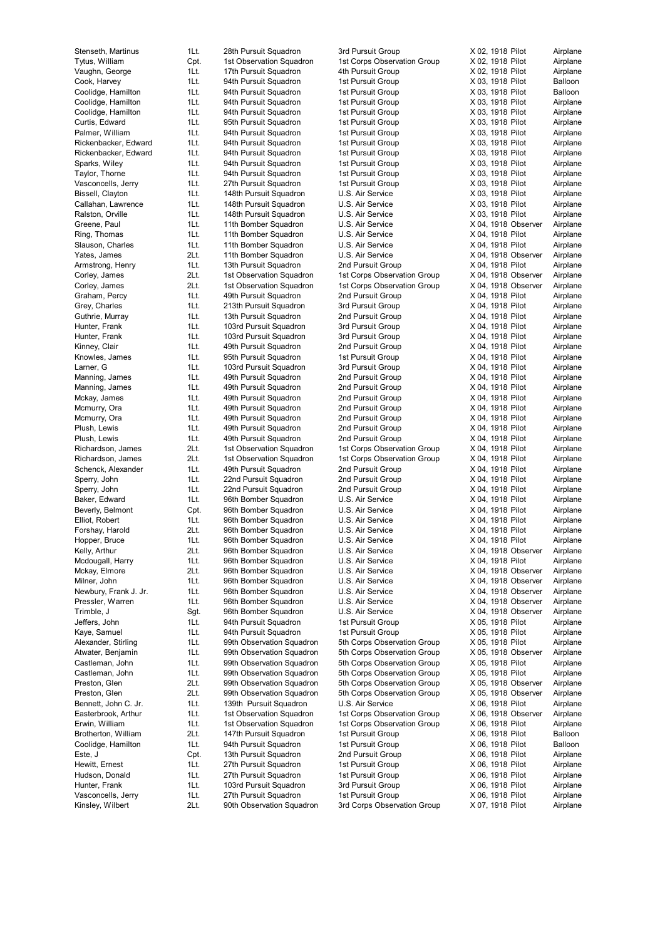Kinsley, Wilbert 2Lt. 90th Observation Squadron 3rd Corps Observation Group X 07, 1918 Pilot Airplane

Stenseth, Martinus 1Lt. 28th Pursuit Squadron 3rd Pursuit Group X 02, 1918 Pilot Airplane Tytus, William Cpt. 1st Observation Squadron 1st Corps Observation Group X 02, 1918 Pilot Airplane Vaughn, George 1Lt. 17th Pursuit Squadron 4th Pursuit Group X 02, 1918 Pilot Airplane Cook, Harvey **1Lt.** 94th Pursuit Squadron 1st Pursuit Group X 03, 1918 Pilot Balloon Coolidge, Hamilton 1Lt. 94th Pursuit Squadron 1st Pursuit Group X 03, 1918 Pilot Balloon Coolidge, Hamilton 1Lt. 94th Pursuit Squadron 1st Pursuit Group X 03, 1918 Pilot Airplane Coolidge, Hamilton 1Lt. 94th Pursuit Squadron 1st Pursuit Group X 03, 1918 Pilot Airplane Curtis, Edward 1Lt. 95th Pursuit Squadron 1st Pursuit Group X 03, 1918 Pilot Airplane<br>11 Palmer, William 1Lt. 94th Pursuit Squadron 1st Pursuit Group X 03, 1918 Pilot Airplane Palmer, William 1Lt. 94th Pursuit Squadron 1st Pursuit Group Rickenbacker, Edward 1Lt. 94th Pursuit Squadron 1st Pursuit Group X 03, 1918 Pilot Airplane Rickenbacker, Edward 1Lt. 94th Pursuit Squadron 1st Pursuit Group X 03, 1918 Pilot Airplane Sparks, Wiley 1Lt. 94th Pursuit Squadron 1st Pursuit Group X 03, 1918 Pilot Airplane<br>Taylor Thorne 11t 94th Pursuit Squadron 1st Pursuit Group X 03, 1918 Pilot Airplane Taylor, Thorne 1Lt. 94th Pursuit Squadron Vasconcells, Jerry 1Lt. 27th Pursuit Squadron 1st Pursuit Group X 03, 1918 Pilot Airplane Bissell, Clayton 11Lt. 148th Pursuit Squadron U.S. Air Service X 03, 1918 Pilot Airplane Callahan, Lawrence 1Lt. 148th Pursuit Squadron U.S. Air Service X 03, 1918 Pilot Airplane Ralston, Orville 11t 148th Pursuit Squadron U.S. Air Service X 03, 1918 Pilot Airplane Greene, Paul 11. 11th Bomber Squadron U.S. Air Service 1998 X 04, 1918 Observer Airplane<br>11th 11th Bomber Squadron U.S. Air Service 1998 X 04, 1918 Pilot Airplane 1Lt. 11th Bomber Squadron Slauson, Charles 1Lt. 11th Bomber Squadron U.S. Air Service X 04, 1918 Pilot Airplane Yates, James 2Lt. 11th Bomber Squadron U.S. Air Service X 04, 1918 Observer Airplane Armstrong, Henry 1Lt. 13th Pursuit Squadron 2nd Pursuit Group X 04, 1918 Pilot Airplane Corley, James 2Lt. 1st Observation Squadron 1st Corps Observation Group X 04, 1918 Observer Airplane Corley, James 2Lt. 1st Observation Squadron 1st Corps Observation Group X 04, 1918 Observer Airplane<br>Craham Percy 11t 49th Pursuit Squadron 2nd Pursuit Group X 04, 1918 Pilot Airplane Graham, Percy 1Lt. 49th Pursuit Squadron Grey, Charles 1Lt. 213th Pursuit Squadron 3rd Pursuit Group X 04, 1918 Pilot Airplane Guthrie, Murray **1Lt.** 13th Pursuit Squadron 2nd Pursuit Group X 04, 1918 Pilot Airplane Hunter, Frank 1Lt. 103rd Pursuit Squadron 3rd Pursuit Group X 04, 1918 Pilot Airplane Hunter, Frank 1Lt. 103rd Pursuit Squadron 3rd Pursuit Group X 04, 1918 Pilot Airplane Kinney, Clair 1Lt. 49th Pursuit Squadron 2nd Pursuit Group X 04, 1918 Pilot Airplane Knowles, James 1Lt. 95th Pursuit Squadron 1st Pursuit Group X 04, 1918 Pilot Airplane<br>11t. 103rd Pursuit Squadron 3rd Pursuit Group X 04, 1918 Pilot Airplane Larner, G 1918 Pilot 103rd Pursuit Squadron 3rd Pursuit Group X 04, 1918 Pilot Nanning, James 1918 Pilot 49th Pursuit Squadron 2nd Pursuit Group X 04, 1918 Pilot Manning, James 1Lt. 49th Pursuit Squadron 2nd Pursuit Group X 04, 1918 Pilot Airplane Manning, James 1Lt. 49th Pursuit Squadron 2nd Pursuit Group X 04, 1918 Pilot Airplane Mckay, James 1Lt. 49th Pursuit Squadron 2nd Pursuit Group X 04, 1918 Pilot Airplane Mcmurry, Ora 1Lt. 49th Pursuit Squadron 2nd Pursuit Group X 04, 1918 Pilot Airplane Mcmurry, Ora 1Lt. 49th Pursuit Squadron Plush, Lewis 1Lt. 49th Pursuit Squadron 2nd Pursuit Group X 04, 1918 Pilot Airplane Plush, Lewis 1Lt. 49th Pursuit Squadron 2nd Pursuit Group X 04, 1918 Pilot Airplane Richardson, James 2Lt. 1st Observation Squadron 1st Corps Observation Group X 04, 1918 Pilot Airplane Richardson, James 2Lt. 1st Observation Squadron 1st Corps Observation Group X 04, 1918 Pilot Airplane Schenck, Alexander 1Lt. 49th Pursuit Squadron 2nd Pursuit Group X 04, 1918 Pilot Airplane<br>11t. 22nd Pursuit Squadron 2nd Pursuit Group X 04, 1918 Pilot Airplane Sperry, John 1Lt. 22nd Pursuit Squadron 2nd Pursuit Group X 04, 1918 Pilot 3Derry, John 2016 Pursuit Group 2nd Pursuit Group Sperry, John 1Lt. 22nd Pursuit Squadron 2nd Pursuit Group X 04, 1918 Pilot Airplane Baker, Edward 1Lt. 96th Bomber Squadron U.S. Air Service X 04, 1918 Pilot Airplane Beverly, Belmont Cpt. 96th Bomber Squadron U.S. Air Service X 04, 1918 Pilot Airplane Elliot, Robert 1Lt. 96th Bomber Squadron U.S. Air Service X 04, 1918 Pilot Airplane Forshay, Harold 2Lt. 96th Bomber Squadron U.S. Air Service X 04, 1918 Pilot Airplane Hopper, Bruce 1Lt. 96th Bomber Squadron U.S. Air Service X 04, 1918 Pilot Kelly, Arthur 2Lt. 96th Bomber Squadron U.S. Air Service X 04, 1918 Observer Airplane Mcdougall, Harry **1Lt.** 96th Bomber Squadron U.S. Air Service X 04, 1918 Pilot Airplane Mckay, Elmore 2Lt. 96th Bomber Squadron U.S. Air Service X 04, 1918 Observer Airplane Milner, John 1Lt. 96th Bomber Squadron U.S. Air Service X 04, 1918 Observer Airplane Newbury, Frank J. Jr. 11t. 96th Bomber Squadron U.S. Air Service X 04, 1918 Observer Airplane<br>11 96th Bomber Squadron U.S. Air Service X 04, 1918 Observer Airplane Pressler, 1Lt. 96th Bomber Squadron U.S. Air Service (1998) X 04, 1918 Observer Airplane<br>
1995 - Sot. 96th Bomber Squadron U.S. Air Service (1998) X 04. 1918 Observer Airplane Trimble, J Sgt. 96th Bomber Squadron U.S. Air Service X 04, 1918 Observer Airplane<br>1991 Jeffers, John St. 94th Pursuit Squadron 1st Pursuit Group X 05, 1918 Pilot Airplane Jeffers, John 1Lt. 94th Pursuit Squadron 1st Pursuit Group X 05, 1918 Pilot Airplane Kaye, Samuel 1Lt. 94th Pursuit Squadron 1st Pursuit Group X 05, 1918 Pilot Airplane Alexander, Stirling 1Lt. 99th Observation Squadron 5th Corps Observation Group X 05, 1918 Pilot Airplane Atwater, Benjamin 1Lt. 99th Observation Squadron 5th Corps Observation Group X 05, 1918 Observer Airplane Castleman, John 1Lt. 99th Observation Squadron 5th Corps Observation Group X 05, 1918 Pilot Airplane Castleman, John 1Lt. 99th Observation Squadron 5th Corps Observation Group X 05, 1918 Pilot Airplane Preston, Glen 2Lt. 99th Observation Squadron 5th Corps Observation Group X 05, 1918 Observer Airplane<br>Preston, Glen 2Lt. 99th Observation Squadron 5th Corps Observation Group X 05, 1918 Observer Airplane Preston, Glen 2Lt. 99th Observation Squadron 5th Corps Observation Group X 05, 1918 Observer Airplane Bennett, John C. Jr. 11. 139th Pursuit Squadron U.S. Air Service X 06, 1918 Pilot Airplane Easterbrook, Arthur 1Lt. 1st Observation Squadron 1st Corps Observation Group X 06, 1918 Observer Airplane<br>11t. 1st Observation Squadron 1st Corps Observation Group X 06, 1918 Pilot Airplane Erwin, William 1Lt. 1st Observation Squadron 1st Corps Observation Group X 06, 1918 Pilot Airplane<br>147th Pursuit Squadron 1st Pursuit Group X 06, 1918 Pilot Balloon Brotherton, William 2Lt. 147th Pursuit Squadron 1st Pursuit Group X 06, 1918 Pilot Balloon Coolidge, Hamilton 1Lt. 94th Pursuit Squadron 1st Pursuit Group X 06, 1918 Pilot Balloon Este, J Cpt. 13th Pursuit Squadron 2nd Pursuit Group X 06, 1918 Pilot Airplane Hewitt, Ernest 1Lt. 27th Pursuit Squadron 1st Pursuit Group X 06, 1918 Pilot Airplane Hudson, Donald 1Lt. 27th Pursuit Squadron 1st Pursuit Group X 06, 1918 Pilot Airplane<br>1976 Hunter, Frank 1Lt. 103rd Pursuit Squadron 3rd Pursuit Group X 06, 1918 Pilot Airplane Hunter, Frank 11 a. 30 a. 103rd Pursuit Squadron 3rd Pursuit Group 3rd Pursuit Airplane X 06, 1918 Pilot Vasconcells, Jerry 1Lt. 27th Pursuit Squadron 1st Pursuit Group X 06, 1918 Pilot Airplane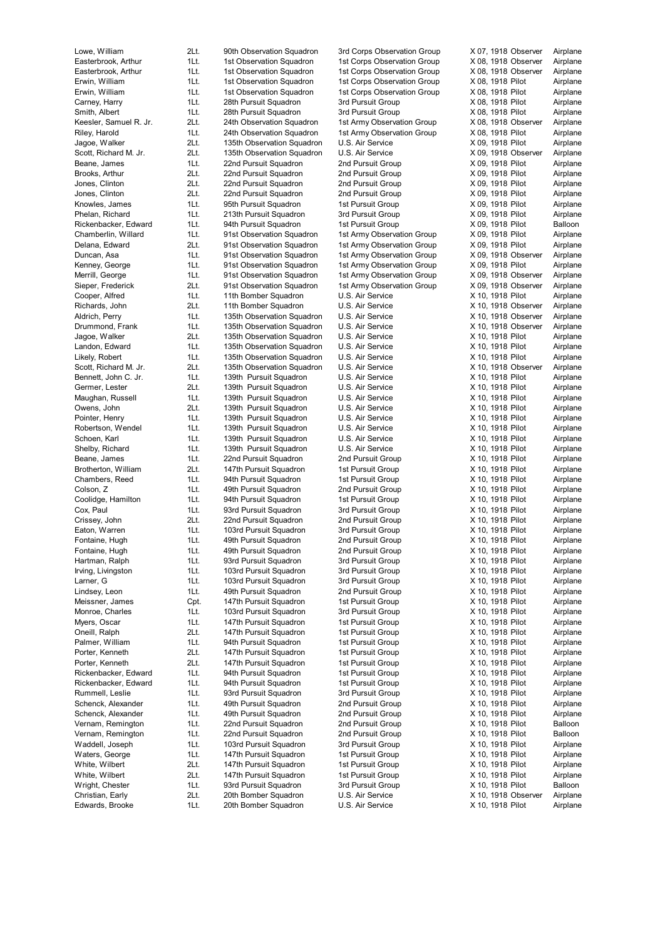Edwards, Brooke 1Lt. 20th Bomber Squadron U.S. Air Service X 10, 1918 Pilot Airplane

Lowe, William 2Lt. 90th Observation Squadron 3rd Corps Observation Group X 07, 1918 Observer Airplane Easterbrook, Arthur 1Lt. 1st Observation Squadron 1st Corps Observation Group X 08, 1918 Observer Airplane Easterbrook, Arthur 1Lt. 1st Observation Squadron 1st Corps Observation Group X 08, 1918 Observer Airplane Erwin, William 1Lt. 1st Observation Squadron 1st Corps Observation Group X 08, 1918 Pilot Airplane Erwin, William 1Lt. 1st Observation Squadron 1st Corps Observation Group X 08, 1918 Pilot Airplane<br>Carney, Harry 1Lt. 28th Pursuit Squadron 3rd Pursuit Group X 08, 1918 Pilot Airplane Carney, Harry **1Lt.** 28th Pursuit Squadron 3rd Pursuit Group X 08, 1918 Pilot Airplane Smith, Albert 1Lt. 28th Pursuit Squadron 3rd Pursuit Group X 08, 1918 Pilot Airplane Keesler, Samuel R. Jr. 2Lt. 24th Observation Squadron 1st Army Observation Group X 08, 1918 Observer Airplane<br>24th Observation Squadron 1st Army Observation Squadron 1st Army Observation Group X 08, 1918 Pilot Airplane Riley, Harold **1Lt.** 24th Observation Squadron 1st Army Observation Group X 08, 1918 Pilot Airplane Jagoe, Walker 2Lt. 135th Observation Squadron U.S. Air Service X 09, 1918 Pilot Airplane Scott, Richard M. Jr. 2Lt. 135th Observation Squadron U.S. Air Service X 09, 1918 Observer Airplane<br>11t. 22nd Pursuit Squadron 2nd Pursuit Group X 09, 1918 Pilot Airplane Beane, James 1Lt. 22nd Pursuit Squadron 2nd Pursuit Group X 09, 1918 Pilot Airplane<br>Brooks. Arthur 2Lt. 22nd Pursuit Squadron 2nd Pursuit Group X 09. 1918 Pilot Airplane 2Lt. 22nd Pursuit Squadron 2nd Pursuit Group X 09, 1918 Pilot Airplane Jones, Clinton 2011 2015 2018 22nd Pursuit Squadron 2nd Pursuit Group 3009, 1918 Pilot Airplane Jones, Clinton 2Lt. 22nd Pursuit Squadron 2nd Pursuit Group X 09, 1918 Pilot Airplane Knowles, James 1Lt. 95th Pursuit Squadron 1st Pursuit Group X 09, 1918 Pilot Airplane Phelan, Richard 1Lt. 213th Pursuit Squadron 3rd Pursuit Group X 09, 1918 Pilot Airplane Rickenbacker, Edward 1Lt. 94th Pursuit Squadron 1st Pursuit Group X 09, 1918 Pilot Balloon<br>Chamberlin, Willard 1Lt. 91st Observation Squadron 1st Army Observation Group X 09, 1918 Pilot Airplane 1Lt. 91st Observation Squadron 1st Army Observation Group X 09, 1918 Pilot Airplane Delana, Edward 2Lt. 91st Observation Squadron 1st Army Observation Group X 09, 1918 Pilot Airplane Duncan, Asa 1Lt. 91st Observation Squadron 1st Army Observation Group X 09, 1918 Observer Airplane Kenney, George 1Lt. 91st Observation Squadron 1st Army Observation Group X 09, 1918 Pilot Airplane Merrill, George **1Lt.** 91st Observation Squadron 1st Army Observation Group X 09, 1918 Observer Airplane Sieper, Frederick 2Lt. 91st Observation Squadron 1st Army Observation Group X 09, 1918 Observer Airplane<br>Cooper Alfred 11t. 11th Bomber Squadron U.S. Air Service X 10. 1918 Pilot Airplane Cooper, Alfred 1Lt. 11th Bomber Squadron U.S. Air Service X 10, 1918 Pilot Airplane Richards, John 2Lt. 11th Bomber Squadron U.S. Air Service X 10, 1918 Observer Airplane Aldrich, Perry **1Lt.** 135th Observation Squadron U.S. Air Service X 10, 1918 Observer Airplane Drummond, Frank 1Lt. 135th Observation Squadron U.S. Air Service X 10, 1918 Observer Airplane<br>1999 Jagoe, Walker 1995 (2008) 2011 12:5th Observation Squadron U.S. Air Service X 10, 1918 Pilot Airplane Jagoe, Walker 2Lt. 135th Observation Squadron U.S. Air Service X 10, 1918 Pilot Airplane Landon, Edward 11t. 135th Observation Squadron U.S. Air Service 1995 X 10, 1918 Pilot Airplane<br>1991 Likely, Robert 11t. 135th Observation Squadron U.S. Air Service 1995 X 10, 1918 Pilot Airplane Likely, Robert 1998 11. 135th Observation Squadron U.S. Air Service 1998 X 10, 1918 Pilot Airplane<br>195th Coott, Richard M. Jr. 21. 135th Observation Squadron U.S. Air Service 1998 X 10, 1918 Observer Airplane 2Lt. 135th Observation Squadron U.S. Air Service  $X$  10, 1918 Observer Airplane<br>1Lt. 139th Pursuit Squadron U.S. Air Service X 10, 1918 Pilot Airplane Bennett, John C. Jr. 1Lt. 139th Pursuit Squadron U.S. Air Service X 10, 1918 Pilot Airplane Germer, Lester 2Lt. 139th Pursuit Squadron U.S. Air Service X 10, 1918 Pilot Airplane 1Lt. 139th Pursuit Squadron U.S. Air Service 1. 11. X 10, 1918 Pilot Airplane<br>11. 139th Pursuit Squadron U.S. Air Service 1. X 10, 1918 Pilot Airplane Owens, John 2Lt. 139th Pursuit Squadron U.S. Air Service X 10, 1918 Pilot Airplane Pointer, Henry **1Lt.** 139th Pursuit Squadron U.S. Air Service X 10, 1918 Pilot Airplane Robertson, Wendel 11t. 139th Pursuit Squadron U.S. Air Service X 10, 1918 Pilot Airplane<br>11Lt. 139th Pursuit Squadron U.S. Air Service X 10, 1918 Pilot Airplane Schoen, Karl 1991 Mult. 139th Pursuit Squadron U.S. Air Service 1998 X 10, 1918 Pilot Airplane Shelby, Richard 1Lt. 139th Pursuit Squadron U.S. Air Service 1995 X 10, 1918 Pilot Airplane<br>11 Airplane 11 Airplane 11 Airplane 22nd Pursuit Squadron 2nd Pursuit Group 1996 X 10, 1918 Pilot Airplane Beane, James 1Lt. 22nd Pursuit Squadron 2nd Pursuit Group X 10, 1918 Pilot Airplane Brotherton, William 2Lt. 147th Pursuit Squadron 1st Pursuit Group X 10, 1918 Pilot Airplane<br>Chambers, Reed 1Lt. 94th Pursuit Squadron 1st Pursuit Group X 10, 1918 Pilot Airplane 1Lt. 94th Pursuit Squadron 1st Pursuit Group 1.1 X 10, 1918 Pilot Airplane<br>1Lt. 49th Pursuit Squadron 2nd Pursuit Group X 10, 1918 Pilot Airplane Colson, Z 1Lt. 49th Pursuit Squadron 2nd Pursuit Group X 10, 1918 Pilot Airplane Coolidge, Hamilton 1Lt. 94th Pursuit Squadron 1st Pursuit Group X 10, 1918 Pilot Airplane Cox, Paul 1Lt. 93rd Pursuit Squadron 3rd Pursuit Group X 10, 1918 Pilot Airplane Crissey, John 2Lt. 22nd Pursuit Squadron 2nd Pursuit Group X 10, 1918 Pilot Airplane Eaton, Warren 11t. 103rd Pursuit Squadron 3rd Pursuit Group X 10, 1918 Pilot Airplane<br>11t. 49th Pursuit Squadron 2nd Pursuit Group X 10, 1918 Pilot Airplane Fontaine, Hugh 1Lt. 49th Pursuit Squadron 2nd Pursuit Group X 10, 1918 Pilot Airplane Fontaine, Hugh 1Lt. 49th Pursuit Squadron 2nd Pursuit Group X 10, 1918 Pilot Airplane Hartman, Ralph 1Lt. 93rd Pursuit Squadron 3rd Pursuit Group X 10, 1918 Pilot Airplane Irving, Livingston 1Lt. 103rd Pursuit Squadron 3rd Pursuit Group X 10, 1918 Pilot Airplane<br>11 103rd Pursuit Squadron 3rd Pursuit Group X 10, 1918 Pilot Airplane Larner. G 11t. 103rd Pursuit Squadron 3rd Pursuit Group X 10, 1918 Pilot Airplane Lindsey, Leon 1Lt. 49th Pursuit Squadron 2nd Pursuit Group X 10, 1918 Pilot Airplane Meissner, James Cpt. 147th Pursuit Squadron 1st Pursuit Group X 10, 1918 Pilot Airplane Monroe, Charles 1Lt. 103rd Pursuit Squadron 3rd Pursuit Group X 10, 1918 Pilot Airplane Myers, Oscar **1Lt.** 147th Pursuit Squadron 1st Pursuit Group X 10, 1918 Pilot Airplane Oneill, Ralph 2Lt. 147th Pursuit Squadron 1st Pursuit Group X 10, 1918 Pilot Airplane Palmer, William 1Lt. 94th Pursuit Squadron 1st Pursuit Group X 10, 1918 Pilot Airplane Porter, Kenneth 2Lt. 147th Pursuit Squadron 1st Pursuit Group X 10, 1918 Pilot Airplane Porter, Kenneth 2Lt. 147th Pursuit Squadron 1st Pursuit Group X 10, 1918 Pilot Airplane Rickenbacker, Edward 1Lt. 94th Pursuit Squadron 1st Pursuit Group X 10, 1918 Pilot Airplane<br>194th Rickenbacker, Edward 1Lt. 94th Pursuit Squadron 1st Pursuit Group X 10, 1918 Pilot Airplane Rickenbacker, Edward 1Lt. 94th Pursuit Squadron 1st Pursuit Group X 10, 1918 Pilot Airplane Rummell, Leslie **1Lt.** 93rd Pursuit Squadron 3rd Pursuit Group X 10, 1918 Pilot Airplane Schenck, Alexander 1Lt. 49th Pursuit Squadron 2nd Pursuit Group X 10, 1918 Pilot Airplane Schenck, Alexander 1Lt. 49th Pursuit Squadron 2nd Pursuit Group X 10, 1918 Pilot Airplane<br>11 Vernam, Remington 1Lt. 22nd Pursuit Squadron 2nd Pursuit Group X 10, 1918 Pilot Balloon 1Lt. 22nd Pursuit Squadron 2nd Pursuit Group X 10, 1918 Pilot Balloon<br>1Lt. 22nd Pursuit Squadron 2nd Pursuit Group X 10, 1918 Pilot Balloon Vernam, Remington 1Lt. 22nd Pursuit Squadron 2nd Pursuit Group X 10, 1918 Pilot Balloon<br>11 Vaddell, Joseph 1Lt. 103rd Pursuit Squadron 3rd Pursuit Group X 10, 1918 Pilot Airplane Waddell, Joseph 1Lt. 103rd Pursuit Squadron 3rd Pursuit Group X 10, 1918 Pilot Airplane Waters, George 1Lt. 147th Pursuit Squadron 1st Pursuit Group X 10, 1918 Pilot Airplane White, Wilbert 2Lt. 147th Pursuit Squadron 1st Pursuit Group X 10, 1918 Pilot Airplane White, Wilbert 2Lt. 147th Pursuit Squadron 1st Pursuit Group X 10, 1918 Pilot Airplane<br>11t 93rd Pursuit Squadron 3rd Pursuit Group X 10, 1918 Pilot Balloon Wright, Chester **1Lt.** 93rd Pursuit Squadron 3rd Pursuit Group X 10, 1918 Pilot Balloon Christian, Early 2Lt. 20th Bomber Squadron U.S. Air Service X 10, 1918 Observer Airplane

| 07,                                                                                                      | 1918                     | Observer             | Airpla           |
|----------------------------------------------------------------------------------------------------------|--------------------------|----------------------|------------------|
| 08,                                                                                                      | 1918                     | Observer             | Airpla           |
| 08,                                                                                                      | 1918                     | Observer             | Airpla           |
| 08,<br>08,                                                                                               | 1918<br>1918             | Pilot<br>Pilot       | Airpla<br>Airpla |
| 08,                                                                                                      | 1918                     | Pilot                | Airpla           |
| 08,                                                                                                      | 1918                     | Pilot                | Airpla           |
| 08,                                                                                                      | 1918                     | Observer             | Airpla           |
| 08,                                                                                                      | 1918                     | Pilot                | Airpla           |
| 09,                                                                                                      | 1918                     | Pilot                | Airpla           |
| 09,                                                                                                      | 1918                     | Observer             | Airpla           |
| 09,                                                                                                      | 1918                     | Pilot                | Airpla           |
| 09,                                                                                                      | 1918                     | Pilot                | Airpla           |
| 09,<br>09,                                                                                               | 1918<br>1918             | Pilot<br>Pilot       | Airpla           |
| 09,                                                                                                      | 1918                     | Pilot                | Airpla<br>Airpla |
| 09,                                                                                                      | 1918                     | Pilot                | Airpla           |
| 09,                                                                                                      | 1918                     | Pilot                | Balloo           |
| 09.                                                                                                      | 1918                     | Pilot                | Airpla           |
| 09,                                                                                                      | 1918                     | Pilot                | Airpla           |
| 09,                                                                                                      | 1918                     | Observer             | Airpla           |
| 09,                                                                                                      | 1918                     | Pilot                | Airpla           |
| 09,                                                                                                      | 1918                     | Observer             | Airpla           |
| 09.                                                                                                      | 1918                     | Observer             | Airpla           |
| 10,<br>10,                                                                                               | 1918                     | Pilot                | Airpla           |
| 10,                                                                                                      | 1918<br>1918             | Observer<br>Observer | Airpla<br>Airpla |
| 10,                                                                                                      | 1918                     | Observer             | Airpla           |
| 10,                                                                                                      | 1918                     | Pilot                | Airpla           |
| 10,                                                                                                      | 1918                     | Pilot                | Airpla           |
| 10,                                                                                                      | 1918                     | Pilot                | Airpla           |
| 10,                                                                                                      | 1918                     | Observer             | Airpla           |
| 10,                                                                                                      | 1918                     | Pilot                | Airpla           |
| 10,                                                                                                      | 1918                     | Pilot                | Airpla           |
| 10,                                                                                                      | 1918                     | Pilot                | Airpla           |
| 10,<br>10,                                                                                               | 1918<br>1918             | Pilot<br>Pilot       | Airpla           |
| 10,                                                                                                      | 1918                     | Pilot                | Airpla<br>Airpla |
| 10,                                                                                                      | 1918                     | Pilot                | Airpla           |
| 10,                                                                                                      | 1918                     | Pilot                | Airpla           |
| 10,                                                                                                      | 1918                     | Pilot                | Airpla           |
| 10,                                                                                                      | 1918                     | Pilot                | Airpla           |
| 10,                                                                                                      | 1918                     | Pilot                | Airpla           |
| 10,                                                                                                      | 1918                     | Pilot                | Airpla           |
| 10,                                                                                                      | 1918                     | Pilot                | Airpla           |
| 10,                                                                                                      | 1918                     | Pilot                | Airpla           |
| 10,<br>10,                                                                                               | 1918<br>1918             | Pilot<br>Pilot       | Airpla<br>Airpla |
| 10,                                                                                                      | 1918                     | Pilot                | Airpla           |
| 10,                                                                                                      | 1918 Pilot               |                      | Airpla           |
| $\ddot{\phantom{a}}$<br>10,                                                                              | 1918 Pilot               |                      | Airpla           |
| $\overline{\phantom{a}}$<br>10,                                                                          | 1918 Pilot               |                      | Airpla           |
| 10,                                                                                                      | 1918 Pilot               |                      | Airpla           |
| 10,                                                                                                      | 1918 Pilot               |                      | Airpla           |
| 10,                                                                                                      | 1918 Pilot               |                      | Airpla           |
| 10,                                                                                                      | 1918 Pilot               |                      | Airpla           |
| 10,                                                                                                      | 1918 Pilot               |                      | Airpla           |
| 10,<br>10,                                                                                               | 1918 Pilot<br>1918 Pilot |                      | Airpla<br>Airpla |
| ֖֖֖֖֚֚֚֚֚֚֚֚֚֚֚֚֡֝֝֝֝<br>֧֖֖֖֖֖֧֖֧֖֖֧֪֪֪֪֪֪֪֪֪֪֪֪֪֪֪֪֪֪֪֪֪֪֪֪֪֪ׅ֛֪֪֚֚֚֚֚֚֚֚֚֚֚֚֚֚֚֚֚֚֚֝֩֩֓֝֝֝֩֩<br>10,   | 1918 Pilot               |                      | Airpla           |
| 10,                                                                                                      | 1918 Pilot               |                      | Airpla           |
| ֖֚֚֚֚֚֚֚֚֚֚֚֚֚֚֚֚֡֝֝֝<br>֧֖֖֖֖֧֖֧֖֧֖֧֚֚֚֚֚֚֚֚֚֚֚֚֚֚֚֚֚֚֚֚֚֝֩֝֝֝<br>֧֧֧֩֩<br>10,                          | 1918 Pilot               |                      | Airpla           |
| 10,                                                                                                      | 1918 Pilot               |                      | Airpla           |
| ֖֖ׅ֧ׅ֧ׅ֖֧֧֧ׅ֧֧֧֧֪֪֪ׅ֖֧֧֧֧֧֧֪֧֚֚֚֚֚֚֚֚֚֚֚֚֚֚֚֚֚֚֚֡֝֝֝֝֝֝֬֝֬֝֬֝֬֝֝֓֬֝֬֝֬֝֬֝֬֝֞֝֬֝֬֝֬֝֬֝֬֝֬֝֞֝֬<br>10,      | 1918 Pilot               |                      | Airpla           |
| 10,                                                                                                      | 1918 Pilot               |                      | Airpla           |
| ֺ֚<br>10,                                                                                                | 1918 Pilot               |                      | Airpla           |
| 10,<br>֖֖֚֚֚֚֚֚֚֚֚֚֚֚֚֚֡֝֝֝֝<br>֧֖֖֖֖֖֖֧֖֧֪֪ׅ֖֧֪֪֪֪֪֪֪֪֪֪֪֪֪֪֪֪֪֪֪֪֪֪֪֪֪֪֪ׅ֛֚֚֚֚֚֚֚֚֚֚֚֚֚֚֚֚֚֚֚֚֝֝֝֩֝    | 1918 Pilot               |                      | Balloo           |
| 10,                                                                                                      | 1918 Pilot               |                      | Balloo           |
| 10,                                                                                                      | 1918 Pilot               |                      | Airpla           |
| 10,<br>10,                                                                                               | 1918 Pilot<br>1918 Pilot |                      | Airpla<br>Airpla |
| ֖֖֧֪ׅ֖֧֧ׅ֧֧֪ׅ֖֧֧֧֧֧֧֧֧֧֧֧֚֚֚֚֚֚֚֚֚֚֚֚֚֚֚֚֚֚֚֚֡֝֝֝֝֝֝֝֝֝֝֝֝֝֬֝֬֝֬֝֬֝֝֬֝֬֝֬֝֬֝֬֝֬֝֞֝֬֝֬֝֞֞֝֬֝֬֝֝֞֝֬<br>10, | 1918 Pilot               |                      | Airpla           |
| 10,                                                                                                      | 1918 Pilot               |                      | Balloo           |
|                                                                                                          |                          | 10, 1918 Observer    | Airpla           |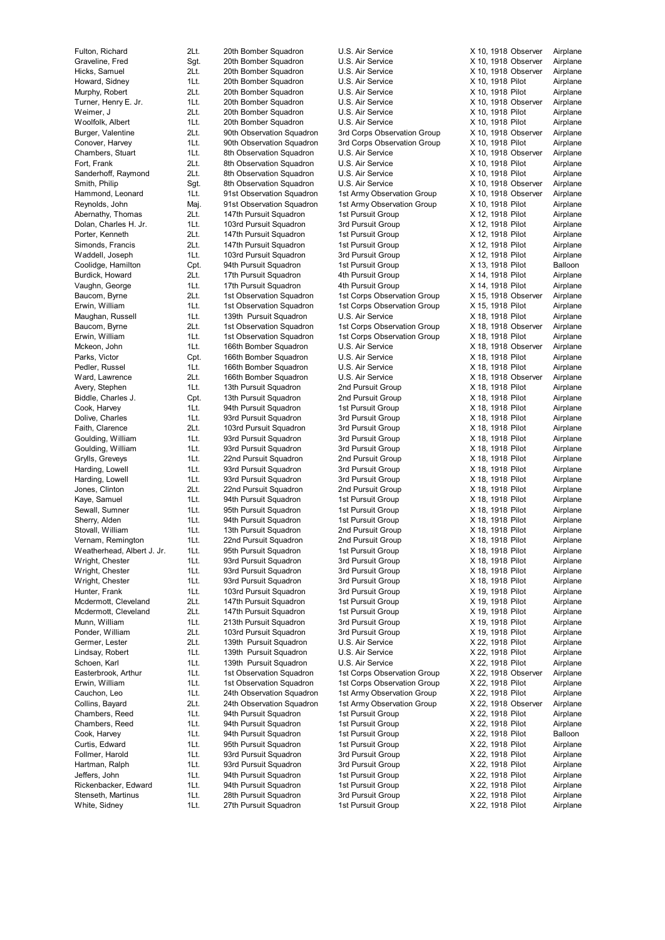Harding, Lowell 1Lt. 93rd Pursuit Squadron White, Sidney **1Lt.** 27th Pursuit Squadron 1st Pursuit Group X 22, 1918 Pilot Airplane

Fulton, Richard 2Lt. 20th Bomber Squadron U.S. Air Service X 10, 1918 Observer Airplane Graveline, Fred Sgt. 20th Bomber Squadron U.S. Air Service X 10, 1918 Observer Airplane Hicks, Samuel 2Lt. 20th Bomber Squadron U.S. Air Service X 10, 1918 Observer Airplane Howard, Sidney 1Lt. 20th Bomber Squadron U.S. Air Service X 10, 1918 Pilot Airplane<br>11 Murphy, Robert 2Lt. 20th Bomber Squadron U.S. Air Service X 10, 1918 Pilot Airplane 2Lt. 20th Bomber Squadron U.S. Air Service X 10, 1918 Pilot Airplane Turner, Henry E. Jr. 1Lt. 20th Bomber Squadron U.S. Air Service X 10, 1918 Observer Airplane Weimer, J 2Lt. 20th Bomber Squadron U.S. Air Service X 10, 1918 Pilot Airplane Woolfolk, Albert 1Lt. 20th Bomber Squadron U.S. Air Service X 10, 1918 Pilot Airplane<br>Burger, Valentine 2Lt. 90th Observation Squadron 3rd Corps Observation Group X 10. 1918 Observer Airplane Burger, Valentine 2Lt. 90th Observation Squadron 3rd Corps Observation Group X 10, 1918 Observer Airplane Conover, Harvey **1Lt.** 90th Observation Squadron 3rd Corps Observation Group X 10, 1918 Pilot Airplane Chambers, Stuart 1Lt. 8th Observation Squadron U.S. Air Service X 10, 1918 Observer Airplane Fort, Frank 2Lt. 8th Observation Squadron U.S. Air Service X 10, 1918 Pilot Airplane<br>Sanderhoff. Raymond 2Lt. 8th Observation Squadron U.S. Air Service X 10. 1918 Pilot Airplane 2Lt. 8th Observation Squadron U.S. Air Service X 10, 1918 Pilot Airplane Smith, Philip Sgt. 8th Observation Squadron U.S. Air Service X 10, 1918 Observer Airplane Hammond, Leonard 1Lt. 91st Observation Squadron 1st Army Observation Group X 10, 1918 Observer Airplane Reynolds, John Maj. 91st Observation Squadron 1st Army Observation Group X 10, 1918 Pilot Airplane Abernathy, Thomas 2Lt. 147th Pursuit Squadron 1st Pursuit Group X 12, 1918 Pilot Airplane Dolan, Charles H. Jr. 11. 103rd Pursuit Squadron 3rd Pursuit Group X 12, 1918 Pilot Airplane<br>147th Pursuit Squadron 1st Pursuit Group X 12, 1918 Pilot Airplane 147th Pursuit Squadron Simonds, Francis 2Lt. 147th Pursuit Squadron 1st Pursuit Group X 12, 1918 Pilot Airplane Waddell, Joseph 1Lt. 103rd Pursuit Squadron 3rd Pursuit Group X 12, 1918 Pilot Airplane Coolidge, Hamilton Cpt. 94th Pursuit Squadron 1st Pursuit Group X 13, 1918 Pilot Balloon Burdick, Howard 2Lt. 17th Pursuit Squadron 4th Pursuit Group X 14, 1918 Pilot Airplane Vaughn, George 1Lt. 17th Pursuit Squadron 4th Pursuit Group X 14, 1918 Pilot Airplane<br>
Raucom Byrne 21t 1st Observation Squadron 1st Corps Observation Group X 15 1918 Observer Airplane Baucom, Byrne 2Lt. 2Lt. 1st Observation Squadron 1st Corps Observation Group Erwin, William 1Lt. 1st Observation Squadron 1st Corps Observation Group X 15, 1918 Pilot Airplane Maughan, Russell **1Lt.** 139th Pursuit Squadron U.S. Air Service X 18, 1918 Pilot Airplane Baucom, Byrne 2Lt. 1st Observation Squadron 1st Corps Observation Group X 18, 1918 Observer Airplane Erwin, William 1Lt. 1st Observation Squadron 1st Corps Observation Group X 18, 1918 Pilot Airplane Mckeon, John 1Lt. 166th Bomber Squadron U.S. Air Service X 18, 1918 Observer Airplane<br>Parks, Victor Cpt. 166th Bomber Squadron U.S. Air Service X 18, 1918 Pilot Airplane Parks, Victor Cpt. 166th Bomber Squadron U.S. Air Service X 18, 1918 Pilot Airplane 1Lt. 166th Bomber Squadron U.S. Air Service X 18, 1918 Pilot Airplane Ward, Lawrence **2Lt.** 166th Bomber Squadron U.S. Air Service X 18, 1918 Observer Airplane Avery, Stephen 1Lt. 13th Pursuit Squadron 2nd Pursuit Group X 18, 1918 Pilot Airplane Biddle, Charles J. Cpt. 13th Pursuit Squadron 2nd Pursuit Group X 18, 1918 Pilot Airplane Cook, Harvey 1Lt. 94th Pursuit Squadron 1st Pursuit Group X 18, 1918 Pilot Airplane Dolive, Charles 1Lt. 93rd Pursuit Squadron 3rd Pursuit Group X 18, 1918 Pilot Airplane Faith, Clarence 2Lt. 103rd Pursuit Squadron 3rd Pursuit Group X 18, 1918 Pilot Airplane Goulding, William 1Lt. 93rd Pursuit Squadron 3rd Pursuit Group X 18, 1918 Pilot Airplane Goulding, William 1Lt. 93rd Pursuit Squadron 3rd Pursuit Group X 18, 1918 Pilot Airplane Grylls, Greveys **1Lt.** 22nd Pursuit Squadron 2nd Pursuit Group X 18, 1918 Pilot Airplane Harding, Lowell **1Lt.** 93rd Pursuit Squadron 3rd Pursuit Group X 18, 1918 Pilot Airplane<br>11Lt. 93rd Pursuit Squadron 3rd Pursuit Group X 18, 1918 Pilot Airplane Jones, Clinton 2Lt. 22nd Pursuit Squadron 2nd Pursuit Group X 18, 1918 Pilot Airplane Kaye, Samuel 1Lt. 94th Pursuit Squadron 1st Pursuit Group X 18, 1918 Pilot Airplane Sewall, Sumner 1Lt. 95th Pursuit Squadron 1st Pursuit Group X 18, 1918 Pilot Airplane Sherry, Alden 1Lt. 94th Pursuit Squadron 1st Pursuit Group X 18, 1918 Pilot Airplane Stovall, William 1Lt. 13th Pursuit Squadron 2nd Pursuit Group X 18, 1918 Pilot Airplane<br>11Lt. 22nd Pursuit Gruadron 2nd Pursuit Group X 18, 1918 Pilot Airplane Vernam, Remington 1Lt. 22nd Pursuit Squadron 2nd Pursuit Group X 18, 1918 Pilot Weatherhead, Albert J. Jr. 1Lt. 95th Pursuit Squadron 1st Pursuit Group X 18, 1918 Pilot Airplane Wright, Chester **1Lt.** 93rd Pursuit Squadron 3rd Pursuit Group X 18, 1918 Pilot Airplane Wright, Chester **1Lt.** 93rd Pursuit Squadron 3rd Pursuit Group X 18, 1918 Pilot Airplane Wright, Chester **1Lt.** 93rd Pursuit Squadron 3rd Pursuit Group X 18, 1918 Pilot Airplane Hunter, Frank 1998 1998 11 103rd Pursuit Squadron 1988 3rd Pursuit Group 1988 19, 1918 Pilot Airplane<br>19 Nodermott, Cleveland 21t. 147th Pursuit Squadron 1st Pursuit Group 1988 1989 2018 Airplane 2Lt. 147th Pursuit Squadron 1st Pursuit Group X 19, 1918 Pilot Airplane Mcdermott, Cleveland 2Lt. 147th Pursuit Squadron 1st Pursuit Group X 19, 1918 Pilot Airplane Munn, William 1Lt. 213th Pursuit Squadron 3rd Pursuit Group X 19, 1918 Pilot Airplane Ponder, William 2Lt. 103rd Pursuit Squadron 3rd Pursuit Group X 19, 1918 Pilot Airplane Germer, Lester 2Lt. 139th Pursuit Squadron U.S. Air Service X 22, 1918 Pilot Airplane Lindsay, Robert 1Lt. 139th Pursuit Squadron U.S. Air Service X 22, 1918 Pilot Airplane Schoen, Karl 11t. 139th Pursuit Squadron U.S. Air Service X 22, 1918 Pilot Airplane Easterbrook, Arthur 1Lt. 1st Observation Squadron 1st Corps Observation Group X 22, 1918 Observer Airplane Erwin, William 1Lt. 1st Observation Squadron 1st Corps Observation Group X 22, 1918 Pilot Airplane Cauchon, Leo 1Lt. 24th Observation Squadron 1st Army Observation Group X 22, 1918 Pilot Airplane Collins, Bayard 2Lt. 24th Observation Squadron 1st Army Observation Group X 22, 1918 Observer Airplane Chambers, Reed 1Lt. 94th Pursuit Squadron 1st Pursuit Group X 22, 1918 Pilot Airplane Chambers, Reed 1Lt. 94th Pursuit Squadron 1st Pursuit Group X 22, 1918 Pilot Airplane<br>Cook, Harvey 1Lt. 94th Pursuit Squadron 1st Pursuit Group X 22, 1918 Pilot Balloon Cook, Harvey 1Lt. 94th Pursuit Squadron 1st Pursuit Group X 22, 1918 Pilot Balloon Curtis, Edward 1Lt. 95th Pursuit Squadron 1st Pursuit Group X 22, 1918 Pilot Airplane Follmer, Harold **1Lt.** 93rd Pursuit Squadron 3rd Pursuit Group X 22, 1918 Pilot Airplane Hartman, Ralph 1Lt. 93rd Pursuit Squadron 3rd Pursuit Group X 22, 1918 Pilot Airplane Jeffers, John 11. 194th Pursuit Squadron 1st Pursuit Group X 22, 1918 Pilot Airplane<br>194th 194th Pursuit Squadron 1st Pursuit Group X 22, 1918 Pilot Airplane Rickenbacker, Edward 11t. 94th Pursuit Squadron 1st Pursuit Group X 22, 1918 Pilot Stenseth, Martinus 1Lt. 28th Pursuit Squadron 3rd Pursuit Group X 22, 1918 Pilot Airplane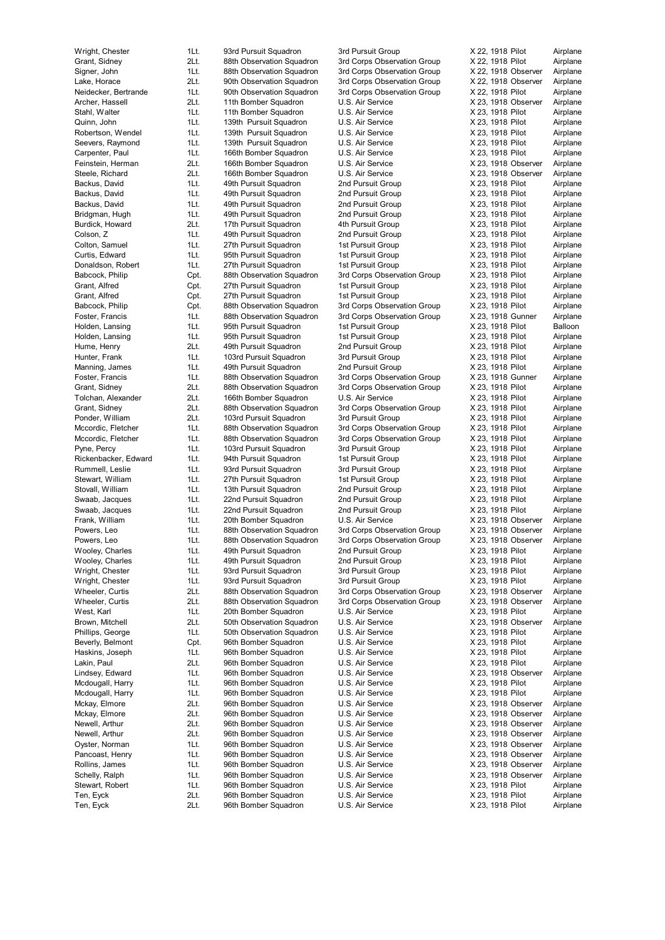Ten, Eyck 2Lt. 96th Bomber Squadron U.S. Air Service X 23, 1918 Pilot Airplane

Wright, Chester 1Lt. 93rd Pursuit Squadron 3rd Pursuit Group X 22, 1918 Pilot Airplane Grant, Sidney 2Lt. 88th Observation Squadron 3rd Corps Observation Group X 22, 1918 Pilot Airplane Signer, John 1Lt. 88th Observation Squadron 3rd Corps Observation Group X 22, 1918 Observer Lake, Horace **2Lt.** 90th Observation Squadron 3rd Corps Observation Group X 22, 1918 Observer Airplane<br>Neidecker, Bertrande 1Lt. 90th Observation Squadron 3rd Corps Observation Group X 22, 1918 Pilot Airplane Neidecker, Bertrande 11. 90th Observation Squadron 3rd Corps Observation Group X 22, 1918 Pilot Airplane Archer, Hassell 2Lt. 11th Bomber Squadron U.S. Air Service X 23, 1918 Observer Airplane Stahl, Walter **1Lt.** 11th Bomber Squadron U.S. Air Service X 23, 1918 Pilot Airplane Quinn, John 11 1Lt. 139th Pursuit Squadron U.S. Air Service 1988 X 23, 1918 Pilot Airplane<br>11Lt. 139th Pursuit Squadron U.S. Air Service 1983, 1918 Pilot Airplane Robertson, Wendel 1Lt. 139th Pursuit Squadron U.S. Air Service Seevers, Raymond 1Lt. 139th Pursuit Squadron U.S. Air Service X 23, 1918 Pilot Airplane Carpenter, Paul 1Lt. 166th Bomber Squadron U.S. Air Service X 23, 1918 Pilot Airplane Feinstein, Herman 2Lt. 166th Bomber Squadron U.S. Air Service X 23, 1918 Observer Airplane<br>Steele Richard 21 166th Bomber Squadron U.S. Air Service X 23, 1918 Observer Airplane 166th Bomber Squadron Backus, David **1Lt.** 49th Pursuit Squadron 2nd Pursuit Group X 23, 1918 Pilot Airplane Backus, David 1Lt. 49th Pursuit Squadron 2nd Pursuit Group X 23, 1918 Pilot Airplane Backus, David **1Lt.** 49th Pursuit Squadron 2nd Pursuit Group X 23, 1918 Pilot Airplane Bridgman, Hugh 1Lt. 49th Pursuit Squadron 2nd Pursuit Group X 23, 1918 Pilot Airplane Burdick, Howard 2Lt. 17th Pursuit Squadron 4th Pursuit Group X 23, 1918 Pilot Airplane<br>Colson, Z 1918 Pilot 11t. 49th Pursuit Squadron 2nd Pursuit Group X 23, 1918 Pilot Airplane 49th Pursuit Squadron Colton, Samuel 1Lt. 27th Pursuit Squadron 1st Pursuit Group X 23, 1918 Pilot Airplane Curtis, Edward 1Lt. 95th Pursuit Squadron 1st Pursuit Group X 23, 1918 Pilot Airplane Donaldson, Robert 1Lt. 27th Pursuit Squadron 1st Pursuit Group X 23, 1918 Pilot Airplane Babcock, Philip Cpt. 88th Observation Squadron 3rd Corps Observation Group X 23, 1918 Pilot Airplane Grant, Alfred Cpt. 27th Pursuit Squadron 1st Pursuit Group X 23, 1918 Pilot Airplane<br>Grant Alfred Cot 27th Pursuit Squadron 1st Pursuit Group X 23, 1918 Pilot Airplane Grant, Alfred **Cpt.** 27th Pursuit Squadron 1st Pursuit Group Babcock, Philip Cpt. 88th Observation Squadron 3rd Corps Observation Group X 23, 1918 Pilot Airplane Foster, Francis **1Lt.** 88th Observation Squadron 3rd Corps Observation Group X 23, 1918 Gunner Airplane Holden, Lansing **1Lt.** 95th Pursuit Squadron 1st Pursuit Group X 23, 1918 Pilot Balloon Holden, Lansing **1Lt.** 95th Pursuit Squadron 1st Pursuit Group X 23, 1918 Pilot Airplane Hume, Henry **2Lt.** 49th Pursuit Squadron 2nd Pursuit Group X 23, 1918 Pilot Airplane<br>2011 Hunter, Frank 11t. 103rd Pursuit Squadron 3rd Pursuit Group X 23, 1918 Pilot Airplane Hunter, Frank 1Lt. 103rd Pursuit Squadron 3rd Pursuit Group X 23, 1918 Pilot Airplane Manning, James 1Lt. 49th Pursuit Squadron 2nd Pursuit Group Foster, Francis **1Lt.** 88th Observation Squadron 3rd Corps Observation Group X 23, 1918 Gunner Airplane Grant, Sidney 2Lt. 88th Observation Squadron 3rd Corps Observation Group X 23, 1918 Pilot Airplane 2Lt. 166th Bomber Squadron U.S. Air Service X 23, 1918 Pilot Grant, Sidney 2Lt. 88th Observation Squadron 3rd Corps Observation Group X 23, 1918 Pilot Airplane<br>2Lt. 103rd Pursuit Squadron 3rd Pursuit Group X 23. 1918 Pilot Airplane 2Lt. 103rd Pursuit Squadron 3rd Pursuit Group Mccordic, Fletcher 1Lt. 88th Observation Squadron 3rd Corps Observation Group X 23, 1918 Pilot Airplane<br>Mccordic, Fletcher 1Lt. 88th Observation Squadron 3rd Corps Observation Group X 23, 1918 Pilot Airplane Mccordic, Fletcher 1Lt. 88th Observation Squadron 3rd Corps Observation Group X 23, 1918 Pilot Airplane Pyne, Percy Tercy 1Lt. 103rd Pursuit Squadron 3rd Pursuit Group X 23, 1918 Pilot Airplane<br>Rickenbacker, Edward 1Lt. 94th Pursuit Squadron 1st Pursuit Group X 23. 1918 Pilot Airplane Rickenbacker, Edward 1Lt. 94th Pursuit Squadron 1st Pursuit Group Rummell, Leslie 1Lt. 93rd Pursuit Squadron 3rd Pursuit Group X 23, 1918 Pilot Airplane<br>11 Stewart, William 1Lt. 27th Pursuit Squadron 1st Pursuit Group X 23, 1918 Pilot Airplane Stewart, William 1Lt. 27th Pursuit Squadron 1st Pursuit Group X 23, 1918 Pilot Airplane<br>Stovall, William 1Lt. 13th Pursuit Squadron 2nd Pursuit Group X 23, 1918 Pilot Airplane 1Lt. 13th Pursuit Squadron 2nd Pursuit Group X 23, 1918 Pilot Swaab, Jacques 1Lt. 22nd Pursuit Squadron 2nd Pursuit Group X 23, 1918 Pilot Airplane Swaab, Jacques 1Lt. 22nd Pursuit Squadron 2nd Pursuit Group X 23, 1918 Pilot Airplane Frank, William 1Lt. 20th Bomber Squadron U.S. Air Service X 23, 1918 Observer Airplane Powers, Leo 1Lt. 88th Observation Squadron 3rd Corps Observation Group X 23, 1918 Observer Airplane<br>Powers Leo 11t. 88th Observation Squadron 3rd Corps Observation Group X 23, 1918 Observer Airplane 1Lt. 88th Observation Squadron 3rd Corps Observation Group X 23, 1918 Observer Airplane Wooley, Charles **1Lt.** 49th Pursuit Squadron 2nd Pursuit Group X 23, 1918 Pilot Airplane Wooley, Charles 1Lt. 49th Pursuit Squadron 2nd Pursuit Group X 23, 1918 Pilot Airplane Wright, Chester **1Lt.** 93rd Pursuit Squadron 3rd Pursuit Group X 23, 1918 Pilot Airplane Wright, Chester **1Lt.** 93rd Pursuit Squadron 3rd Pursuit Group X 23, 1918 Pilot Airplane Wheeler, Curtis **2Lt.** 88th Observation Squadron 3rd Corps Observation Group X 23, 1918 Observer Airplane<br>20 Wheeler, Curtis 21t. 88th Observation Squadron 3rd Corps Observation Group X 23, 1918 Observer Airplane West, Karl 1Lt. 20th Bomber Squadron U.S. Air Service X 23, 1918 Pilot Airplane 2Lt. 50th Observation Squadron U.S. Air Service X 23, 1918 Observer Airplane Phillips, George **1Lt.** 50th Observation Squadron U.S. Air Service X 23, 1918 Pilot Airplane Beverly, Belmont Cpt. 96th Bomber Squadron U.S. Air Service X 23, 1918 Pilot Airplane Haskins, Joseph 1Lt. 96th Bomber Squadron U.S. Air Service X 23, 1918 Pilot Airplane Lakin, Paul 2Lt. 96th Bomber Squadron U.S. Air Service X 23, 1918 Pilot Airplane Lindsey, Edward 1Lt. 96th Bomber Squadron U.S. Air Service X 23, 1918 Observer Airplane Mcdougall, Harry **1Lt.** 96th Bomber Squadron U.S. Air Service X 23, 1918 Pilot Airplane Mcdougall, Harry **1Lt.** 96th Bomber Squadron U.S. Air Service X 23, 1918 Pilot Airplane Mckay, Elmore **2Lt.** 96th Bomber Squadron U.S. Air Service X 23, 1918 Observer Airplane Mckay, Elmore 2Lt. 96th Bomber Squadron U.S. Air Service X 23, 1918 Observer Airplane Newell, Arthur 2Lt. 96th Bomber Squadron U.S. Air Service X 23, 1918 Observer Airplane Newell, Arthur 2Lt. 96th Bomber Squadron U.S. Air Service Oyster, Norman 1Lt. 96th Bomber Squadron U.S. Air Service X 23, 1918 Observer Airplane 1Lt. 96th Bomber Squadron U.S. Air Service X 23, 1918 Observer Airplane Rollins, James 1Lt. 96th Bomber Squadron U.S. Air Service X 23, 1918 Observer Airplane Schelly, Ralph 1Lt. 96th Bomber Squadron U.S. Air Service X 23, 1918 Observer Airplane<br>Stewart, Robert 1Lt. 96th Bomber Squadron U.S. Air Service X 23, 1918 Pilot Airplane 1Lt. 96th Bomber Squadron U.S. Air Service X 23, 1918 Pilot Ten, Eyck 2Lt. 96th Bomber Squadron U.S. Air Service X 23, 1918 Pilot Airplane

88th Observation Squadron 3rd Corps Observation Group X 23, 1918 Observer Airplane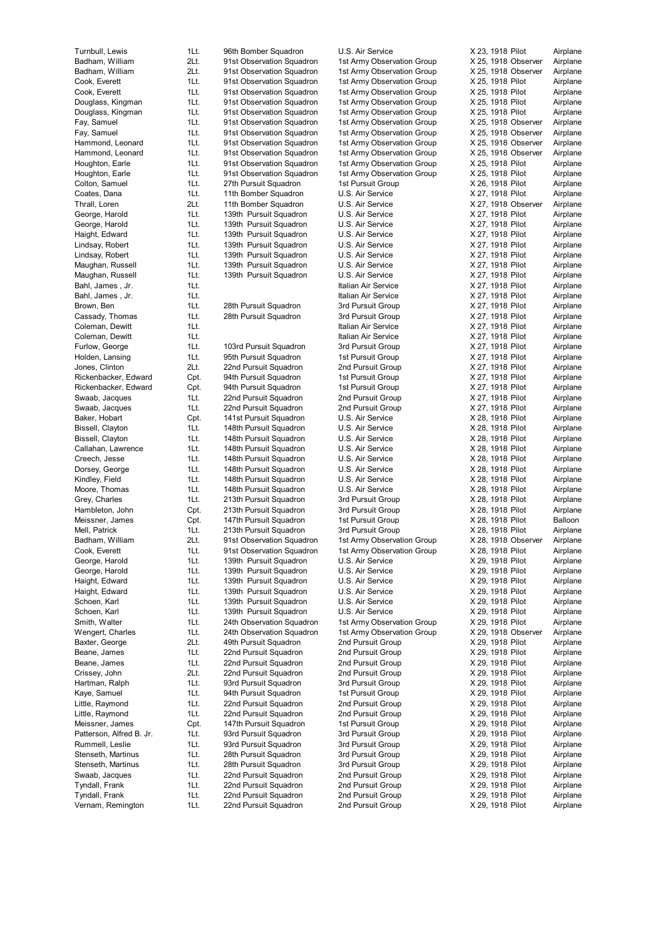Vernam, Remington 1Lt. 22nd Pursuit Squadron 2nd Pursuit Group X 29, 1918 Pilot Airplane

Turnbull, Lewis 1Lt. 96th Bomber Squadron U.S. Air Service X 23, 1918 Pilot Airplane Badham, William 2Lt. 91st Observation Squadron 1st Army Observation Group X 25, 1918 Observer Airplane<br>Badham, William 2Lt. 91st Observation Squadron 1st Army Observation Group X 25, 1918 Observer Airplane Badham, William 2Lt. 91st Observation Squadron 1st Army Observation Group X 25, 1918 Observer Cook, Everett 1Lt. 91st Observation Squadron 1st Army Observation Group X 25, 1918 Pilot Airplane Cook, Everett 1Lt. 91st Observation Squadron 1st Army Observation Group X 25, 1918 Pilot Airplane Douglass, Kingman 1Lt. 91st Observation Squadron 1st Army Observation Group X 25, 1918 Pilot Airplane Douglass, Kingman 1Lt. 91st Observation Squadron 1st Army Observation Group X 25, 1918 Pilot Airplane Fay, Samuel 1Lt. 91st Observation Squadron 1st Army Observation Group X 25, 1918 Observer Airplane<br>11t. 91st Observation Squadron 1st Army Observation Group X 25, 1918 Observer Airplane Fay, Samuel 1Lt. 91st Observation Squadron 1st Army Observation Group X 25, 1918 Observer Airplane Hammond, Leonard 1Lt. 91st Observation Squadron 1st Army Observation Group X 25, 1918 Observer Airplane Hammond, Leonard 1Lt. 91st Observation Squadron 1st Army Observation Group X 25, 1918 Observer Airplane Houghton, Earle 1Lt. 91st Observation Squadron 1st Army Observation Group X 25, 1918 Pilot Airplane Houghton, Earle 1Lt. 91st Observation Squadron 1st Army Observation Group X 25, 1918 Pilot Airplane Colton, Samuel 1Lt. 27th Pursuit Squadron 1st Pursuit Group X 26, 1918 Pilot Airplane Coates, Dana 1Lt. 11th Bomber Squadron U.S. Air Service X 27, 1918 Pilot Airplane Thrall, Loren 2Lt. 11th Bomber Squadron U.S. Air Service X 27, 1918 Observer Airplane George, Harold **1Lt.** 139th Pursuit Squadron U.S. Air Service X 27, 1918 Pilot Airplane George, Harold 11t. 139th Pursuit Squadron U.S. Air Service 1995 X 27, 1918 Pilot Airplane<br>11 139th Pursuit Squadron U.S. Air Service 1997, 1918 Pilot Airplane 1Lt. 139th Pursuit Squadron Lindsay, Robert 11t. 139th Pursuit Squadron U.S. Air Service X 27, 1918 Pilot Airplane Lindsay, Robert 1Lt. 139th Pursuit Squadron U.S. Air Service X 27, 1918 Pilot Airplane Maughan, Russell 1Lt. 139th Pursuit Squadron U.S. Air Service X 27, 1918 Pilot Airplane Maughan, Russell **1Lt.** 139th Pursuit Squadron U.S. Air Service X 27, 1918 Pilot Airplane Bahl, James , Jr. 1Lt. Italian Air Service X 27, 1918 Pilot Airplane Bahl, James , Jr. 1Lt. 11. 1. 1. 1919 Pilot Air Service X 27, 1918 Pilot Air Service Brown, Ben 1Lt. 28th Pursuit Squadron 3rd Pursuit Group X 27, 1918 Pilot Airplane Cassady, Thomas 1Lt. 28th Pursuit Squadron 3rd Pursuit Group X 27, 1918 Pilot Airplane Coleman, Dewitt 1Lt. 1Lt. 1. 1. Italian Air Service 2. 27, 1918 Pilot Airplane Coleman, Dewitt 1Lt. Italian Air Service X 27, 1918 Pilot Airplane Furlow, George 1Lt. 103rd Pursuit Squadron 3rd Pursuit Group X 27, 1918 Pilot Airplane Holden, Lansing 1Lt. 95th Pursuit Squadron 1st Pursuit Group X 27, 1918 Pilot Airplane<br>1999 Jones, Clinton 1996 2015 22nd Pursuit Squadron 2nd Pursuit Group X 27, 1918 Pilot Airplane Jones, Clinton 2Lt. 22nd Pursuit Squadron Rickenbacker, Edward Cpt. 94th Pursuit Squadron 1st Pursuit Group X 27, 1918 Pilot Airplane Rickenbacker, Edward Cpt. 94th Pursuit Squadron 1st Pursuit Group X 27, 1918 Pilot Airplane<br>Swaab, Jacques 1Lt. 22nd Pursuit Squadron 2nd Pursuit Group X 27, 1918 Pilot Airplane Swaab, Jacques 1Lt. 22nd Pursuit Squadron 2nd Pursuit Group X 27, 1918 Pilot Airplane Swaab, Jacques 1Lt. 22nd Pursuit Squadron 2nd Pursuit Group X 27, 1918 Pilot Airplane<br>Baker Hobart Cot. 141st Pursuit Squadron U.S. Air Service X 28, 1918 Pilot Airplane Baker, Hobart Cpt. 141st Pursuit Squadron U.S. Air Service X 28, 1918 Pilot Airplane Bissell, Clayton 11Lt. 148th Pursuit Squadron U.S. Air Service X 28, 1918 Pilot Airplane Bissell, Clayton 11Lt. 148th Pursuit Squadron U.S. Air Service X 28, 1918 Pilot Airplane Callahan, Lawrence 1Lt. 148th Pursuit Squadron U.S. Air Service X 28, 1918 Pilot Airplane Creech, Jesse 1Lt. 148th Pursuit Squadron U.S. Air Service X 28, 1918 Pilot Airplane Dorsey, George 1Lt. 148th Pursuit Squadron U.S. Air Service X 28, 1918 Pilot Airplane<br>
Kindley, Field 16th 148th Pursuit Squadron U.S. Air Service X 28, 1918 Pilot Airplane 1Lt. 148th Pursuit Squadron Moore, Thomas 1Lt. 148th Pursuit Squadron U.S. Air Service X 28, 1918 Pilot Airplane Grey, Charles **1Lt.** 213th Pursuit Squadron 3rd Pursuit Group X 28, 1918 Pilot Airplane Hambleton, John Cpt. 213th Pursuit Squadron 3rd Pursuit Group X 28, 1918 Pilot Airplane Meissner, James Cpt. 147th Pursuit Squadron 1st Pursuit Group X 28, 1918 Pilot Balloon Mell, Patrick 1Lt. 213th Pursuit Squadron 3rd Pursuit Group X 28, 1918 Pilot Airplane<br>Badham, William 2Lt. 91st Observation Squadron 1st Army Observation Group X 28, 1918 Observer Airplane 2Lt. 91st Observation Squadron 1st Army Observation Group X 28, 1918 Observer Cook, Everett 1Lt. 91st Observation Squadron 1st Army Observation Group X 28, 1918 Pilot Airplane George, Harold **1Lt.** 139th Pursuit Squadron U.S. Air Service X 29, 1918 Pilot Airplane George, Harold **1Lt.** 139th Pursuit Squadron U.S. Air Service X 29, 1918 Pilot Airplane Haight, Edward 1Lt. 139th Pursuit Squadron U.S. Air Service X 29, 1918 Pilot Airplane Haight, Edward 11t. 139th Pursuit Squadron U.S. Air Service 1995 X 29, 1918 Pilot Airplane<br>11 139th Pursuit Squadron U.S. Air Service 1998 X 29, 1918 Pilot Airplane Schoen, Karl **11**Lt. 139th Pursuit Squadron U.S. Air Service X 29, 1918 Pilot Airplane Schoen, Karl 19th. 139th Pursuit Squadron U.S. Air Service X 29, 1918 Pilot Airplane Smith, Walter **1Lt.** 24th Observation Squadron 1st Army Observation Group X 29, 1918 Pilot Airplane Wengert, Charles 1Lt. 24th Observation Squadron 1st Army Observation Group X 29, 1918 Observer Airplane Baxter, George 2Lt. 49th Pursuit Squadron 2nd Pursuit Group X 29, 1918 Pilot Airplane Beane, James 1Lt. 22nd Pursuit Squadron 2nd Pursuit Group X 29, 1918 Pilot Airplane Beane, James 1Lt. 22nd Pursuit Squadron 2nd Pursuit Group X 29, 1918 Pilot Airplane Crissey, John 2Lt. 22nd Pursuit Squadron 2nd Pursuit Group X 29, 1918 Pilot Airplane Hartman, Ralph 1Lt. 93rd Pursuit Squadron 3rd Pursuit Group X 29, 1918 Pilot Airplane Kaye, Samuel 1Lt. 94th Pursuit Squadron 1st Pursuit Group X 29, 1918 Pilot Airplane Little, Raymond 1Lt. 22nd Pursuit Squadron 2nd Pursuit Group X 29, 1918 Pilot Airplane Little, Raymond 1Lt. 22nd Pursuit Squadron 2nd Pursuit Group X 29, 1918 Pilot Airplane Meissner, James Cht. 147th Pursuit Squadron 1st Pursuit Group X 29, 1918 Pilot Airplane<br>1931 Patterson, Alfred B. Jr. 11t. 93rd Pursuit Squadron 3rd Pursuit Group X 29, 1918 Pilot Airplane Patterson, Alfred B. Jr. 1Lt. 93rd Pursuit Squadron 3rd Pursuit Group Rummell, Leslie **1Lt.** 93rd Pursuit Squadron 3rd Pursuit Group X 29, 1918 Pilot Airplane Stenseth, Martinus 1Lt. 28th Pursuit Squadron 3rd Pursuit Group X 29, 1918 Pilot Airplane Stenseth, Martinus 1Lt. 28th Pursuit Squadron 3rd Pursuit Group X 29, 1918 Pilot Airplane Swaab, Jacques 1Lt. 22nd Pursuit Squadron 2nd Pursuit Group X 29, 1918 Pilot Airplane<br>1991 Tyndall, Frank 11t. 22nd Pursuit Squadron 2nd Pursuit Group X 29, 1918 Pilot Airplane Tyndall, Frank 1Lt. 22nd Pursuit Squadron 2nd Pursuit Group X 29, 1918 Pilot Airport Airport Airport Airport A Tyndall, Frank 1Lt. 22nd Pursuit Squadron 2nd Pursuit Group X 29, 1918 Pilot Airplane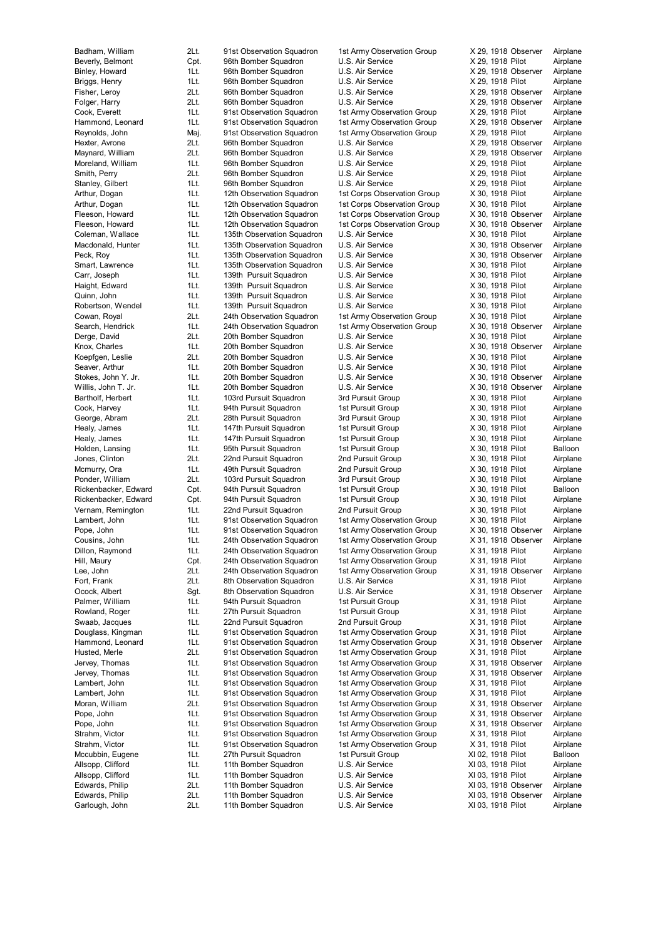Garlough, John 2Lt. 11th Bomber Squadron U.S. Air Service XI 03, 1918 Pilot Airplane

Badham, William 2Lt. 91st Observation Squadron 1st Army Observation Group X 29, 1918 Observer Airplane Beverly, Belmont Cpt. 96th Bomber Squadron U.S. Air Service X 29, 1918 Pilot Airplane<br>Binley, Howard 1Lt. 96th Bomber Squadron U.S. Air Service X 29, 1918 Observer Airplane 1Lt. 96th Bomber Squadron U.S. Air Service X 29, 1918 Observer Airplane Briggs, Henry **1Lt.** 96th Bomber Squadron U.S. Air Service **X 29, 1918 Pilot Airplane**<br>196th Bomber Squadron U.S. Air Service X 29, 1918 Observer Airplane Fisher, Leroy 2Lt. 96th Bomber Squadron U.S. Air Service X 29, 1918 Observer Airplane Folger, Harry 2Lt. 96th Bomber Squadron U.S. Air Service X 29, 1918 Observer Airplane Cook, Everett 1Lt. 91st Observation Squadron 1st Army Observation Group X 29, 1918 Pilot Airplane Hammond, Leonard 1Lt. 91st Observation Squadron 1st Army Observation Group X 29, 1918 Observer Airplane Reynolds, John Maj. 91st Observation Squadron 1st Army Observation Group X 29, 1918 Pilot Airplane Hexter, Avrone 2Lt. 96th Bomber Squadron U.S. Air Service X 29, 1918 Observer Airplane Maynard, William 2Lt. 96th Bomber Squadron U.S. Air Service X 29, 1918 Observer Airplane Moreland, William 1Lt. 96th Bomber Squadron U.S. Air Service X 29, 1918 Pilot Airplane<br>
Smith Perry 2016 2016 96th Bomber Squadron U.S. Air Service X 29, 1918 Pilot Airplane 2Lt. 96th Bomber Squadron Stanley, Gilbert 1Lt. 96th Bomber Squadron U.S. Air Service X 29, 1918 Pilot Airplane Arthur, Dogan 1Lt. 12th Observation Squadron 1st Corps Observation Group X 30, 1918 Pilot Airplane Arthur, Dogan 1Lt. 12th Observation Squadron 1st Corps Observation Group X 30, 1918 Pilot Airplane Fleeson, Howard 1Lt. 12th Observation Squadron 1st Corps Observation Group X 30, 1918 Observer Airplane Fleeson, Howard 1Lt. 12th Observation Squadron 1st Corps Observation Group X 30, 1918 Observer Airplane<br>Coleman, Wallace 1Lt. 135th Observation Squadron U.S. Air Service X 30, 1918 Pilot Airplane 1Lt. 135th Observation Squadron Macdonald, Hunter 11t. 135th Observation Squadron U.S. Air Service X 30, 1918 Observer Airplane Peck, Roy **1Lt.** 135th Observation Squadron U.S. Air Service X 30, 1918 Observer Airplane Smart, Lawrence **1Lt.** 135th Observation Squadron U.S. Air Service X 30, 1918 Pilot Airplane Carr, Joseph 1Lt. 139th Pursuit Squadron U.S. Air Service X 30, 1918 Pilot Airplane Haight, Edward 1Lt. 139th Pursuit Squadron U.S. Air Service X 30, 1918 Pilot Airplane Quinn, John 11t 139th Pursuit Squadron U.S. Air Service Robertson, Wendel 1Lt. 139th Pursuit Squadron U.S. Air Service X 30, 1918 Pilot Airplane Cowan, Royal 2Lt. 24th Observation Squadron 1st Army Observation Group X 30, 1918 Pilot Airplane Search, Hendrick 1Lt. 24th Observation Squadron 1st Army Observation Group X 30, 1918 Observer Airplane Derge, David 2Lt. 20th Bomber Squadron U.S. Air Service X 30, 1918 Pilot Airplane Knox, Charles 1Lt. 20th Bomber Squadron U.S. Air Service X 30, 1918 Observer Airplane Koepfgen, Leslie 2Lt. 20th Bomber Squadron U.S. Air Service X 30, 1918 Pilot Airplane Seaver, Arthur 1Lt. 20th Bomber Squadron U.S. Air Service X 30, 1918 Pilot Airplane Stokes, John Y. Jr. 1Lt. 20th Bomber Squadron U.S. Air Service X 30, 1918 Observer Airplane Willis, John T. Jr. 1Lt. 20th Bomber Squadron U.S. Air Service X 30, 1918 Observer Airplane Bartholf, Herbert 1Lt. 103rd Pursuit Squadron 3rd Pursuit Group X 30, 1918 Pilot Airplane Cook, Harvey 1Lt. 94th Pursuit Squadron 1st Pursuit Group X 30, 1918 Pilot Airplane George, Abram 2Lt. 28th Pursuit Squadron 3rd Pursuit Squadron Healy, James 1Lt. 147th Pursuit Squadron 1st Pursuit Group X 30, 1918 Pilot Airplane Healy, James 1Lt. 147th Pursuit Squadron 1st Pursuit Group X 30, 1918 Pilot Airplane Holden, Lansing 1Lt. 95th Pursuit Squadron 1st Pursuit Group X 30, 1918 Pilot Balloon Jones, Clinton 2Lt. 22nd Pursuit Squadron 2nd Pursuit Group X 30, 1918 Pilot Airplane Mcmurry, Ora 1Lt. 49th Pursuit Squadron 2nd Pursuit Group X 30, 1918 Pilot Airplane Politic 103rd Pursuit Squadron 3rd Pursuit Group X 30, 1918 Pilot Cpt. 94th Pursuit Squadron 1st Pursuit Group X 30, 1918 Pilot Rickenbacker, Edward Cpt. 94th Pursuit Squadron 1st Pursuit Group X 30, 1918 Pilot Balloon Rickenbacker, Edward Cpt. 94th Pursuit Squadron 1st Pursuit Group X 30, 1918 Pilot Airplane Vernam, Remington 1Lt. 22nd Pursuit Squadron 2nd Pursuit Group X 30, 1918 Pilot Airplane Lambert, John 1Lt. 91st Observation Squadron 1st Army Observation Group X 30, 1918 Pilot Airplane Pope, John 1Lt. 91st Observation Squadron 1st Army Observation Group X 30, 1918 Observer Airplane<br>Cousins, John 1Lt. 24th Observation Squadron 1st Army Observation Group X 31, 1918 Observer Airplane Cousins, John 1Lt. 24th Observation Squadron 1st Army Observation Group Dillon, Raymond 1Lt. 24th Observation Squadron 1st Army Observation Group X 31, 1918 Pilot Airplane Hill, Maury **Chick Communist Communist Addition Squadron** 1st Army Observation Group X 31, 1918 Pilot Airplane Lee, John 2Lt. 24th Observation Squadron 1st Army Observation Group X 31, 1918 Observer Airplane Fort, Frank 2Lt. 8th Observation Squadron U.S. Air Service X 31, 1918 Pilot Airplane Ocock, Albert Sgt. 8th Observation Squadron U.S. Air Service X 31, 1918 Observer Airplane Palmer, William 1Lt. 94th Pursuit Squadron 1st Pursuit Group X 31, 1918 Pilot Airplane Rowland, Roger 1Lt. 27th Pursuit Squadron 1st Pursuit Group X 31, 1918 Pilot Airplane Swaab, Jacques 1Lt. 22nd Pursuit Squadron 2nd Pursuit Group X 31, 1918 Pilot Airplane Douglass, Kingman 1Lt. 91st Observation Squadron 1st Army Observation Group X 31, 1918 Pilot Airplane Hammond, Leonard 1Lt. 91st Observation Squadron 1st Army Observation Group X 31, 1918 Observer Airplane Husted, Merle 2Lt. 91st Observation Squadron 1st Army Observation Group X 31, 1918 Pilot Airplane<br>1915 Jervey, Thomas 1Lt. 91st Observation Squadron 1st Army Observation Group X 31, 1918 Observer Airplane 1Lt. 91st Observation Squadron 1st Army Observation Group X 31, 1918 Observer Airplane Jervey, Thomas 1Lt. 91st Observation Squadron 1st Army Observation Group X 31, 1918 Observer Airplane Lambert, John 1Lt. 91st Observation Squadron 1st Army Observation Group X 31, 1918 Pilot Airplane Lambert, John 1Lt. 91st Observation Squadron 1st Army Observation Group X 31, 1918 Pilot Airplane Moran, William 2Lt. 91st Observation Squadron 1st Army Observation Group X 31, 1918 Observer Airplane Pope, John 1Lt. 91st Observation Squadron 1st Army Observation Group X 31, 1918 Observer Airplane<br>Pope, John 1Lt. 91st Observation Squadron 1st Army Observation Group X 31, 1918 Observer Airplane Pope, John 1Lt. 91st Observation Squadron 1st Army Observation Group X 31, 1918 Observer Airplane Strahm, Victor **1Lt.** 91st Observation Squadron 1st Army Observation Group X 31, 1918 Pilot Airplane Strahm, Victor **1Lt.** 91st Observation Squadron 1st Army Observation Group X 31, 1918 Pilot Airplane Mccubbin, Eugene 1Lt. 27th Pursuit Squadron 1st Pursuit Group XI 02, 1918 Pilot Balloon Allsopp, Clifford 1Lt. 11th Bomber Squadron U.S. Air Service XI 03, 1918 Pilot Airplane Allsopp, Clifford 1Lt. 11th Bomber Squadron U.S. Air Service XI 03, 1918 Pilot Airplane<br>11th Bomber Squadron U.S. Air Service XI 03, 1918 Observer Airplane Edwards, Philip 2Lt. 11th Bomber Squadron U.S. Air Service XI 03, 1918 Observer Edwards, Philip 2Lt. 11th Bomber Squadron U.S. Air Service XI 03, 1918 Observer Airplane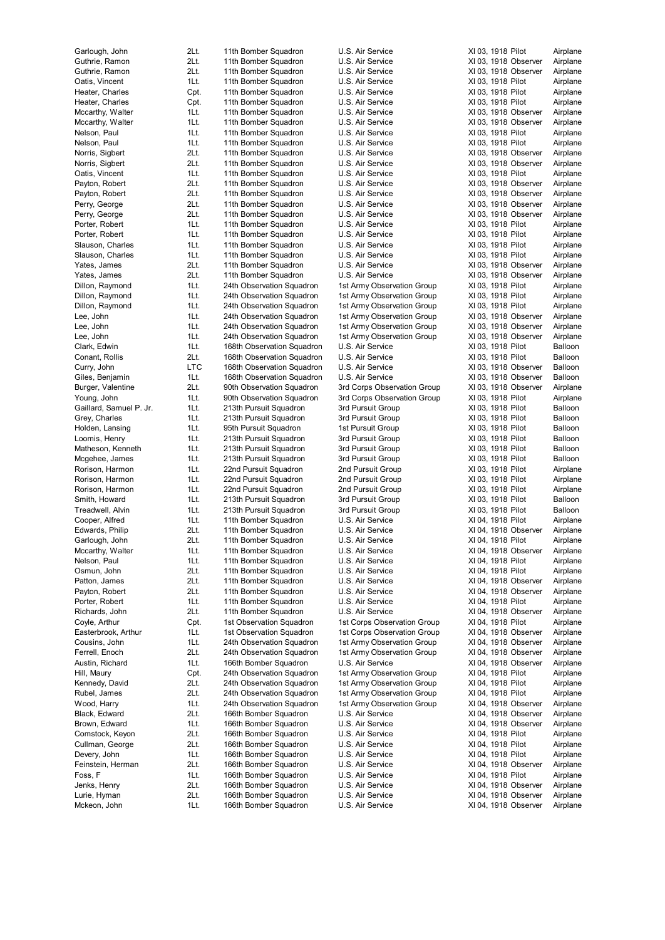Mckeon, John 1Lt. 166th Bomber Squadron U.S. Air Service XI 04, 1918 Observer Airplane

Guthrie, Ramon 2Lt. 11th Bomber Squadron U.S. Air Service XI 03, 1918 Observer Airplane Guthrie, Ramon 2Lt. 11th Bomber Squadron U.S. Air Service XI 03, 1918 Observer Airplane Oatis, Vincent 11th 11th Bomber Squadron U.S. Air Service 1998 XI 03, 1918 Pilot Airplane<br>11th Bomber Squadron U.S. Air Service 1998 XI 03, 1918 Pilot Airplane Heater, Charles Cpt. 11th Bomber Squadron U.S. Air Service XI 03, 1918 Pilot Airplane<br>Heater, Charles Cpt. 11th Bomber Squadron U.S. Air Service XI 03, 1918 Pilot Airplane Heater, Charles Cpt. 11th Bomber Squadron U.S. Air Service XI 03, 1918 Pilot Mccarthy, Walter 11th 11th Bomber Squadron U.S. Air Service XI 03, 1918 Observer Airplane Mccarthy, Walter 11t. 11th Bomber Squadron U.S. Air Service XI 03, 1918 Observer Airplane<br>11t. 11th Bomber Squadron U.S. Air Service XI 03, 1918 Pilot Airplane Nelson, Paul 11. 11th Bomber Squadron U.S. Air Service XI 03, 1918 Pilot Airplane Nelson, Paul 1Lt. 11th Bomber Squadron U.S. Air Service XI 03, 1918 Pilot Airplane Norris, Sigbert 2Lt. 11th Bomber Squadron U.S. Air Service XI 03, 1918 Observer Airplane Norris, Sigbert 2Lt. 11th Bomber Squadron U.S. Air Service XI 03, 1918 Observer Airplane<br>Catis Vincent 11t 11th Bomber Squadron U.S. Air Service XI 03, 1918 Pilot Airplane Oatis, Vincent 1Lt. 11th Bomber Squadron U.S. Air Service XI 03, 1918 Pilot Airplane Payton, Robert 2Lt. 11th Bomber Squadron U.S. Air Service XI 03, 1918 Observer Airplane Payton, Robert 2Lt. 11th Bomber Squadron U.S. Air Service XI 03, 1918 Observer Airplane Perry, George 2Lt. 11th Bomber Squadron U.S. Air Service XI 03, 1918 Observer Airplane Perry, George 2Lt. 11th Bomber Squadron U.S. Air Service XI 03, 1918 Observer Airplane Porter, Robert 11t. 11th Bomber Squadron U.S. Air Service XI 03, 1918 Pilot Airplane<br>11th Bomber Squadron U.S. Air Service XI 03, 1918 Pilot Airplane 1Lt. 11th Bomber Squadron Slauson, Charles 1Lt. 11th Bomber Squadron U.S. Air Service XI 03, 1918 Pilot Airplane Slauson, Charles 1Lt. 11th Bomber Squadron U.S. Air Service XI 03, 1918 Pilot Airplane Yates, James 2Lt. 11th Bomber Squadron U.S. Air Service XI 03, 1918 Observer Airplane Yates, James 2Lt. 11th Bomber Squadron U.S. Air Service XI 03, 1918 Observer Airplane Dillon, Raymond 1Lt. 24th Observation Squadron 1st Army Observation Group XI 03, 1918 Pilot Airplane Dillon, Raymond 1Lt. 24th Observation Squadron 1st Army Observation Group Dillon, Raymond 1Lt. 24th Observation Squadron 1st Army Observation Group XI 03, 1918 Pilot Airplane Lee, John 1Lt. 24th Observation Squadron 1st Army Observation Group XI 03, 1918 Observer Airplane Lee, John 1Lt. 24th Observation Squadron 1st Army Observation Group XI 03, 1918 Observer Airplane Lee, John 1Lt. 24th Observation Squadron 1st Army Observation Group XI 03, 1918 Observer Airplane Clark, Edwin 198th 108th Observation Squadron U.S. Air Service 1985 XI 03, 1918 Pilot Balloon Conant, Rollis 1<br>168th Observation Squadron U.S. Air Service 1985 XI 03, 1918 Pilot Balloon Conant, Rollis 2Lt. 168th Observation Squadron U.S. Air Service XI 03, 1918 Pilot Balloon<br>168th Observer Balloon Curry, John Carlos Lice Curry, John School of Balloon Curry, John Curry, John LTC 168th Observation Squadron U.S. Air Service XI 03, 1918 Observer Giles, Benjamin 1Lt. 168th Observation Squadron U.S. Air Service XI 03, 1918 Observer Giles, Benjamin 1Lt. 168th Observation Squadron U.S. Air Service XI 03, 1918 Observer Balloon Burger, Valentine 2Lt. 90th Observation Squadron 3rd Corps Observation Group XI 03, 1918 Observer Airplane Young, John 1Lt. 90th Observation Squadron 3rd Corps Observation Group XI 03, 1918 Pilot Airplane<br>Gaillard, Samuel P. Jr. 1Lt. 213th Pursuit Squadron 3rd Pursuit Group XI 03, 1918 Pilot Balloon For a the Pursuit Squadron and Pursuit Group 3rd Pursuit Group 2103, 1918 Pilot Balloon 3rd Pursuit Group 213th Pursuit Group 3rd Pursuit Group 2103. 1918 Pilot Balloon Grev. Charles 1Lt. 213th Pursuit Squadron 3. Holden, Lansing 1Lt. 95th Pursuit Squadron 1st Pursuit Group XI 03, 1918 Pilot Balloon Loomis, Henry **1Lt.** 213th Pursuit Squadron 3rd Pursuit Group XI 03, 1918 Pilot Balloon Matheson, Kenneth 1Lt. 213th Pursuit Squadron 3rd Pursuit Group XI 03, 1918 Pilot Balloon<br>11 Mcgehee, James 1Lt. 213th Pursuit Squadron 3rd Pursuit Group XI 03, 1918 Pilot Balloon Mcgehee, James 1Lt. 213th Pursuit Squadron 3rd Pursuit Group XI 03, 1918 Pilot Balloon Rorison, Harmon 1Lt. 22nd Pursuit Squadron 2nd Pursuit Group XI 03, 1918 Pilot Airplane 1Lt. 22nd Pursuit Squadron Rorison, Harmon **11.** 22nd Pursuit Squadron 2nd Pursuit Group XI 03, 1918 Pilot Airplane Smith, Howard 1Lt. 213th Pursuit Squadron 3rd Pursuit Group XI 03, 1918 Pilot Balloon Treadwell, Alvin 1Lt. 213th Pursuit Squadron 3rd Pursuit Group XI 03, 1918 Pilot Balloon Cooper, Alfred 1Lt. 11th Bomber Squadron U.S. Air Service XI 04, 1918 Pilot Airplane Edwards, Philip 2Lt. 11th Bomber Squadron U.S. Air Service XI 04, 1918 Observer Airplane<br>Garlough, John 2Lt. 11th Bomber Squadron U.S. Air Service XI 04. 1918 Pilot Airplane Garlough, John 2Lt. 11th Bomber Squadron U.S. Air Service XI 04, 1918 Pilot Mccarthy, Walter 11th 11th Bomber Squadron U.S. Air Service XI 04, 1918 Observer Airplane Nelson, Paul 11t. 11th Bomber Squadron U.S. Air Service XI 04, 1918 Pilot Airplane Osmun, John 2Lt. 11th Bomber Squadron U.S. Air Service XI 04, 1918 Pilot Airplane Patton, James 2Lt. 11th Bomber Squadron U.S. Air Service XI 04, 1918 Observer Airplane Payton, Robert 2Lt. 11th Bomber Squadron U.S. Air Service XI 04, 1918 Observer Airplane<br>Porter, Robert 15 11th 2001 - 11th Bomber Squadron U.S. Air Service XI 04, 1918 Pilot Airplane Porter, Robert 11t. 11th Bomber Squadron U.S. Air Service 1998 XI 04, 1918 Pilot Airplane<br>11th Bomber Squadron U.S. Air Service 1998 XI 04. 1918 Observer Airplane Richards, John 2Lt. 11th Bomber Squadron U.S. Air Service XI 04, 1918 Observer Airplane Coyle, Arthur Cpt. 1st Observation Squadron 1st Corps Observation Group XI 04, 1918 Pilot Airplane Easterbrook, Arthur 1Lt. 1st Observation Squadron 1st Corps Observation Group XI 04, 1918 Observer Airplane Cousins, John 1Lt. 24th Observation Squadron 1st Army Observation Group XI 04, 1918 Observer Airplane Ferrell, Enoch 2Lt. 24th Observation Squadron 1st Army Observation Group XI 04, 1918 Observer Airplane<br>2015 Austin, Richard 11t. 166th Bomber Squadron U.S. Air Service XI 04. 1918 Observer Airplane 1Lt. 166th Bomber Squadron U.S. Air Service XI 04, 1918 Observer Airplane Hill, Maury Cht. 24th Observation Squadron 1st Army Observation Group XI 04, 1918 Pilot Airplane Kennedy, David 2Lt. 24th Observation Squadron 1st Army Observation Group XI 04, 1918 Pilot Airplane Rubel, James 2Lt. 24th Observation Squadron 1st Army Observation Group XI 04, 1918 Pilot Airplane Wood, Harry 1Lt. 24th Observation Squadron 1st Army Observation Group XI 04, 1918 Observer Airplane Black, Edward 2Lt. 166th Bomber Squadron U.S. Air Service XI 04, 1918 Observer Airplane<br>Brown, Edward 1Lt. 166th Bomber Squadron U.S. Air Service XI 04, 1918 Observer Airplane Brown, Edward 1Lt. 166th Bomber Squadron U.S. Air Service XI 04, 1918 Observer Airplane Comstock, Keyon 2Lt. 166th Bomber Squadron U.S. Air Service XI 04, 1918 Pilot Airplane Cullman, George 2Lt. 166th Bomber Squadron U.S. Air Service XI 04, 1918 Pilot Airplane Devery, John 1Lt. 166th Bomber Squadron U.S. Air Service XI 04, 1918 Pilot Airplane Feinstein, Herman 2Lt. 166th Bomber Squadron U.S. Air Service XI 04, 1918 Observer Airplane Foss, F<br>
11t. 166th Bomber Squadron U.S. Air Service XI 04, 1918 Pilot Airplane<br>
166th Bomber Squadron U.S. Air Service XI 04, 1918 Observer Airplane Jenks, Henry 2Lt. 166th Bomber Squadron U.S. Air Service XI 04, 1918 Observer Lurie, Hyman 2Lt. 166th Bomber Squadron U.S. Air Service XI 04, 1918 Observer Airplane

Garlough, John 2Lt. 11th Bomber Squadron U.S. Air Service XI 03, 1918 Pilot Airplane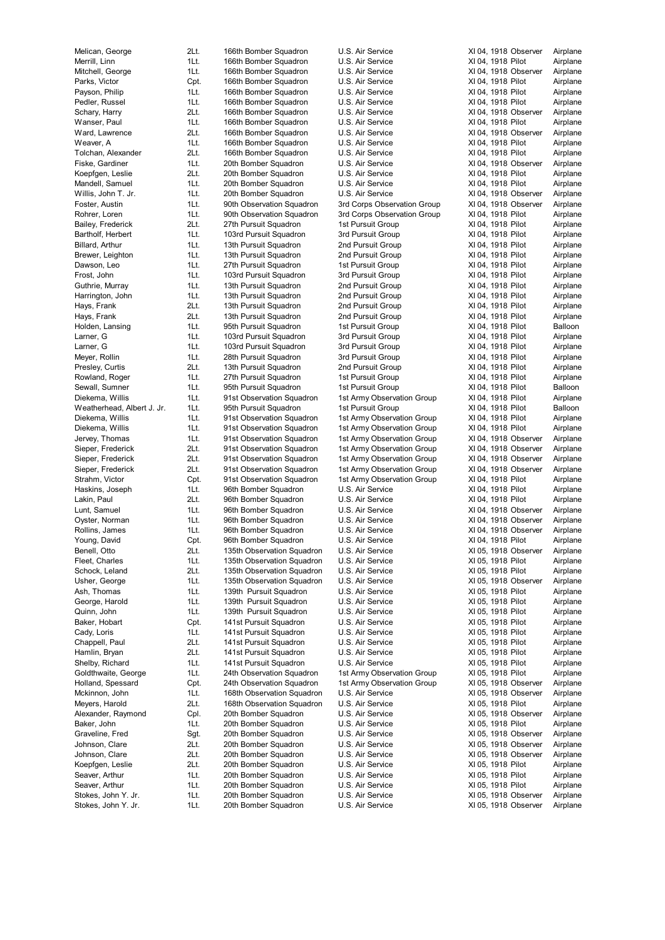Presley, Curtis 2Lt. 13th Pursuit Squadron

Merrill, Linn 16th 106th Bomber Squadron U.S. Air Service XI 04, 1918 Pilot Airplane Mitchell, George **1Lt.** 166th Bomber Squadron U.S. Air Service XI 04, 1918 Observer Airplane Parks, Victor **Cpt.** 166th Bomber Squadron U.S. Air Service XI 04, 1918 Pilot Airplane Payson, Philip 11 1Lt. 166th Bomber Squadron U.S. Air Service XI 04, 1918 Pilot Airplane Pedler, Russel **1Lt.** 166th Bomber Squadron U.S. Air Service XI 04, 1918 Pilot Airplane Schary, Harry 2Lt. 166th Bomber Squadron U.S. Air Service XI 04, 1918 Observer Airplane Wanser, Paul 11t. 166th Bomber Squadron U.S. Air Service XI 04, 1918 Pilot Airplane Ward, Lawrence 2Lt. 166th Bomber Squadron U.S. Air Service XI 04, 1918 Observer Airplane Weaver, A 1Lt. 166th Bomber Squadron U.S. Air Service XI 04, 1918 Pilot Airplane Tolchan, Alexander 2Lt. 166th Bomber Squadron U.S. Air Service XI 04, 1918 Pilot Airplane Fiske, Gardiner 1Lt. 20th Bomber Squadron U.S. Air Service XI 04, 1918 Observer Airplane<br>The Stuart Communication U.S. Air Service XI 04, 1918 Pilot Airplane Koepfgen, Leslie 20. 20th 20th Bomber Squadron U.S. Air Service XI 04, 1918 Pilot Airplane Mandell, Samuel **1Lt.** 20th Bomber Squadron U.S. Air Service XI 04, 1918 Pilot Airplane Willis, John T. Jr. 1Lt. 20th Bomber Squadron U.S. Air Service XI 04, 1918 Observer Airplane Foster, Austin 1Lt. 90th Observation Squadron 3rd Corps Observation Group XI 04, 1918 Observer Airplane Rohrer, Loren 1Lt. 90th Observation Squadron 3rd Corps Observation Group XI 04, 1918 Pilot Airplane Bailey, Frederick 2Lt. 27th Pursuit Squadron 1st Pursuit Group XI 04, 1918 Pilot Airplane<br>1937 Bartholf, Herbert 11st. 103rd Pursuit Squadron 3rd Pursuit Group XI 04, 1918 Pilot Airplane 103rd Pursuit Squadron Billard, Arthur 1998 11. 13th Pursuit Squadron 2nd Pursuit Group XI 04, 1918 Pilot Airplane Brewer, Leighton 1Lt. 13th Pursuit Squadron 2nd Pursuit Group XI 04, 1918 Pilot Airplane Dawson, Leo 11t. 27th Pursuit Squadron 1st Pursuit Group XI 04, 1918 Pilot Airplane Frost, John 1Lt. 103rd Pursuit Squadron 3rd Pursuit Group XI 04, 1918 Pilot Airplane Guthrie, Murray 1Lt. 13th Pursuit Squadron 2nd Pursuit Group XI 04, 1918 Pilot Airplane<br>
11t 13th Pursuit Squadron 2nd Pursuit Group XI 04 1918 Pilot Airplane Harrington, John 1Lt. 13th Pursuit Squadron 2nd Pursuit Group XI 04, 1918 Pilot Airplane Airplane Airplane Air Hays, Frank 2Lt. 13th Pursuit Squadron 2nd Pursuit Group XI 04, 1918 Pilot Airplane Hays, Frank **2006** 2Lt. 13th Pursuit Squadron 2nd Pursuit Group XI 04, 1918 Pilot Airplane Holden, Lansing **1Lt.** 95th Pursuit Squadron 1st Pursuit Group XI 04, 1918 Pilot Balloon Larner, G 1Lt. 103rd Pursuit Squadron 3rd Pursuit Group XI 04, 1918 Pilot Airplane Larner, G 1918 Pilot 11 103rd Pursuit Squadron 3rd Pursuit Group 1 XI 04, 1918 Pilot Airplane<br>11 Meyer, Rollin 1998 Pilot 11 Airplane 11 28th Pursuit Squadron 3rd Pursuit Group 1 XI 04, 1918 Pilot Airplane 1Lt. 28th Pursuit Squadron 3rd Pursuit Group XI 04, 1918 Pilot Airplane<br>2Lt. 13th Pursuit Squadron 2nd Pursuit Group XI 04, 1918 Pilot Airplane Rowland, Roger **1Lt.** 27th Pursuit Squadron 1st Pursuit Group XI 04, 1918 Pilot Airplane Sewall, Sumner 1Lt. 95th Pursuit Squadron 1st Pursuit Group XI 04, 1918 Pilot Balloon Diekema, Willis 1Lt. 91st Observation Squadron 1st Army Observation Group XI 04, 1918 Pilot Airplane Weatherhead, Albert J. Jr. 1Lt. 95th Pursuit Squadron 1st Pursuit Group XI 04, 1918 Pilot Balloon<br>Diekema. Willis 1. 11. 91st Observation Squadron 1st Army Observation Group XI 04. 1918 Pilot Airplane 1Lt. 91st Observation Squadron 1st Army Observation Group XI 04, 1918 Pilot Airplane Diekema, Willis 1Lt. 91st Observation Squadron 1st Army Observation Group XI 04, 1918 Pilot Airplane Jervey, Thomas 1Lt. 91st Observation Squadron 1st Army Observation Group XI 04, 1918 Observer Airplane Sieper, Frederick 2Lt. 91st Observation Squadron 1st Army Observation Group XI 04, 1918 Observer Airplane Sieper, Frederick 2Lt. 91st Observation Squadron 1st Army Observation Group XI 04, 1918 Observer Airplane Sieper, Frederick 2Lt. 91st Observation Squadron 1st Army Observation Group XI 04, 1918 Observer Airplane<br>2011 - Strahm, Victor Chines Copt. 91st Observation Squadron 1st Army Observation Group XI 04, 1918 Pilot Airplane Cpt. 91st Observation Squadron 1st Army Observation Group XI 04, 1918 Pilot 1Lt. 96th Bomber Squadron U.S. Air Service XI 04, 1918 Pilot Haskins, Joseph 1Lt. 96th Bomber Squadron U.S. Air Service XI 04, 1918 Pilot Airplane Lakin, Paul 2Lt. 96th Bomber Squadron U.S. Air Service XI 04, 1918 Pilot Airplane Lunt, Samuel 1Lt. 96th Bomber Squadron U.S. Air Service XI 04, 1918 Observer Airplane Oyster, Norman 1Lt. 96th Bomber Squadron U.S. Air Service XI 04, 1918 Observer Airplane Rollins, James 1Lt. 96th Bomber Squadron U.S. Air Service XI 04, 1918 Observer Airplane Young, David Cpt. 96th Bomber Squadron U.S. Air Service Benell, Otto 2Lt. 135th Observation Squadron U.S. Air Service XI 05, 1918 Observer Airplane Fleet, Charles **1Lt.** 135th Observation Squadron U.S. Air Service XI 05, 1918 Pilot Airplane Schock, Leland 2Lt. 135th Observation Squadron U.S. Air Service XI 05, 1918 Pilot Airplane Usher, George **1Lt.** 135th Observation Squadron U.S. Air Service XI 05, 1918 Observer Airplane Ash, Thomas 1Lt. 139th Pursuit Squadron U.S. Air Service XI 05, 1918 Pilot Airplane George, Harold 1Lt. 139th Pursuit Squadron U.S. Air Service XI 05, 1918 Pilot Airplane Quinn, John 1Lt. 139th Pursuit Squadron U.S. Air Service XI 05, 1918 Pilot Airplane Baker, Hobart Cpt. 141st Pursuit Squadron U.S. Air Service XI 05, 1918 Pilot Airplane Cady, Loris **11.1 12the 141st Pursuit Squadron** U.S. Air Service XI 05, 1918 Pilot Airplane Chappell, Paul 2Lt. 141st Pursuit Squadron U.S. Air Service XI 05, 1918 Pilot Airplane Hamlin, Bryan 2Lt. 141st Pursuit Squadron U.S. Air Service XI 05, 1918 Pilot Airplane Shelby, Richard 195, 1918 Plust 141st Pursuit Squadron U.S. Air Service 1988 2005, 1918 Pilot Coldthwaite, George 11. 194th Observation Squadron 1st Army Observation Group XI 05, 1918 Pilot 1Lt. 24th Observation Squadron 1st Army Observation Group XI 05, 1918 Pilot Airplane Holland, Spessard Cpt. 24th Observation Squadron 1st Army Observation Group XI 05, 1918 Observer Airplane Mckinnon, John 1Lt. 168th Observation Squadron U.S. Air Service XI 05, 1918 Observer Airplane Meyers, Harold 2Lt. 168th Observation Squadron U.S. Air Service XI 05, 1918 Pilot Airplane Alexander, Raymond Cpl. 20th Bomber Squadron U.S. Air Service XI 05, 1918 Observer Airplane<br>Baker, John Salot Airplane Comber Squadron U.S. Air Service XI 05, 1918 Pilot Airplane Baker, John 1Lt. 20th Bomber Squadron U.S. Air Service XI 05, 1918 Pilot Airplane<br>1.S. Air Service XI 05, 1918 Observer Airplane Sqt. 20th Bomber Squadron U.S. Air Service XI 05, 1918 Observer Graveline, Fred Sgt. 20th Bomber Squadron U.S. Air Service Johnson, Clare 2Lt. 20th Bomber Squadron U.S. Air Service XI 05, 1918 Observer Airplane Johnson, Clare 2Lt. 20th Bomber Squadron U.S. Air Service XI 05, 1918 Observer Airplane Koepfgen, Leslie 2Lt. 20th Bomber Squadron U.S. Air Service XI 05, 1918 Pilot Airplane Seaver, Arthur 1Lt. 20th Bomber Squadron U.S. Air Service XI 05, 1918 Pilot Airplane Seaver, Arthur **1Lt.** 20th Bomber Squadron U.S. Air Service XI 05, 1918 Pilot Airplane Stokes, John Y. Jr. 1Lt. 20th Bomber Squadron U.S. Air Service XI 05, 1918 Observer Airplane Stokes, John Y. Jr. 1Lt. 20th Bomber Squadron U.S. Air Service XI 05, 1918 Observer Airplane

Melican, George 2Lt. 166th Bomber Squadron U.S. Air Service XI 04, 1918 Observer Airplane